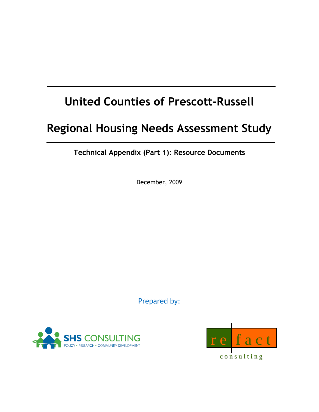# **United Counties of Prescott-Russell**

# **Regional Housing Needs Assessment Study**

**Technical Appendix (Part 1): Resource Documents**

December, 2009

Prepared by:





c o n s u l t i n g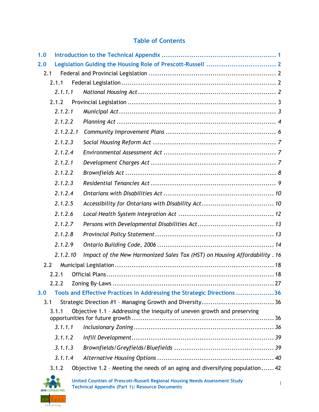### **Table of Contents**

| 1.0 |           |                                                                              |  |  |  |  |  |
|-----|-----------|------------------------------------------------------------------------------|--|--|--|--|--|
| 2.0 |           |                                                                              |  |  |  |  |  |
| 2.1 |           |                                                                              |  |  |  |  |  |
|     | 2.1.1     |                                                                              |  |  |  |  |  |
|     | 2.1.1.1   |                                                                              |  |  |  |  |  |
|     | 2.1.2     |                                                                              |  |  |  |  |  |
|     | 2.1.2.1   |                                                                              |  |  |  |  |  |
|     | 2.1.2.2   |                                                                              |  |  |  |  |  |
|     | 2.1.2.2.1 |                                                                              |  |  |  |  |  |
|     | 2.1.2.3   |                                                                              |  |  |  |  |  |
|     | 2.1.2.4   |                                                                              |  |  |  |  |  |
|     | 2.1.2.1   |                                                                              |  |  |  |  |  |
|     | 2.1.2.2   |                                                                              |  |  |  |  |  |
|     | 2.1.2.3   |                                                                              |  |  |  |  |  |
|     | 2.1.2.4   |                                                                              |  |  |  |  |  |
|     | 2.1.2.5   |                                                                              |  |  |  |  |  |
|     | 2.1.2.6   |                                                                              |  |  |  |  |  |
|     | 2.1.2.7   |                                                                              |  |  |  |  |  |
|     | 2.1.2.8   |                                                                              |  |  |  |  |  |
|     | 2.1.2.9   |                                                                              |  |  |  |  |  |
|     | 2.1.2.10  | Impact of the New Harmonized Sales Tax (HST) on Housing Affordability . 16   |  |  |  |  |  |
| 2.2 |           |                                                                              |  |  |  |  |  |
|     | 2.2.1     |                                                                              |  |  |  |  |  |
|     | 222 D     |                                                                              |  |  |  |  |  |
| 3.0 |           | Tools and Effective Practices in Addressing the Strategic Directions 36      |  |  |  |  |  |
| 3.1 |           |                                                                              |  |  |  |  |  |
|     | 3.1.1     | Objective 1.1 - Addressing the inequity of uneven growth and preserving      |  |  |  |  |  |
|     | 3.1.1.1   |                                                                              |  |  |  |  |  |
|     | 3.1.1.2   |                                                                              |  |  |  |  |  |
|     | 3.1.1.3   |                                                                              |  |  |  |  |  |
|     | 3.1.1.4   |                                                                              |  |  |  |  |  |
|     | 3.1.2     | Objective 1.2 - Meeting the needs of an aging and diversifying population 42 |  |  |  |  |  |
|     |           |                                                                              |  |  |  |  |  |

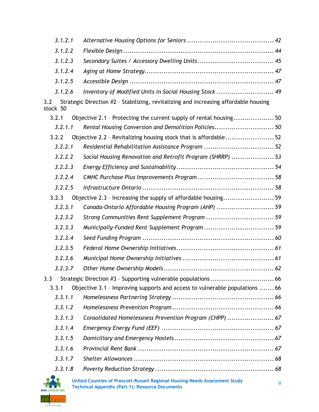| 3.1.2.1         |                                                                                      |  |
|-----------------|--------------------------------------------------------------------------------------|--|
| 3.1.2.2         |                                                                                      |  |
| 3.1.2.3         |                                                                                      |  |
| 3.1.2.4         |                                                                                      |  |
| 3.1.2.5         |                                                                                      |  |
| 3.1.2.6         | Inventory of Modified Units in Social Housing Stock  49                              |  |
| 3.2<br>stock 50 | Strategic Direction #2 - Stabilizing, revitalizing and increasing affordable housing |  |
| 3.2.1           | Objective 2.1 - Protecting the current supply of rental housing50                    |  |
| 3.2.1.1         | Rental Housing Conversion and Demolition Policies 50                                 |  |
| 3.2.2           | Objective 2.2 - Revitalizing housing stock that is affordable52                      |  |
| 3.2.2.1         | Residential Rehabilitation Assistance Program  52                                    |  |
| 3.2.2.2         | Social Housing Renovation and Retrofit Program (SHRRP) 53                            |  |
| 3.2.2.3         |                                                                                      |  |
| 3.2.2.4         |                                                                                      |  |
| 3.2.2.5         |                                                                                      |  |
| 3.2.3           | Objective 2.3 - Increasing the supply of affordable housing59                        |  |
| 3.2.3.1         | Canada-Ontario Affordable Housing Program (AHP)  59                                  |  |
| 3.2.3.2         | Strong Communities Rent Supplement Program  59                                       |  |
| 3.2.3.3         |                                                                                      |  |
| 3.2.3.4         |                                                                                      |  |
| 3.2.3.5         |                                                                                      |  |
| 3.2.3.6         |                                                                                      |  |
| 3.2.3.7         |                                                                                      |  |
| 3.3             |                                                                                      |  |
| 3.3.1           | Objective 3.1 - Improving supports and access to vulnerable populations  66          |  |
| 3.3.1.1         |                                                                                      |  |
| 3.3.1.2         |                                                                                      |  |
| 3.3.1.3         | Consolidated Homelessness Prevention Program (CHPP)  67                              |  |
| 3.3.1.4         |                                                                                      |  |
| 3.3.1.5         |                                                                                      |  |
| 3.3.1.6         |                                                                                      |  |
| 3.3.1.7         |                                                                                      |  |
| 3.3.1.8         |                                                                                      |  |
|                 |                                                                                      |  |

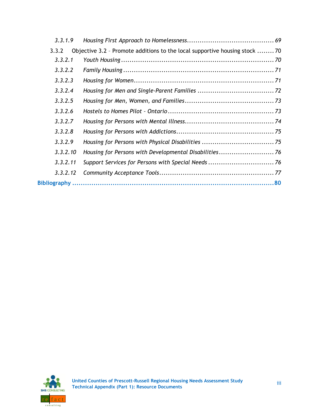| Objective 3.2 - Promote additions to the local supportive housing stock  70<br>3.3.2 |  |
|--------------------------------------------------------------------------------------|--|
| 3.3.2.1                                                                              |  |
| 3.3.2.2                                                                              |  |
| 3.3.2.3                                                                              |  |
| 3.3.2.4                                                                              |  |
| 3.3.2.5                                                                              |  |
| 3.3.2.6                                                                              |  |
| 3.3.2.7                                                                              |  |
| 3.3.2.8                                                                              |  |
| 3.3.2.9                                                                              |  |
| 3.3.2.10                                                                             |  |
| 3.3.2.11                                                                             |  |
| 3.3.2.12                                                                             |  |
|                                                                                      |  |

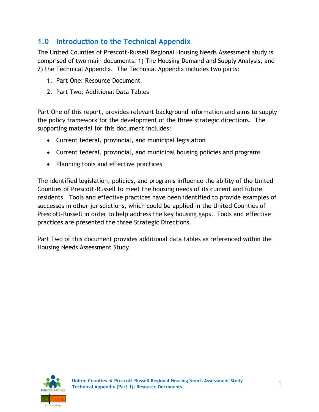# <span id="page-4-0"></span>**1.0 Introduction to the Technical Appendix**

The United Counties of Prescott-Russell Regional Housing Needs Assessment study is comprised of two main documents: 1) The Housing Demand and Supply Analysis, and 2) the Technical Appendix. The Technical Appendix includes two parts:

- 1. Part One: Resource Document
- 2. Part Two: Additional Data Tables

Part One of this report, provides relevant background information and aims to supply the policy framework for the development of the three strategic directions. The supporting material for this document includes:

- Current federal, provincial, and municipal legislation
- Current federal, provincial, and municipal housing policies and programs
- Planning tools and effective practices

The identified legislation, policies, and programs influence the ability of the United Counties of Prescott-Russell to meet the housing needs of its current and future residents. Tools and effective practices have been identified to provide examples of successes in other jurisdictions, which could be applied in the United Counties of Prescott-Russell in order to help address the key housing gaps. Tools and effective practices are presented the three Strategic Directions.

Part Two of this document provides additional data tables as referenced within the Housing Needs Assessment Study.

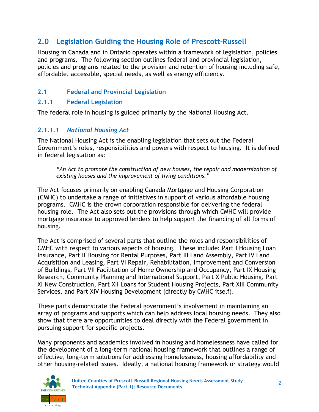# <span id="page-5-0"></span>**2.0 Legislation Guiding the Housing Role of Prescott-Russell**

Housing in Canada and in Ontario operates within a framework of legislation, policies and programs. The following section outlines federal and provincial legislation, policies and programs related to the provision and retention of housing including safe, affordable, accessible, special needs, as well as energy efficiency.

### <span id="page-5-1"></span>**2.1 Federal and Provincial Legislation**

#### <span id="page-5-2"></span>**2.1.1 Federal Legislation**

The federal role in housing is guided primarily by the National Housing Act.

### <span id="page-5-3"></span>*2.1.1.1 National Housing Act*

The National Housing Act is the enabling legislation that sets out the Federal Government's roles, responsibilities and powers with respect to housing. It is defined in federal legislation as:

*"An Act to promote the construction of new houses, the repair and modernization of existing houses and the improvement of living conditions."*

The Act focuses primarily on enabling Canada Mortgage and Housing Corporation (CMHC) to undertake a range of initiatives in support of various affordable housing programs. CMHC is the crown corporation responsible for delivering the federal housing role. The Act also sets out the provisions through which CMHC will provide mortgage insurance to approved lenders to help support the financing of all forms of housing.

The Act is comprised of several parts that outline the roles and responsibilities of CMHC with respect to various aspects of housing. These include: Part I Housing Loan Insurance, Part II Housing for Rental Purposes, Part III Land Assembly, Part IV Land Acquisition and Leasing, Part VI Repair, Rehabilitation, Improvement and Conversion of Buildings, Part VII Facilitation of Home Ownership and Occupancy, Part IX Housing Research, Community Planning and International Support, Part X Public Housing, Part XI New Construction, Part XII Loans for Student Housing Projects, Part XIII Community Services, and Part XIV Housing Development (directly by CMHC itself).

These parts demonstrate the Federal government's involvement in maintaining an array of programs and supports which can help address local housing needs. They also show that there are opportunities to deal directly with the Federal government in pursuing support for specific projects.

Many proponents and academics involved in housing and homelessness have called for the development of a long-term national housing framework that outlines a range of effective, long-term solutions for addressing homelessness, housing affordability and other housing-related issues. Ideally, a national housing framework or strategy would

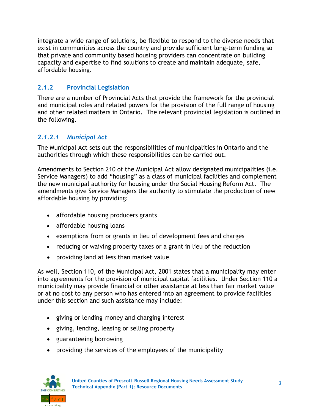integrate a wide range of solutions, be flexible to respond to the diverse needs that exist in communities across the country and provide sufficient long-term funding so that private and community based housing providers can concentrate on building capacity and expertise to find solutions to create and maintain adequate, safe, affordable housing.

## <span id="page-6-0"></span>**2.1.2 Provincial Legislation**

There are a number of Provincial Acts that provide the framework for the provincial and municipal roles and related powers for the provision of the full range of housing and other related matters in Ontario. The relevant provincial legislation is outlined in the following.

## <span id="page-6-1"></span>*2.1.2.1 Municipal Act*

The Municipal Act sets out the responsibilities of municipalities in Ontario and the authorities through which these responsibilities can be carried out.

Amendments to Section 210 of the Municipal Act allow designated municipalities (i.e. Service Managers) to add "housing" as a class of municipal facilities and complement the new municipal authority for housing under the Social Housing Reform Act. The amendments give Service Managers the authority to stimulate the production of new affordable housing by providing:

- affordable housing producers grants
- affordable housing loans
- exemptions from or grants in lieu of development fees and charges
- reducing or waiving property taxes or a grant in lieu of the reduction
- providing land at less than market value

As well, Section 110, of the Municipal Act, 2001 states that a municipality may enter into agreements for the provision of municipal capital facilities. Under Section 110 a municipality may provide financial or other assistance at less than fair market value or at no cost to any person who has entered into an agreement to provide facilities under this section and such assistance may include:

- giving or lending money and charging interest
- giving, lending, leasing or selling property
- guaranteeing borrowing
- providing the services of the employees of the municipality

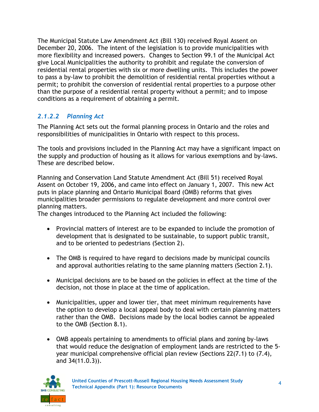The Municipal Statute Law Amendment Act (Bill 130) received Royal Assent on December 20, 2006. The intent of the legislation is to provide municipalities with more flexibility and increased powers. Changes to Section 99.1 of the Municipal Act give Local Municipalities the authority to prohibit and regulate the conversion of residential rental properties with six or more dwelling units. This includes the power to pass a by-law to prohibit the demolition of residential rental properties without a permit; to prohibit the conversion of residential rental properties to a purpose other than the purpose of a residential rental property without a permit; and to impose conditions as a requirement of obtaining a permit.

## <span id="page-7-0"></span>*2.1.2.2 Planning Act*

The Planning Act sets out the formal planning process in Ontario and the roles and responsibilities of municipalities in Ontario with respect to this process.

The tools and provisions included in the Planning Act may have a significant impact on the supply and production of housing as it allows for various exemptions and by-laws. These are described below.

Planning and Conservation Land Statute Amendment Act (Bill 51) received Royal Assent on October 19, 2006, and came into effect on January 1, 2007. This new Act puts in place planning and Ontario Municipal Board (OMB) reforms that gives municipalities broader permissions to regulate development and more control over planning matters.

The changes introduced to the Planning Act included the following:

- Provincial matters of interest are to be expanded to include the promotion of development that is designated to be sustainable, to support public transit, and to be oriented to pedestrians (Section 2).
- The OMB is required to have regard to decisions made by municipal councils and approval authorities relating to the same planning matters (Section 2.1).
- Municipal decisions are to be based on the policies in effect at the time of the decision, not those in place at the time of application.
- Municipalities, upper and lower tier, that meet minimum requirements have the option to develop a local appeal body to deal with certain planning matters rather than the OMB. Decisions made by the local bodies cannot be appealed to the OMB (Section 8.1).
- OMB appeals pertaining to amendments to official plans and zoning by-laws that would reduce the designation of employment lands are restricted to the 5 year municipal comprehensive official plan review (Sections 22(7.1) to (7.4), and 34(11.0.3)).

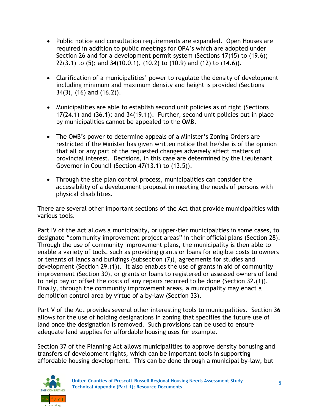- Public notice and consultation requirements are expanded. Open Houses are required in addition to public meetings for OPA's which are adopted under Section 26 and for a development permit system (Sections 17(15) to (19.6); 22(3.1) to (5); and 34(10.0.1), (10.2) to (10.9) and (12) to (14.6)).
- Clarification of a municipalities' power to regulate the density of development including minimum and maximum density and height is provided (Sections 34(3), (16) and (16.2)).
- Municipalities are able to establish second unit policies as of right (Sections 17(24.1) and (36.1); and 34(19.1)). Further, second unit policies put in place by municipalities cannot be appealed to the OMB.
- The OMB's power to determine appeals of a Minister's Zoning Orders are restricted if the Minister has given written notice that he/she is of the opinion that all or any part of the requested changes adversely affect matters of provincial interest. Decisions, in this case are determined by the Lieutenant Governor in Council (Section 47(13.1) to (13.5)).
- Through the site plan control process, municipalities can consider the accessibility of a development proposal in meeting the needs of persons with physical disabilities.

There are several other important sections of the Act that provide municipalities with various tools.

Part IV of the Act allows a municipality, or upper-tier municipalities in some cases, to designate "community improvement project areas" in their official plans (Section 28). Through the use of community improvement plans, the municipality is then able to enable a variety of tools, such as providing grants or loans for eligible costs to owners or tenants of lands and buildings (subsection (7)), agreements for studies and development (Section 29.(1)). It also enables the use of grants in aid of community improvement (Section 30), or grants or loans to registered or assessed owners of land to help pay or offset the costs of any repairs required to be done (Section 32.(1)). Finally, through the community improvement areas, a municipality may enact a demolition control area by virtue of a by-law (Section 33).

Part V of the Act provides several other interesting tools to municipalities. Section 36 allows for the use of holding designations in zoning that specifies the future use of land once the designation is removed. Such provisions can be used to ensure adequate land supplies for affordable housing uses for example.

Section 37 of the Planning Act allows municipalities to approve density bonusing and transfers of development rights, which can be important tools in supporting affordable housing development. This can be done through a municipal by-law, but

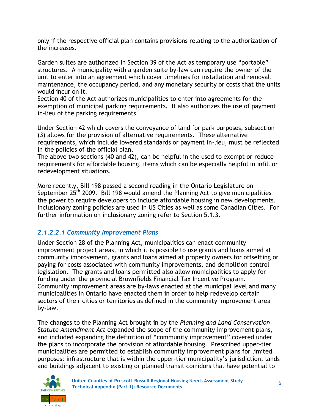only if the respective official plan contains provisions relating to the authorization of the increases.

Garden suites are authorized in Section 39 of the Act as temporary use "portable" structures. A municipality with a garden suite by-law can require the owner of the unit to enter into an agreement which cover timelines for installation and removal, maintenance, the occupancy period, and any monetary security or costs that the units would incur on it.

Section 40 of the Act authorizes municipalities to enter into agreements for the exemption of municipal parking requirements. It also authorizes the use of payment in-lieu of the parking requirements.

Under Section 42 which covers the conveyance of land for park purposes, subsection (3) allows for the provision of alternative requirements. These alternative requirements, which include lowered standards or payment in-lieu, must be reflected in the policies of the official plan.

The above two sections (40 and 42), can be helpful in the used to exempt or reduce requirements for affordable housing, items which can be especially helpful in infill or redevelopment situations.

More recently, Bill 198 passed a second reading in the Ontario Legislature on September  $25<sup>th</sup>$  2009. Bill 198 would amend the Planning Act to give municipalities the power to require developers to include affordable housing in new developments. Inclusionary zoning policies are used in US Cities as well as some Canadian Cities. For further information on inclusionary zoning refer to Section 5.1.3.

### <span id="page-9-0"></span>*2.1.2.2.1 Community Improvement Plans*

Under Section 28 of the Planning Act, municipalities can enact community improvement project areas, in which it is possible to use grants and loans aimed at community improvement, grants and loans aimed at property owners for offsetting or paying for costs associated with community improvements, and demolition control legislation. The grants and loans permitted also allow municipalities to apply for funding under the provincial Brownfields Financial Tax Incentive Program. Community improvement areas are by-laws enacted at the municipal level and many municipalities in Ontario have enacted them in order to help redevelop certain sectors of their cities or territories as defined in the community improvement area by-law.

The changes to the Planning Act brought in by the *Planning and Land Conservation Statute Amendment Act* expanded the scope of the community improvement plans, and included expanding the definition of "community improvement" covered under the plans to incorporate the provision of affordable housing. Prescribed upper-tier municipalities are permitted to establish community improvement plans for limited purposes: infrastructure that is within the upper-tier municipality's jurisdiction, lands and buildings adjacent to existing or planned transit corridors that have potential to

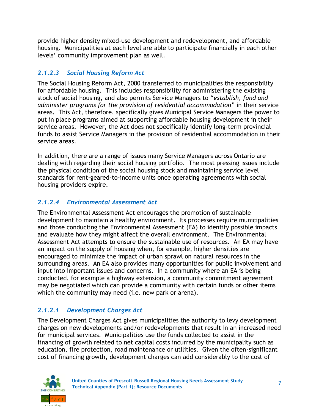provide higher density mixed-use development and redevelopment, and affordable housing. Municipalities at each level are able to participate financially in each other levels' community improvement plan as well.

## <span id="page-10-0"></span>*2.1.2.3 Social Housing Reform Act*

The Social Housing Reform Act, 2000 transferred to municipalities the responsibility for affordable housing. This includes responsibility for administering the existing stock of social housing, and also permits Service Managers to "establish, fund and *administer programs for the provision of residential accommodation*" in their service areas. This Act, therefore, specifically gives Municipal Service Managers the power to put in place programs aimed at supporting affordable housing development in their service areas. However, the Act does not specifically identify long-term provincial funds to assist Service Managers in the provision of residential accommodation in their service areas.

In addition, there are a range of issues many Service Managers across Ontario are dealing with regarding their social housing portfolio. The most pressing issues include the physical condition of the social housing stock and maintaining service level standards for rent-geared-to-income units once operating agreements with social housing providers expire.

## <span id="page-10-1"></span>*2.1.2.4 Environmental Assessment Act*

The Environmental Assessment Act encourages the promotion of sustainable development to maintain a healthy environment. Its processes require municipalities and those conducting the Environmental Assessment (EA) to identify possible impacts and evaluate how they might affect the overall environment. The Environmental Assessment Act attempts to ensure the sustainable use of resources. An EA may have an impact on the supply of housing when, for example, higher densities are encouraged to minimize the impact of urban sprawl on natural resources in the surrounding areas. An EA also provides many opportunities for public involvement and input into important issues and concerns. In a community where an EA is being conducted, for example a highway extension, a community commitment agreement may be negotiated which can provide a community with certain funds or other items which the community may need (i.e. new park or arena).

## <span id="page-10-2"></span>*2.1.2.1 Development Charges Act*

The Development Charges Act gives municipalities the authority to levy development charges on new developments and/or redevelopments that result in an increased need for municipal services. Municipalities use the funds collected to assist in the financing of growth related to net capital costs incurred by the municipality such as education, fire protection, road maintenance or utilities. Given the often-significant cost of financing growth, development charges can add considerably to the cost of

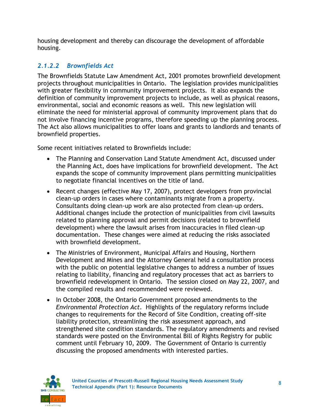housing development and thereby can discourage the development of affordable housing.

# <span id="page-11-0"></span>*2.1.2.2 Brownfields Act*

The Brownfields Statute Law Amendment Act, 2001 promotes brownfield development projects throughout municipalities in Ontario. The legislation provides municipalities with greater flexibility in community improvement projects. It also expands the definition of community improvement projects to include, as well as physical reasons, environmental, social and economic reasons as well. This new legislation will eliminate the need for ministerial approval of community improvement plans that do not involve financing incentive programs, therefore speeding up the planning process. The Act also allows municipalities to offer loans and grants to landlords and tenants of brownfield properties.

Some recent initiatives related to Brownfields include:

- The Planning and Conservation Land Statute Amendment Act, discussed under the Planning Act, does have implications for brownfield development. The Act expands the scope of community improvement plans permitting municipalities to negotiate financial incentives on the title of land.
- Recent changes (effective May 17, 2007), protect developers from provincial clean-up orders in cases where contaminants migrate from a property. Consultants doing clean-up work are also protected from clean-up orders. Additional changes include the protection of municipalities from civil lawsuits related to planning approval and permit decisions (related to brownfield development) where the lawsuit arises from inaccuracies in filed clean-up documentation. These changes were aimed at reducing the risks associated with brownfield development.
- The Ministries of Environment, Municipal Affairs and Housing, Northern Development and Mines and the Attorney General held a consultation process with the public on potential legislative changes to address a number of issues relating to liability, financing and regulatory processes that act as barriers to brownfield redevelopment in Ontario. The session closed on May 22, 2007, and the compiled results and recommended were reviewed.
- In October 2008, the Ontario Government proposed amendments to the *Environmental Protection Act*. Highlights of the regulatory reforms include changes to requirements for the Record of Site Condition, creating off-site liability protection, streamlining the risk assessment approach, and strengthened site condition standards. The regulatory amendments and revised standards were posted on the Environmental Bill of Rights Registry for public comment until February 10, 2009. The Government of Ontario is currently discussing the proposed amendments with interested parties.

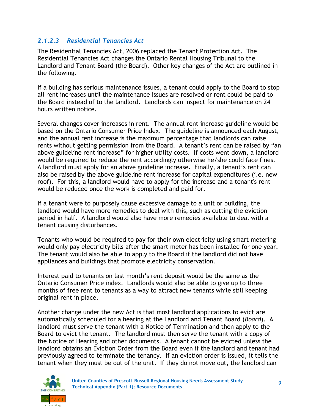#### <span id="page-12-0"></span>*2.1.2.3 Residential Tenancies Act*

The Residential Tenancies Act, 2006 replaced the Tenant Protection Act. The Residential Tenancies Act changes the Ontario Rental Housing Tribunal to the Landlord and Tenant Board (the Board). Other key changes of the Act are outlined in the following.

If a building has serious maintenance issues, a tenant could apply to the Board to stop all rent increases until the maintenance issues are resolved or rent could be paid to the Board instead of to the landlord. Landlords can inspect for maintenance on 24 hours written notice.

Several changes cover increases in rent. The annual rent increase guideline would be based on the Ontario Consumer Price Index. The guideline is announced each August, and the annual rent increase is the maximum percentage that landlords can raise rents without getting permission from the Board. A tenant's rent can be raised by "an above guideline rent increase" for higher utility costs. If costs went down, a landlord would be required to reduce the rent accordingly otherwise he/she could face fines. A landlord must apply for an above guideline increase. Finally, a tenant's rent can also be raised by the above guideline rent increase for capital expenditures (i.e. new roof). For this, a landlord would have to apply for the increase and a tenant's rent would be reduced once the work is completed and paid for.

If a tenant were to purposely cause excessive damage to a unit or building, the landlord would have more remedies to deal with this, such as cutting the eviction period in half. A landlord would also have more remedies available to deal with a tenant causing disturbances.

Tenants who would be required to pay for their own electricity using smart metering would only pay electricity bills after the smart meter has been installed for one year. The tenant would also be able to apply to the Board if the landlord did not have appliances and buildings that promote electricity conservation.

Interest paid to tenants on last month's rent deposit would be the same as the Ontario Consumer Price index. Landlords would also be able to give up to three months of free rent to tenants as a way to attract new tenants while still keeping original rent in place.

Another change under the new Act is that most landlord applications to evict are automatically scheduled for a hearing at the Landlord and Tenant Board (*Board*). A landlord must serve the tenant with a Notice of Termination and then apply to the Board to evict the tenant. The landlord must then serve the tenant with a copy of the Notice of Hearing and other documents. A tenant cannot be evicted unless the landlord obtains an Eviction Order from the Board even if the landlord and tenant had previously agreed to terminate the tenancy. If an eviction order is issued, it tells the tenant when they must be out of the unit. If they do not move out, the landlord can

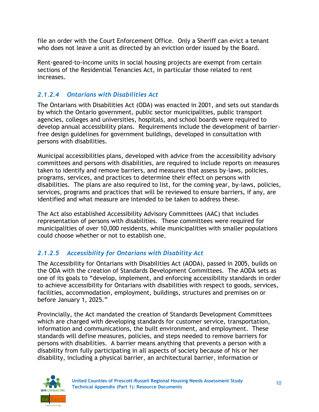file an order with the Court Enforcement Office. Only a Sheriff can evict a tenant who does not leave a unit as directed by an eviction order issued by the Board.

Rent-geared-to-income units in social housing projects are exempt from certain sections of the Residential Tenancies Act, in particular those related to rent increases.

## <span id="page-13-0"></span>*2.1.2.4 Ontarians with Disabilities Act*

The Ontarians with Disabilities Act (ODA) was enacted in 2001, and sets out standards by which the Ontario government, public sector municipalities, public transport agencies, colleges and universities, hospitals, and school boards were required to develop annual accessibility plans. Requirements include the development of barrierfree design guidelines for government buildings, developed in consultation with persons with disabilities.

Municipal accessibilities plans, developed with advice from the accessibility advisory committees and persons with disabilities, are required to include reports on measures taken to identify and remove barriers, and measures that assess by-laws, policies, programs, services, and practices to determine their effect on persons with disabilities. The plans are also required to list, for the coming year, by-laws, policies, services, programs and practices that will be reviewed to ensure barriers, if any, are identified and what measure are intended to be taken to address these.

The Act also established Accessibility Advisory Committees (AAC) that includes representation of persons with disabilities. These committees were required for municipalities of over 10,000 residents, while municipalities with smaller populations could choose whether or not to establish one.

## <span id="page-13-1"></span>*2.1.2.5 Accessibility for Ontarians with Disability Act*

The Accessibility for Ontarians with Disabilities Act (AODA), passed in 2005, builds on the ODA with the creation of Standards Development Committees. The AODA sets as one of its goals to "develop, implement, and enforcing accessibility standards in order to achieve accessibility for Ontarians with disabilities with respect to goods, services, facilities, accommodation, employment, buildings, structures and premises on or before January 1, 2025."

Provincially, the Act mandated the creation of Standards Development Committees which are charged with developing standards for customer service, transportation, information and communications, the built environment, and employment. These standards will define measures, policies, and steps needed to remove barriers for persons with disabilities. A barrier means anything that prevents a person with a disability from fully participating in all aspects of society because of his or her disability, including a physical barrier, an architectural barrier, information or

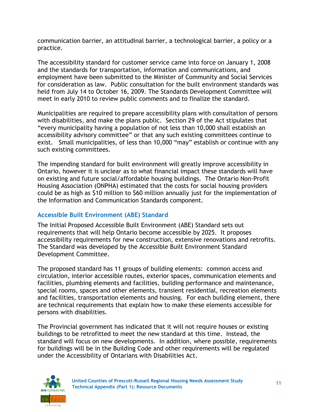communication barrier, an attitudinal barrier, a technological barrier, a policy or a practice.

The accessibility standard for customer service came into force on January 1, 2008 and the standards for transportation, information and communications, and employment have been submitted to the Minister of Community and Social Services for consideration as law. Public consultation for the built environment standards was held from July 14 to October 16, 2009. The Standards Development Committee will meet in early 2010 to review public comments and to finalize the standard.

Municipalities are required to prepare accessibility plans with consultation of persons with disabilities, and make the plans public. Section 29 of the Act stipulates that "every municipality having a population of not less than 10,000 shall establish an accessibility advisory committee" or that any such existing committees continue to exist. Small municipalities, of less than 10,000 "may" establish or continue with any such existing committees.

The impending standard for built environment will greatly improve accessibility in Ontario, however it is unclear as to what financial impact these standards will have on existing and future social/affordable housing buildings. The Ontario Non-Profit Housing Association (ONPHA) estimated that the costs for social housing providers could be as high as \$10 million to \$60 million annually just for the implementation of the Information and Communication Standards component.

### **Accessible Built Environment (ABE) Standard**

The Initial Proposed Accessible Built Environment (ABE) Standard sets out requirements that will help Ontario become accessible by 2025. It proposes accessibility requirements for new construction, extensive renovations and retrofits. The Standard was developed by the Accessible Built Environment Standard Development Committee.

The proposed standard has 11 groups of building elements: common access and circulation, interior accessible routes, exterior spaces, communication elements and facilities, plumbing elements and facilities, building performance and maintenance, special rooms, spaces and other elements, transient residential, recreation elements and facilities, transportation elements and housing. For each building element, there are technical requirements that explain how to make these elements accessible for persons with disabilities.

The Provincial government has indicated that it will not require houses or existing buildings to be retrofitted to meet the new standard at this time. Instead, the standard will focus on new developments. In addition, where possible, requirements for buildings will be in the Building Code and other requirements will be regulated under the Accessibility of Ontarians with Disabilities Act.

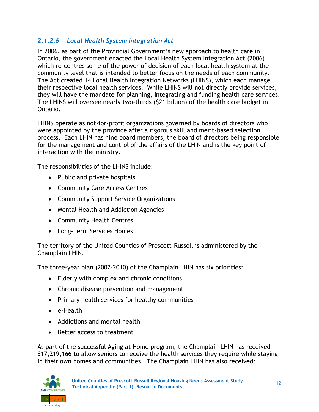## <span id="page-15-0"></span>*2.1.2.6 Local Health System Integration Act*

In 2006, as part of the Provincial Government's new approach to health care in Ontario, the government enacted the Local Health System Integration Act (2006) which re-centres some of the power of decision of each local health system at the community level that is intended to better focus on the needs of each community. The Act created 14 Local Health Integration Networks (LHINS), which each manage their respective local health services. While LHINS will not directly provide services, they will have the mandate for planning, integrating and funding health care services. The LHINS will oversee nearly two-thirds (\$21 billion) of the health care budget in Ontario.

LHINS operate as not-for-profit organizations governed by boards of directors who were appointed by the province after a rigorous skill and merit-based selection process. Each LHIN has nine board members, the board of directors being responsible for the management and control of the affairs of the LHIN and is the key point of interaction with the ministry.

The responsibilities of the LHINS include:

- Public and private hospitals
- Community Care Access Centres
- Community Support Service Organizations
- Mental Health and Addiction Agencies
- Community Health Centres
- Long-Term Services Homes

The territory of the United Counties of Prescott-Russell is administered by the Champlain LHIN.

The three-year plan (2007-2010) of the Champlain LHIN has six priorities:

- Elderly with complex and chronic conditions
- Chronic disease prevention and management
- Primary health services for healthy communities
- e-Health
- Addictions and mental health
- Better access to treatment

As part of the successful Aging at Home program, the Champlain LHIN has received \$17,219,166 to allow seniors to receive the health services they require while staying in their own homes and communities. The Champlain LHIN has also received:

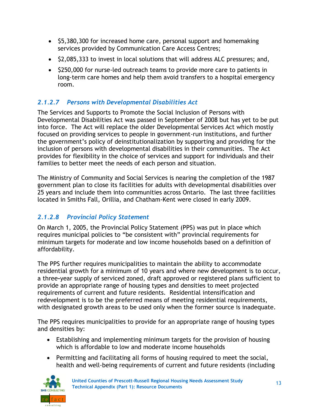- \$5,380,300 for increased home care, personal support and homemaking services provided by Communication Care Access Centres;
- \$2,085,333 to invest in local solutions that will address ALC pressures; and,
- \$250,000 for nurse-led outreach teams to provide more care to patients in long-term care homes and help them avoid transfers to a hospital emergency room.

# <span id="page-16-0"></span>*2.1.2.7 Persons with Developmental Disabilities Act*

The Services and Supports to Promote the Social Inclusion of Persons with Developmental Disabilities Act was passed in September of 2008 but has yet to be put into force. The Act will replace the older Developmental Services Act which mostly focused on providing services to people in government-run institutions, and further the government's policy of deinstitutionalization by supporting and providing for the inclusion of persons with developmental disabilities in their communities. The Act provides for flexibility in the choice of services and support for individuals and their families to better meet the needs of each person and situation.

The Ministry of Community and Social Services is nearing the completion of the 1987 government plan to close its facilities for adults with developmental disabilities over 25 years and include them into communities across Ontario. The last three facilities located in Smiths Fall, Orillia, and Chatham-Kent were closed in early 2009.

# <span id="page-16-1"></span>*2.1.2.8 Provincial Policy Statement*

On March 1, 2005, the Provincial Policy Statement (PPS) was put in place which requires municipal policies to "be consistent with" provincial requirements for minimum targets for moderate and low income households based on a definition of affordability.

The PPS further requires municipalities to maintain the ability to accommodate residential growth for a minimum of 10 years and where new development is to occur, a three**-**year supply of serviced zoned, draft approved or registered plans sufficient to provide an appropriate range of housing types and densities to meet projected requirements of current and future residents. Residential intensification and redevelopment is to be the preferred means of meeting residential requirements, with designated growth areas to be used only when the former source is inadequate.

The PPS requires municipalities to provide for an appropriate range of housing types and densities by:

- Establishing and implementing minimum targets for the provision of housing which is affordable to low and moderate income households
- Permitting and facilitating all forms of housing required to meet the social, health and well-being requirements of current and future residents (including

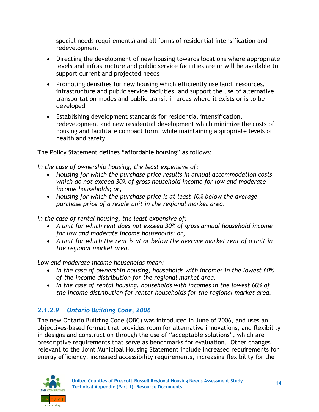special needs requirements) and all forms of residential intensification and redevelopment

- Directing the development of new housing towards locations where appropriate levels and infrastructure and public service facilities are or will be available to support current and projected needs
- Promoting densities for new housing which efficiently use land, resources, infrastructure and public service facilities, and support the use of alternative transportation modes and public transit in areas where it exists or is to be developed
- Establishing development standards for residential intensification, redevelopment and new residential development which minimize the costs of housing and facilitate compact form, while maintaining appropriate levels of health and safety.

The Policy Statement defines "affordable housing" as follows:

*In the case of ownership housing, the least expensive of:* 

- *Housing for which the purchase price results in annual accommodation costs which do not exceed 30% of gross household income for low and moderate income households; or,*
- *Housing for which the purchase price is at least 10% below the average purchase price of a resale unit in the regional market area.*

*In the case of rental housing, the least expensive of:* 

- *A unit for which rent does not exceed 30% of gross annual household income for low and moderate income households; or,*
- *A unit for which the rent is at or below the average market rent of a unit in the regional market area.*

*Low and moderate income households mean:* 

- *In the case of ownership housing, households with incomes in the lowest 60% of the income distribution for the regional market area.*
- In the case of rental housing, households with incomes in the lowest 60% of *the income distribution for renter households for the regional market area.*

# <span id="page-17-0"></span>*2.1.2.9 Ontario Building Code, 2006*

The new Ontario Building Code (OBC) was introduced in June of 2006, and uses an objectives-based format that provides room for alternative innovations, and flexibility in designs and construction through the use of "acceptable solutions", which are prescriptive requirements that serve as benchmarks for evaluation. Other changes relevant to the Joint Municipal Housing Statement include increased requirements for energy efficiency, increased accessibility requirements, increasing flexibility for the

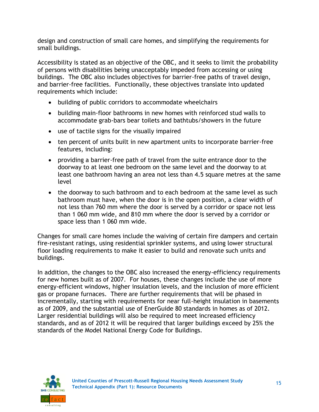design and construction of small care homes, and simplifying the requirements for small buildings.

Accessibility is stated as an objective of the OBC, and it seeks to limit the probability of persons with disabilities being unacceptably impeded from accessing or using buildings. The OBC also includes objectives for barrier-free paths of travel design, and barrier-free facilities. Functionally, these objectives translate into updated requirements which include:

- building of public corridors to accommodate wheelchairs
- building main-floor bathrooms in new homes with reinforced stud walls to accommodate grab-bars bear toilets and bathtubs/showers in the future
- use of tactile signs for the visually impaired
- ten percent of units built in new apartment units to incorporate barrier-free features, including:
- providing a barrier-free path of travel from the suite entrance door to the doorway to at least one bedroom on the same level and the doorway to at least one bathroom having an area not less than 4.5 square metres at the same level
- the doorway to such bathroom and to each bedroom at the same level as such bathroom must have, when the door is in the open position, a clear width of not less than 760 mm where the door is served by a corridor or space not less than 1 060 mm wide, and 810 mm where the door is served by a corridor or space less than 1 060 mm wide.

Changes for small care homes include the waiving of certain fire dampers and certain fire-resistant ratings, using residential sprinkler systems, and using lower structural floor loading requirements to make it easier to build and renovate such units and buildings.

In addition, the changes to the OBC also increased the energy-efficiency requirements for new homes built as of 2007. For houses, these changes include the use of more energy-efficient windows, higher insulation levels, and the inclusion of more efficient gas or propane furnaces. There are further requirements that will be phased in incrementally, starting with requirements for near full-height insulation in basements as of 2009, and the substantial use of EnerGuide 80 standards in homes as of 2012. Larger residential buildings will also be required to meet increased efficiency standards, and as of 2012 it will be required that larger buildings exceed by 25% the standards of the Model National Energy Code for Buildings.

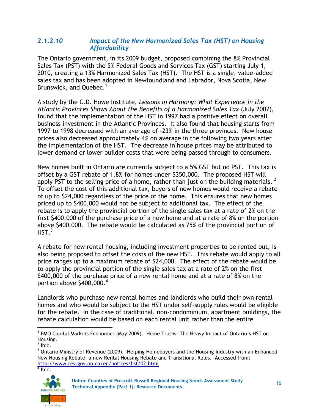#### <span id="page-19-0"></span>*2.1.2.10 Impact of the New Harmonized Sales Tax (HST) on Housing Affordability*

The Ontario government, in its 2009 budget, proposed combining the 8% Provincial Sales Tax (PST) with the 5% Federal Goods and Services Tax (GST) starting July 1, 2010, creating a 13% Harmonized Sales Tax (HST). The HST is a single, value-added sales tax and has been adopted in Newfoundland and Labrador, Nova Scotia, New Brunswick, and Quebec.<sup>1</sup>

A study by the C.D. Howe Institute, *Lessons in Harmony: What Experience in the Atlantic Provinces Shows About the Benefits of a Harmonized Sales Tax* (July 2007), found that the implementation of the HST in 1997 had a positive effect on overall business investment in the Atlantic Provinces. It also found that housing starts from 1997 to 1998 decreased with an average of -23% in the three provinces. New house prices also decreased approximately 4% on average in the following two years after the implementation of the HST. The decrease in house prices may be attributed to lower demand or lower builder costs that were being passed through to consumers.

New homes built in Ontario are currently subject to a 5% GST but no PST. This tax is offset by a GST rebate of 1.8% for homes under \$350,000. The proposed HST will apply PST to the selling price of a home, rather than just on the building materials.  $^2$ To offset the cost of this additional tax, buyers of new homes would receive a rebate of up to \$24,000 regardless of the price of the home. This ensures that new homes priced up to \$400,000 would not be subject to additional tax. The effect of the rebate is to apply the provincial portion of the single sales tax at a rate of 2% on the first \$400,000 of the purchase price of a new home and at a rate of 8% on the portion above \$400,000. The rebate would be calculated as 75% of the provincial portion of  $HST.<sup>3</sup>$ 

A rebate for new rental housing, including investment properties to be rented out, is also being proposed to offset the costs of the new HST. This rebate would apply to all price ranges up to a maximum rebate of \$24,000. The effect of the rebate would be to apply the provincial portion of the single sales tax at a rate of 2% on the first \$400,000 of the purchase price of a new rental home and at a rate of 8% on the portion above \$400,000.<sup>4</sup>

Landlords who purchase new rental homes and landlords who build their own rental homes and who would be subject to the HST under self-supply rules would be eligible for the rebate. In the case of traditional, non-condominium, apartment buildings, the rebate calculation would be based on each rental unit rather than the entire

l

 $<sup>4</sup>$  Ibid.</sup>



<sup>&</sup>lt;sup>1</sup> BMO Capital Markets Economics (May 2009). Home Truths: The Heavy Impact of Ontario's HST on Housing.

 $<sup>2</sup>$  lbid.</sup>

<sup>&</sup>lt;sup>3</sup> Ontario Ministry of Revenue (2009). Helping Homebuyers and the Housing Industry with an Enhanced New Housing Rebate, a new Rental Housing Rebate and Transitional Rules. Accessed from: <http://www.rev.gov.on.ca/en/notices/hst/02.html>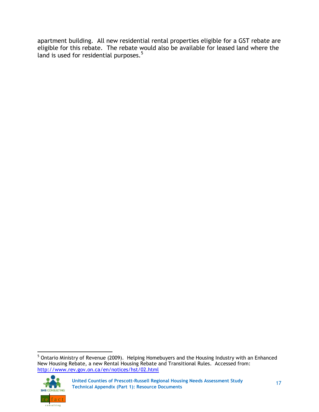apartment building. All new residential rental properties eligible for a GST rebate are eligible for this rebate. The rebate would also be available for leased land where the land is used for residential purposes.<sup>5</sup>

  $<sup>5</sup>$  Ontario Ministry of Revenue (2009). Helping Homebuyers and the Housing Industry with an Enhanced</sup> New Housing Rebate, a new Rental Housing Rebate and Transitional Rules. Accessed from: <http://www.rev.gov.on.ca/en/notices/hst/02.html>

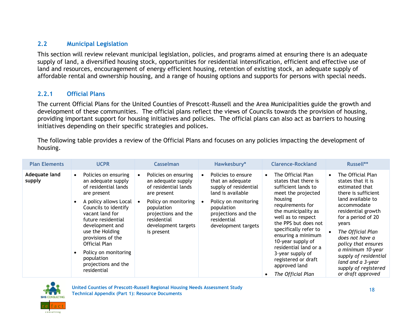#### **2.2 Municipal Legislation**

This section will review relevant municipal legislation, policies, and programs aimed at ensuring there is an adequate supply of land, a diversified housing stock, opportunities for residential intensification, efficient and effective use of land and resources, encouragement of energy efficient housing, retention of existing stock, an adequate supply of affordable rental and ownership housing, and a range of housing options and supports for persons with special needs.

#### **2.2.1 Official Plans**

The current Official Plans for the United Counties of Prescott-Russell and the Area Municipalities guide the growth and development of these communities. The official plans reflect the views of Councils towards the provision of housing, providing important support for housing initiatives and policies. The official plans can also act as barriers to housing initiatives depending on their specific strategies and polices.

<span id="page-21-0"></span>The following table provides a review of the Official Plans and focuses on any policies impacting the development of housing.

<span id="page-21-1"></span>

| <b>Plan Elements</b>    | <b>UCPR</b>                                                                                                                                                                                                                                                                                                                                      | <b>Casselman</b>                                                                                                                                                                                   | Hawkesbury*                                                                                                                                                                             | <b>Clarence-Rockland</b>                                                                                                                                                                                                                                                                                                                                                 | Russell**                                                                                                                                                                                                                                                                                                                                               |
|-------------------------|--------------------------------------------------------------------------------------------------------------------------------------------------------------------------------------------------------------------------------------------------------------------------------------------------------------------------------------------------|----------------------------------------------------------------------------------------------------------------------------------------------------------------------------------------------------|-----------------------------------------------------------------------------------------------------------------------------------------------------------------------------------------|--------------------------------------------------------------------------------------------------------------------------------------------------------------------------------------------------------------------------------------------------------------------------------------------------------------------------------------------------------------------------|---------------------------------------------------------------------------------------------------------------------------------------------------------------------------------------------------------------------------------------------------------------------------------------------------------------------------------------------------------|
| Adequate land<br>supply | Policies on ensuring<br>$\bullet$<br>an adequate supply<br>of residential lands<br>are present<br>A policy allows Local<br>Councils to identify<br>vacant land for<br>future residential<br>development and<br>use the Holding<br>provisions of the<br>Official Plan<br>Policy on monitoring<br>population<br>projections and the<br>residential | Policies on ensuring<br>an adequate supply<br>of residential lands<br>are present<br>Policy on monitoring<br>population<br>projections and the<br>residential<br>development targets<br>is present | Policies to ensure<br>that an adequate<br>supply of residential<br>land is available<br>Policy on monitoring<br>population<br>projections and the<br>residential<br>development targets | The Official Plan<br>states that there is<br>sufficient lands to<br>meet the projected<br>housing<br>requirements for<br>the municipality as<br>well as to respect<br>the PPS but does not<br>specifically refer to<br>ensuring a minimum<br>10-year supply of<br>residential land or a<br>3-year supply of<br>registered or draft<br>approved land<br>The Official Plan | The Official Plan<br>states that it is<br>estimated that<br>there is sufficient<br>land available to<br>accommodate<br>residential growth<br>for a period of 20<br>years<br>The Official Plan<br>does not have a<br>policy that ensures<br>a minimum 10-year<br>supply of residential<br>land and a 3-year<br>supply of registered<br>or draft approved |

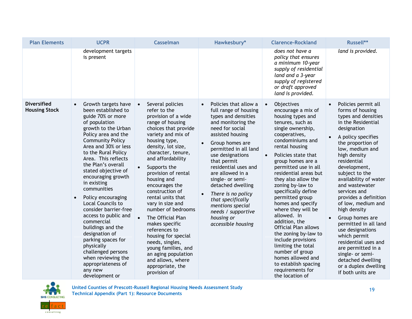| <b>Plan Elements</b>                       |                        | <b>UCPR</b>                                                                                                                                                                                                                                                                                                                                                                                                                                                                                                                                                                                                          | <b>Casselman</b>                                                                                                                                                                                                                                                                                                                                                                                                                                                                                                                                                               | Hawkesbury*                                                                                                                                                                                                                                                                                                                                                                                                                     |           | <b>Clarence-Rockland</b>                                                                                                                                                                                                                                                                                                                                                                                                                                                                                                                                                                                                     | Russell**                                                                                                                                                                                                                                                                                                                                                                                                                                                                                                                                                                        |
|--------------------------------------------|------------------------|----------------------------------------------------------------------------------------------------------------------------------------------------------------------------------------------------------------------------------------------------------------------------------------------------------------------------------------------------------------------------------------------------------------------------------------------------------------------------------------------------------------------------------------------------------------------------------------------------------------------|--------------------------------------------------------------------------------------------------------------------------------------------------------------------------------------------------------------------------------------------------------------------------------------------------------------------------------------------------------------------------------------------------------------------------------------------------------------------------------------------------------------------------------------------------------------------------------|---------------------------------------------------------------------------------------------------------------------------------------------------------------------------------------------------------------------------------------------------------------------------------------------------------------------------------------------------------------------------------------------------------------------------------|-----------|------------------------------------------------------------------------------------------------------------------------------------------------------------------------------------------------------------------------------------------------------------------------------------------------------------------------------------------------------------------------------------------------------------------------------------------------------------------------------------------------------------------------------------------------------------------------------------------------------------------------------|----------------------------------------------------------------------------------------------------------------------------------------------------------------------------------------------------------------------------------------------------------------------------------------------------------------------------------------------------------------------------------------------------------------------------------------------------------------------------------------------------------------------------------------------------------------------------------|
|                                            |                        | development targets<br>is present                                                                                                                                                                                                                                                                                                                                                                                                                                                                                                                                                                                    |                                                                                                                                                                                                                                                                                                                                                                                                                                                                                                                                                                                |                                                                                                                                                                                                                                                                                                                                                                                                                                 |           | does not have a<br>policy that ensures<br>a minimum 10-year<br>supply of residential<br>land and a 3-year<br>supply of registered<br>or draft approved<br>land is provided.                                                                                                                                                                                                                                                                                                                                                                                                                                                  | land is provided.                                                                                                                                                                                                                                                                                                                                                                                                                                                                                                                                                                |
| <b>Diversified</b><br><b>Housing Stock</b> | $\bullet$<br>$\bullet$ | Growth targets have<br>been established to<br>guide 70% or more<br>of population<br>growth to the Urban<br>Policy area and the<br><b>Community Policy</b><br>Area and 30% or less<br>to the Rural Policy<br>Area. This reflects<br>the Plan's overall<br>stated objective of<br>encouraging growth<br>in existing<br>communities<br>Policy encouraging<br>Local Councils to<br>consider barrier-free<br>access to public and<br>commercial<br>buildings and the<br>designation of<br>parking spaces for<br>physically<br>challenged persons<br>when reviewing the<br>appropriateness of<br>any new<br>development or | Several policies<br>refer to the<br>provision of a wide<br>range of housing<br>choices that provide<br>variety and mix of<br>housing type,<br>density, lot size,<br>character, tenure,<br>and affordability<br>Supports the<br>provision of rental<br>housing and<br>encourages the<br>construction of<br>rental units that<br>vary in size and<br>number of bedrooms<br>The Official Plan<br>makes specific<br>references to<br>housing for special<br>needs, singles,<br>young families, and<br>an aging population<br>and allows, where<br>appropriate, the<br>provision of | Policies that allow a<br>full range of housing<br>types and densities<br>and monitoring the<br>need for social<br>assisted housing<br>Group homes are<br>permitted in all land<br>use designations<br>that permit<br>residential uses and<br>are allowed in a<br>single- or semi-<br>detached dwelling<br>There is no policy<br>that specifically<br>mentions special<br>needs / supportive<br>housing or<br>accessible housing | $\bullet$ | Objectives<br>encourage a mix of<br>housing types and<br>tenures, such as<br>single ownership,<br>cooperatives,<br>condominiums and<br>rental housing<br>Policies state that<br>group homes are a<br>permitted use in all<br>residential areas but<br>they also allow the<br>zoning by-law to<br>specifically define<br>permitted group<br>homes and specify<br>where they will be<br>allowed. In<br>addition, the<br><b>Official Plan allows</b><br>the zoning by-law to<br>include provisions<br>limiting the total<br>number of group<br>homes allowed and<br>to establish spacing<br>requirements for<br>the location of | Policies permit all<br>forms of housing<br>types and densities<br>in the Residential<br>designation<br>A policy specifies<br>the proportion of<br>low, medium and<br>high density<br>residential<br>development,<br>subject to the<br>availability of water<br>and wastewater<br>services and<br>provides a definition<br>of low, medium and<br>high density<br>Group homes are<br>permitted in all land<br>use designations<br>which permit<br>residential uses and<br>are permitted in a<br>single- or semi-<br>detached dwelling<br>or a duplex dwelling<br>if both units are |

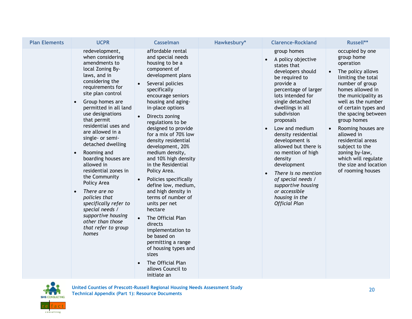| <b>Plan Elements</b> | <b>UCPR</b>                                                                                                                                                                                                                                                                                                                                                                                                                                                                                                                                                                                                                       | <b>Casselman</b>                                                                                                                                                                                                                                                                                                                                                                                                                                                                                                                                                                                                                                                                                                                              | Hawkesbury* | <b>Clarence-Rockland</b>                                                                                                                                                                                                                                                                                                                                                                                                                                                                           | Russell**                                                                                                                                                                                                                                                                                                                                                                                                 |
|----------------------|-----------------------------------------------------------------------------------------------------------------------------------------------------------------------------------------------------------------------------------------------------------------------------------------------------------------------------------------------------------------------------------------------------------------------------------------------------------------------------------------------------------------------------------------------------------------------------------------------------------------------------------|-----------------------------------------------------------------------------------------------------------------------------------------------------------------------------------------------------------------------------------------------------------------------------------------------------------------------------------------------------------------------------------------------------------------------------------------------------------------------------------------------------------------------------------------------------------------------------------------------------------------------------------------------------------------------------------------------------------------------------------------------|-------------|----------------------------------------------------------------------------------------------------------------------------------------------------------------------------------------------------------------------------------------------------------------------------------------------------------------------------------------------------------------------------------------------------------------------------------------------------------------------------------------------------|-----------------------------------------------------------------------------------------------------------------------------------------------------------------------------------------------------------------------------------------------------------------------------------------------------------------------------------------------------------------------------------------------------------|
|                      | redevelopment,<br>when considering<br>amendments to<br>local Zoning By-<br>laws, and in<br>considering the<br>requirements for<br>site plan control<br>Group homes are<br>$\bullet$<br>permitted in all land<br>use designations<br>that permit<br>residential uses and<br>are allowed in a<br>single- or semi-<br>detached dwelling<br>Rooming and<br>$\bullet$<br>boarding houses are<br>allowed in<br>residential zones in<br>the Community<br>Policy Area<br>There are no<br>$\bullet$<br>policies that<br>specifically refer to<br>special needs /<br>supportive housing<br>other than those<br>that refer to group<br>homes | affordable rental<br>and special needs<br>housing to be a<br>component of<br>development plans<br>Several policies<br>specifically<br>encourage seniors<br>housing and aging-<br>in-place options<br>Directs zoning<br>regulations to be<br>designed to provide<br>for a mix of 70% low<br>density residential<br>development, 20%<br>medium density,<br>and 10% high density<br>in the Residential<br>Policy Area.<br>Policies specifically<br>define low, medium,<br>and high density in<br>terms of number of<br>units per net<br>hectare<br>The Official Plan<br>directs<br>implementation to<br>be based on<br>permitting a range<br>of housing types and<br>sizes<br>The Official Plan<br>$\bullet$<br>allows Council to<br>initiate an |             | group homes<br>A policy objective<br>$\bullet$<br>states that<br>developers should<br>be required to<br>provide a<br>percentage of larger<br>lots intended for<br>single detached<br>dwellings in all<br>subdivision<br>proposals<br>Low and medium<br>density residential<br>development is<br>allowed but there is<br>no mention of high<br>density<br>development<br>There is no mention<br>of special needs /<br>supportive housing<br>or accessible<br>housing in the<br><b>Official Plan</b> | occupied by one<br>group home<br>operation<br>The policy allows<br>limiting the total<br>number of group<br>homes allowed in<br>the municipality as<br>well as the number<br>of certain types and<br>the spacing between<br>group homes<br>Rooming houses are<br>allowed in<br>residential areas<br>subject to the<br>zoning by-law,<br>which will regulate<br>the size and location<br>of rooming houses |

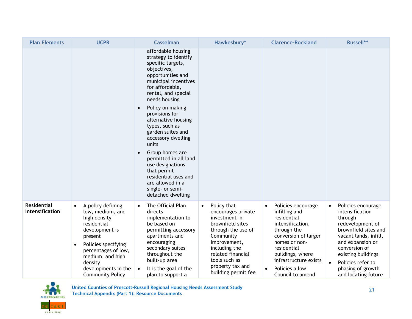| <b>Plan Elements</b>                         | <b>UCPR</b>                                                                                                                                                                                                                                                | Casselman                                                                                                                                                                                                                                   | Hawkesbury*                                                                                                                                                                                                                              | <b>Clarence-Rockland</b>                                                                                                                                                                                                                      | Russell**                                                                                                                                                                                                                                                      |
|----------------------------------------------|------------------------------------------------------------------------------------------------------------------------------------------------------------------------------------------------------------------------------------------------------------|---------------------------------------------------------------------------------------------------------------------------------------------------------------------------------------------------------------------------------------------|------------------------------------------------------------------------------------------------------------------------------------------------------------------------------------------------------------------------------------------|-----------------------------------------------------------------------------------------------------------------------------------------------------------------------------------------------------------------------------------------------|----------------------------------------------------------------------------------------------------------------------------------------------------------------------------------------------------------------------------------------------------------------|
|                                              |                                                                                                                                                                                                                                                            | affordable housing<br>strategy to identify<br>specific targets,<br>objectives,<br>opportunities and<br>municipal incentives<br>for affordable,<br>rental, and special<br>needs housing                                                      |                                                                                                                                                                                                                                          |                                                                                                                                                                                                                                               |                                                                                                                                                                                                                                                                |
|                                              |                                                                                                                                                                                                                                                            | Policy on making<br>provisions for<br>alternative housing<br>types, such as<br>garden suites and<br>accessory dwelling<br>units                                                                                                             |                                                                                                                                                                                                                                          |                                                                                                                                                                                                                                               |                                                                                                                                                                                                                                                                |
|                                              |                                                                                                                                                                                                                                                            | Group homes are<br>permitted in all land<br>use designations<br>that permit<br>residential uses and<br>are allowed in a<br>single- or semi-<br>detached dwelling                                                                            |                                                                                                                                                                                                                                          |                                                                                                                                                                                                                                               |                                                                                                                                                                                                                                                                |
| <b>Residential</b><br><b>Intensification</b> | A policy defining<br>$\bullet$<br>low, medium, and<br>high density<br>residential<br>development is<br>present<br>Policies specifying<br>$\bullet$<br>percentages of low,<br>medium, and high<br>density<br>developments in the<br><b>Community Policy</b> | The Official Plan<br>$\bullet$<br>directs<br>implementation to<br>be based on<br>permitting accessory<br>apartments and<br>encouraging<br>secondary suites<br>throughout the<br>built-up area<br>It is the goal of the<br>plan to support a | Policy that<br>$\bullet$<br>encourages private<br>investment in<br>brownfield sites<br>through the use of<br>Community<br>Improvement,<br>including the<br>related financial<br>tools such as<br>property tax and<br>building permit fee | Policies encourage<br>$\bullet$<br>infilling and<br>residential<br>intensification,<br>through the<br>conversion of larger<br>homes or non-<br>residential<br>buildings, where<br>infrastructure exists<br>Policies allow<br>Council to amend | Policies encourage<br>$\bullet$<br>intensification<br>through<br>redevelopment of<br>brownfield sites and<br>vacant lands, infill,<br>and expansion or<br>conversion of<br>existing buildings<br>Policies refer to<br>phasing of growth<br>and locating future |

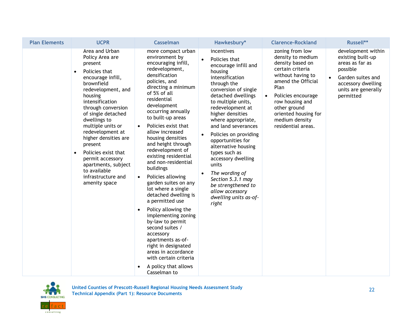| <b>Plan Elements</b> | <b>UCPR</b>                                                                                                                                                                                                                                                                                                                                                                                                                                     | <b>Casselman</b>                                                                                                                                                                                                                                                                                                                                                                                                                                                                                                                                                                                                                                                                                                                                                                                | Hawkesbury*                                                                                                                                                                                                                                                                                                                                                                                                                                                                                                                             | <b>Clarence-Rockland</b>                                                                                                                                                                                                                                              | Russell**                                                                                                                                             |
|----------------------|-------------------------------------------------------------------------------------------------------------------------------------------------------------------------------------------------------------------------------------------------------------------------------------------------------------------------------------------------------------------------------------------------------------------------------------------------|-------------------------------------------------------------------------------------------------------------------------------------------------------------------------------------------------------------------------------------------------------------------------------------------------------------------------------------------------------------------------------------------------------------------------------------------------------------------------------------------------------------------------------------------------------------------------------------------------------------------------------------------------------------------------------------------------------------------------------------------------------------------------------------------------|-----------------------------------------------------------------------------------------------------------------------------------------------------------------------------------------------------------------------------------------------------------------------------------------------------------------------------------------------------------------------------------------------------------------------------------------------------------------------------------------------------------------------------------------|-----------------------------------------------------------------------------------------------------------------------------------------------------------------------------------------------------------------------------------------------------------------------|-------------------------------------------------------------------------------------------------------------------------------------------------------|
|                      | Area and Urban<br>Policy Area are<br>present<br>Policies that<br>$\bullet$<br>encourage infill,<br>brownfield<br>redevelopment, and<br>housing<br>intensification<br>through conversion<br>of single detached<br>dwellings to<br>multiple units or<br>redevelopment at<br>higher densities are<br>present<br>Policies exist that<br>$\bullet$<br>permit accessory<br>apartments, subject<br>to available<br>infrastructure and<br>amenity space | more compact urban<br>environment by<br>encouraging infill,<br>redevelopment,<br>densification<br>policies, and<br>directing a minimum<br>of 5% of all<br>residential<br>development<br>occurring annually<br>to built-up areas<br>Policies exist that<br>$\bullet$<br>allow increased<br>housing densities<br>and height through<br>redevelopment of<br>existing residential<br>and non-residential<br>buildings<br>Policies allowing<br>$\bullet$<br>garden suites on any<br>lot where a single<br>detached dwelling is<br>a permitted use<br>Policy allowing the<br>$\bullet$<br>implementing zoning<br>by-law to permit<br>second suites /<br>accessory<br>apartments as-of-<br>right in designated<br>areas in accordance<br>with certain criteria<br>A policy that allows<br>Casselman to | incentives<br>Policies that<br>$\bullet$<br>encourage infill and<br>housing<br>intensification<br>through the<br>conversion of single<br>detached dwellings<br>to multiple units,<br>redevelopment at<br>higher densities<br>where appropriate,<br>and land severances<br>Policies on providing<br>$\bullet$<br>opportunities for<br>alternative housing<br>types such as<br>accessory dwelling<br>units<br>The wording of<br>$\bullet$<br>Section 5.3.1 may<br>be strengthened to<br>allow accessory<br>dwelling units as-of-<br>right | zoning from low<br>density to medium<br>density based on<br>certain criteria<br>without having to<br>amend the Official<br>Plan<br>Policies encourage<br>$\bullet$<br>row housing and<br>other ground<br>oriented housing for<br>medium density<br>residential areas. | development within<br>existing built-up<br>areas as far as<br>possible<br>Garden suites and<br>accessory dwelling<br>units are generally<br>permitted |

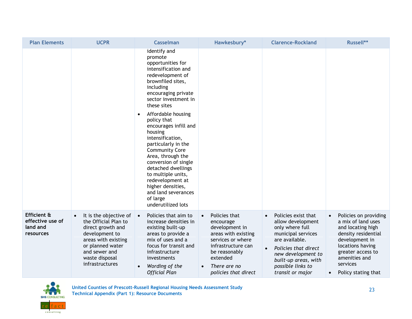| <b>Plan Elements</b>                                     | <b>UCPR</b>                                                                                                                                                                                         | <b>Casselman</b>                                                                                                                                                                                                                                                                                                                                                                                                                                                                                                                             | Hawkesbury*                                                                                                                                                                                      | <b>Clarence-Rockland</b>                                                                                                                                                                                           | Russell**                                                                                                                                                                                                           |
|----------------------------------------------------------|-----------------------------------------------------------------------------------------------------------------------------------------------------------------------------------------------------|----------------------------------------------------------------------------------------------------------------------------------------------------------------------------------------------------------------------------------------------------------------------------------------------------------------------------------------------------------------------------------------------------------------------------------------------------------------------------------------------------------------------------------------------|--------------------------------------------------------------------------------------------------------------------------------------------------------------------------------------------------|--------------------------------------------------------------------------------------------------------------------------------------------------------------------------------------------------------------------|---------------------------------------------------------------------------------------------------------------------------------------------------------------------------------------------------------------------|
|                                                          |                                                                                                                                                                                                     | identify and<br>promote<br>opportunities for<br>intensification and<br>redevelopment of<br>brownfiled sites,<br>including<br>encouraging private<br>sector investment in<br>these sites<br>Affordable housing<br>$\bullet$<br>policy that<br>encourages infill and<br>housing<br>intensification,<br>particularly in the<br><b>Community Core</b><br>Area, through the<br>conversion of single<br>detached dwellings<br>to multiple units,<br>redevelopment at<br>higher densities,<br>and land severances<br>of large<br>underutilized lots |                                                                                                                                                                                                  |                                                                                                                                                                                                                    |                                                                                                                                                                                                                     |
| Efficient &<br>effective use of<br>land and<br>resources | It is the objective of<br>$\bullet$<br>the Official Plan to<br>direct growth and<br>development to<br>areas with existing<br>or planned water<br>and sewer and<br>waste disposal<br>infrastructures | Policies that aim to<br>$\bullet$<br>increase densities in<br>existing built-up<br>areas to provide a<br>mix of uses and a<br>focus for transit and<br>infrastructure<br>investments<br>Wording of the<br><b>Official Plan</b>                                                                                                                                                                                                                                                                                                               | Policies that<br>$\bullet$<br>encourage<br>development in<br>areas with existing<br>services or where<br>infrastructure can<br>be reasonably<br>extended<br>There are no<br>policies that direct | Policies exist that<br>allow development<br>only where full<br>municipal services<br>are available.<br>Policies that direct<br>new development to<br>built-up areas, with<br>possible links to<br>transit or major | Policies on providing<br>a mix of land uses<br>and locating high<br>density residential<br>development in<br>locations having<br>greater access to<br>amenities and<br>services<br>Policy stating that<br>$\bullet$ |

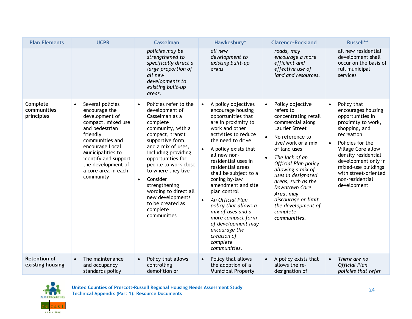| <b>Plan Elements</b>                    | <b>UCPR</b>                                                                                                                                                                                                                                          | <b>Casselman</b>                                                                                                                                                                                                                                                                                                                                                                         | Hawkesbury*                                                                                                                                                                                                                                                                                                                                                                                                                                                                                                   | <b>Clarence-Rockland</b>                                                                                                                                                                                                                                                                                                                                                                                                    | Russell**                                                                                                                                                                                                                                                                                                            |
|-----------------------------------------|------------------------------------------------------------------------------------------------------------------------------------------------------------------------------------------------------------------------------------------------------|------------------------------------------------------------------------------------------------------------------------------------------------------------------------------------------------------------------------------------------------------------------------------------------------------------------------------------------------------------------------------------------|---------------------------------------------------------------------------------------------------------------------------------------------------------------------------------------------------------------------------------------------------------------------------------------------------------------------------------------------------------------------------------------------------------------------------------------------------------------------------------------------------------------|-----------------------------------------------------------------------------------------------------------------------------------------------------------------------------------------------------------------------------------------------------------------------------------------------------------------------------------------------------------------------------------------------------------------------------|----------------------------------------------------------------------------------------------------------------------------------------------------------------------------------------------------------------------------------------------------------------------------------------------------------------------|
|                                         |                                                                                                                                                                                                                                                      | policies may be<br>strengthened to<br>specifically direct a<br>large proportion of<br>all new<br>developments to<br>existing built-up<br>areas.                                                                                                                                                                                                                                          | all new<br>development to<br>existing built-up<br>areas                                                                                                                                                                                                                                                                                                                                                                                                                                                       | roads, may<br>encourage a more<br>efficient and<br>effective use of<br>land and resources.                                                                                                                                                                                                                                                                                                                                  | all new residential<br>development shall<br>occur on the basis of<br>full municipal<br>services                                                                                                                                                                                                                      |
| Complete<br>communities<br>principles   | Several policies<br>encourage the<br>development of<br>compact, mixed use<br>and pedestrian<br>friendly<br>communities and<br>encourage Local<br>Municipalities to<br>identify and support<br>the development of<br>a core area in each<br>community | Policies refer to the<br>development of<br>Casselman as a<br>complete<br>community, with a<br>compact, transit<br>supportive form,<br>and a mix of uses,<br>including providing<br>opportunities for<br>people to work close<br>to where they live<br>Consider<br>$\bullet$<br>strengthening<br>wording to direct all<br>new developments<br>to be created as<br>complete<br>communities | A policy objectives<br>$\bullet$<br>encourage housing<br>opportunities that<br>are in proximity to<br>work and other<br>activities to reduce<br>the need to drive<br>A policy exists that<br>all new non-<br>residential uses in<br>residential areas<br>shall be subject to a<br>zoning by-law<br>amendment and site<br>plan control<br>An Official Plan<br>policy that allows a<br>mix of uses and a<br>more compact form<br>of development may<br>encourage the<br>creation of<br>complete<br>communities. | Policy objective<br>$\bullet$<br>refers to<br>concentrating retail<br>commercial along<br><b>Laurier Street</b><br>No reference to<br>$\bullet$<br>live/work or a mix<br>of land uses<br>The lack of an<br>$\bullet$<br><b>Official Plan policy</b><br>allowing a mix of<br>uses in designated<br>areas, such as the<br>Downtown Core<br>Area, may<br>discourage or limit<br>the development of<br>complete<br>communities. | Policy that<br>$\bullet$<br>encourages housing<br>opportunities in<br>proximity to work,<br>shopping, and<br>recreation<br>Policies for the<br>$\bullet$<br><b>Village Core allow</b><br>density residential<br>development only in<br>mixed-use buildings<br>with street-oriented<br>non-residential<br>development |
| <b>Retention of</b><br>existing housing | The maintenance<br>and occupancy<br>standards policy                                                                                                                                                                                                 | Policy that allows<br>controlling<br>demolition or                                                                                                                                                                                                                                                                                                                                       | Policy that allows<br>$\bullet$<br>the adoption of a<br><b>Municipal Property</b>                                                                                                                                                                                                                                                                                                                                                                                                                             | A policy exists that<br>$\bullet$<br>allows the re-<br>designation of                                                                                                                                                                                                                                                                                                                                                       | There are no<br>$\bullet$<br><b>Official Plan</b><br>policies that refer                                                                                                                                                                                                                                             |

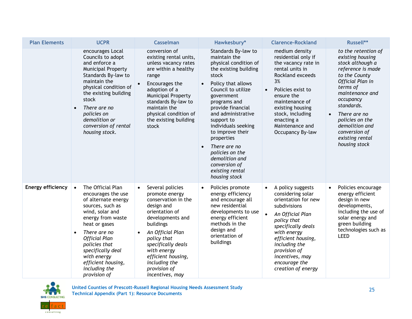| <b>Plan Elements</b>     | <b>UCPR</b>                                                                                                                                                                                                                                                                                                               | <b>Casselman</b>                                                                                                                                                                                                                                                                                       | Hawkesbury*                                                                                                                                                                                                                                                                                                                                                                                                       | <b>Clarence-Rockland</b>                                                                                                                                                                                                                                                            | Russell**                                                                                                                                                                                                                                                                                              |
|--------------------------|---------------------------------------------------------------------------------------------------------------------------------------------------------------------------------------------------------------------------------------------------------------------------------------------------------------------------|--------------------------------------------------------------------------------------------------------------------------------------------------------------------------------------------------------------------------------------------------------------------------------------------------------|-------------------------------------------------------------------------------------------------------------------------------------------------------------------------------------------------------------------------------------------------------------------------------------------------------------------------------------------------------------------------------------------------------------------|-------------------------------------------------------------------------------------------------------------------------------------------------------------------------------------------------------------------------------------------------------------------------------------|--------------------------------------------------------------------------------------------------------------------------------------------------------------------------------------------------------------------------------------------------------------------------------------------------------|
|                          | encourages Local<br>Councils to adopt<br>and enforce a<br><b>Municipal Property</b><br>Standards By-law to<br>maintain the<br>physical condition of<br>the existing building<br>stock<br>There are no<br>$\bullet$<br>policies on<br>demolition or<br>conversion of rental<br>housing stock.                              | conversion of<br>existing rental units,<br>unless vacancy rates<br>are within a healthy<br>range<br>Encourages the<br>adoption of a<br>Municipal Property<br>standards By-law to<br>maintain the<br>physical condition of<br>the existing building<br>stock                                            | Standards By-law to<br>maintain the<br>physical condition of<br>the existing building<br>stock<br>Policy that allows<br>$\bullet$<br>Council to utilize<br>government<br>programs and<br>provide financial<br>and administrative<br>support to<br>individuals seeking<br>to improve their<br>properties<br>There are no<br>policies on the<br>demolition and<br>conversion of<br>existing rental<br>housing stock | medium density<br>residential only if<br>the vacancy rate in<br>rental units in<br>Rockland exceeds<br>3%<br>Policies exist to<br>ensure the<br>maintenance of<br>existing housing<br>stock, including<br>enacting a<br>Maintenance and<br>Occupancy By-law                         | to the retention of<br>existing housing<br>stock although a<br>reference is made<br>to the County<br>Official Plan in<br>terms of<br>maintenance and<br>occupancy<br>standards.<br>There are no<br>$\bullet$<br>policies on the<br>demolition and<br>conversion of<br>existing rental<br>housing stock |
| <b>Energy efficiency</b> | The Official Plan<br>$\bullet$<br>encourages the use<br>of alternate energy<br>sources, such as<br>wind, solar and<br>energy from waste<br>heat or gases<br>There are no<br>$\bullet$<br><b>Official Plan</b><br>policies that<br>specifically deal<br>with energy<br>efficient housing,<br>including the<br>provision of | Several policies<br>$\bullet$<br>promote energy<br>conservation in the<br>design and<br>orientation of<br>developments and<br>buildings<br>An Official Plan<br>$\bullet$<br>policy that<br>specifically deals<br>with energy<br>efficient housing,<br>including the<br>provision of<br>incentives, may | Policies promote<br>$\bullet$<br>energy efficiency<br>and encourage all<br>new residential<br>developments to use<br>energy efficient<br>methods in the<br>design and<br>orientation of<br>buildings                                                                                                                                                                                                              | A policy suggests<br>$\bullet$<br>considering solar<br>orientation for new<br>subdivisions<br>An Official Plan<br>policy that<br>specifically deals<br>with energy<br>efficient housing,<br>including the<br>provision of<br>incentives, may<br>encourage the<br>creation of energy | Policies encourage<br>energy efficient<br>design in new<br>developments,<br>including the use of<br>solar energy and<br>green building<br>technologies such as<br><b>LEED</b>                                                                                                                          |

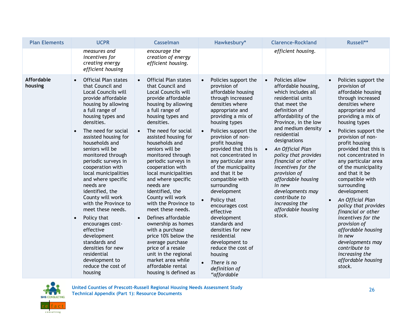| <b>Plan Elements</b>  | <b>UCPR</b>                                                                                                                                                                                                                                                                                                                                                                                                                                                                                                                                                                                                                                                                   | <b>Casselman</b>                                                                                                                                                                                                                                                                                                                                                                                                                                                                                                                                                                                                                                                                                                    | Hawkesbury*                                                                                                                                                                                                                                                                                                                                                                                                                                                                                                                                                                                                                                 | <b>Clarence-Rockland</b>                                                                                                                                                                                                                                                                                                                                                                                                                                                         | Russell**                                                                                                                                                                                                                                                                                                                                                                                                                                                                                                                                                                                                                                             |
|-----------------------|-------------------------------------------------------------------------------------------------------------------------------------------------------------------------------------------------------------------------------------------------------------------------------------------------------------------------------------------------------------------------------------------------------------------------------------------------------------------------------------------------------------------------------------------------------------------------------------------------------------------------------------------------------------------------------|---------------------------------------------------------------------------------------------------------------------------------------------------------------------------------------------------------------------------------------------------------------------------------------------------------------------------------------------------------------------------------------------------------------------------------------------------------------------------------------------------------------------------------------------------------------------------------------------------------------------------------------------------------------------------------------------------------------------|---------------------------------------------------------------------------------------------------------------------------------------------------------------------------------------------------------------------------------------------------------------------------------------------------------------------------------------------------------------------------------------------------------------------------------------------------------------------------------------------------------------------------------------------------------------------------------------------------------------------------------------------|----------------------------------------------------------------------------------------------------------------------------------------------------------------------------------------------------------------------------------------------------------------------------------------------------------------------------------------------------------------------------------------------------------------------------------------------------------------------------------|-------------------------------------------------------------------------------------------------------------------------------------------------------------------------------------------------------------------------------------------------------------------------------------------------------------------------------------------------------------------------------------------------------------------------------------------------------------------------------------------------------------------------------------------------------------------------------------------------------------------------------------------------------|
|                       | measures and<br>incentives for<br>creating energy<br>efficient housing                                                                                                                                                                                                                                                                                                                                                                                                                                                                                                                                                                                                        | encourage the<br>creation of energy<br>efficient housing.                                                                                                                                                                                                                                                                                                                                                                                                                                                                                                                                                                                                                                                           |                                                                                                                                                                                                                                                                                                                                                                                                                                                                                                                                                                                                                                             | efficient housing.                                                                                                                                                                                                                                                                                                                                                                                                                                                               |                                                                                                                                                                                                                                                                                                                                                                                                                                                                                                                                                                                                                                                       |
| Affordable<br>housing | <b>Official Plan states</b><br>that Council and<br>Local Councils will<br>provide affordable<br>housing by allowing<br>a full range of<br>housing types and<br>densities.<br>The need for social<br>$\bullet$<br>assisted housing for<br>households and<br>seniors will be<br>monitored through<br>periodic surveys in<br>cooperation with<br>local municipalities<br>and where specific<br>needs are<br>identified, the<br>County will work<br>with the Province to<br>meet these needs.<br>Policy that<br>$\bullet$<br>encourages cost-<br>effective<br>development<br>standards and<br>densities for new<br>residential<br>development to<br>reduce the cost of<br>housing | <b>Official Plan states</b><br>that Council and<br>Local Councils will<br>provide affordable<br>housing by allowing<br>a full range of<br>housing types and<br>densities.<br>The need for social<br>assisted housing for<br>households and<br>seniors will be<br>monitored through<br>periodic surveys in<br>cooperation with<br>local municipalities<br>and where specific<br>needs are<br>identified, the<br>County will work<br>with the Province to<br>meet these needs.<br>Defines affordable<br>$\bullet$<br>ownership as homes<br>with a purchase<br>price 10% below the<br>average purchase<br>price of a resale<br>unit in the regional<br>market area while<br>affordable rental<br>housing is defined as | Policies support the<br>$\bullet$<br>provision of<br>affordable housing<br>through increased<br>densities where<br>appropriate and<br>providing a mix of<br>housing types<br>Policies support the<br>$\bullet$<br>provision of non-<br>profit housing<br>provided that this is<br>not concentrated in<br>any particular area<br>of the municipality<br>and that it be<br>compatible with<br>surrounding<br>development<br>Policy that<br>encourages cost<br>effective<br>development<br>standards and<br>densities for new<br>residential<br>development to<br>reduce the cost of<br>housing<br>There is no<br>definition of<br>"affordable | Policies allow<br>$\bullet$<br>affordable housing,<br>which includes all<br>residential units<br>that meet the<br>definition of<br>affordability of the<br>Province, in the low<br>and medium density<br>residential<br>designations<br>An Official Plan<br>$\bullet$<br>policy that provides<br>financial or other<br>incentives for the<br>provision of<br>affordable housing<br>in new<br>developments may<br>contribute to<br>increasing the<br>affordable housing<br>stock. | Policies support the<br>$\bullet$<br>provision of<br>affordable housing<br>through increased<br>densities where<br>appropriate and<br>providing a mix of<br>housing types<br>Policies support the<br>provision of non-<br>profit housing<br>provided that this is<br>not concentrated in<br>any particular area<br>of the municipality<br>and that it be<br>compatible with<br>surrounding<br>development<br>An Official Plan<br>$\bullet$<br>policy that provides<br>financial or other<br>incentives for the<br>provision of<br>affordable housing<br>in new<br>developments may<br>contribute to<br>increasing the<br>affordable housing<br>stock. |

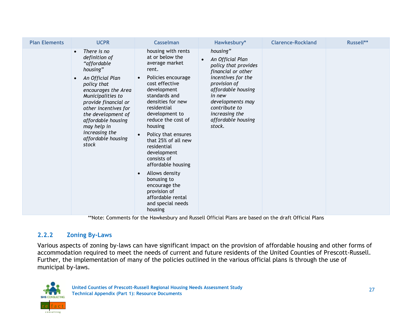| <b>Plan Elements</b> |           | <b>UCPR</b>                                                                                                                                                                                                                                                                               | <b>Casselman</b>                                                                                                                                                                                                                                                                           |                                                                                                                                                                                                                                                      | Hawkesbury* | <b>Clarence-Rockland</b> | Russell** |
|----------------------|-----------|-------------------------------------------------------------------------------------------------------------------------------------------------------------------------------------------------------------------------------------------------------------------------------------------|--------------------------------------------------------------------------------------------------------------------------------------------------------------------------------------------------------------------------------------------------------------------------------------------|------------------------------------------------------------------------------------------------------------------------------------------------------------------------------------------------------------------------------------------------------|-------------|--------------------------|-----------|
|                      | $\bullet$ | There is no<br>definition of<br>"affordable<br>housing"<br>An Official Plan<br>policy that<br>encourages the Area<br>Municipalities to<br>provide financial or<br>other incentives for<br>the development of<br>affordable housing<br>may help in<br>increasing the<br>affordable housing | housing with rents<br>at or below the<br>average market<br>rent.<br>Policies encourage<br>$\bullet$<br>cost effective<br>development<br>standards and<br>densities for new<br>residential<br>development to<br>reduce the cost of<br>housing<br>Policy that ensures<br>that 25% of all new | housing"<br>An Official Plan<br>$\bullet$<br>policy that provides<br>financial or other<br>incentives for the<br>provision of<br>affordable housing<br>in new<br>developments may<br>contribute to<br>increasing the<br>affordable housing<br>stock. |             |                          |           |
|                      |           | stock                                                                                                                                                                                                                                                                                     | residential<br>development<br>consists of<br>affordable housing                                                                                                                                                                                                                            |                                                                                                                                                                                                                                                      |             |                          |           |
|                      |           |                                                                                                                                                                                                                                                                                           | Allows density<br>$\bullet$<br>bonusing to<br>encourage the<br>provision of<br>affordable rental<br>and special needs<br>housing                                                                                                                                                           |                                                                                                                                                                                                                                                      |             |                          |           |

\*\*Note: Comments for the Hawkesbury and Russell Official Plans are based on the draft Official Plans

#### **2.2.2 Zoning By-Laws**

Various aspects of zoning by-laws can have significant impact on the provision of affordable housing and other forms of accommodation required to meet the needs of current and future residents of the United Counties of Prescott-Russell. Further, the implementation of many of the policies outlined in the various official plans is through the use of municipal by-laws.

<span id="page-30-0"></span>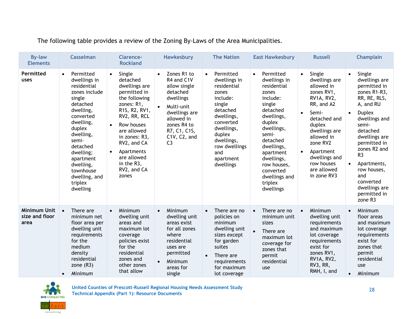The following table provides a review of the Zoning By-Laws of the Area Municipalities.

| <b>By-law</b><br><b>Elements</b>              | <b>Casselman</b>                                                                                                                                                                                                                                                            | <b>Clarence-</b><br><b>Rockland</b>                                                                                                                                                                                                                                                        | <b>Hawkesbury</b>                                                                                                                                                                             | <b>The Nation</b>                                                                                                                                                                                                   | <b>East Hawkesbury</b>                                                                                                                                                                                                                                                    | <b>Russell</b>                                                                                                                                                                                                                                                                 | <b>Champlain</b>                                                                                                                                                                                                                                                                                                                                                |
|-----------------------------------------------|-----------------------------------------------------------------------------------------------------------------------------------------------------------------------------------------------------------------------------------------------------------------------------|--------------------------------------------------------------------------------------------------------------------------------------------------------------------------------------------------------------------------------------------------------------------------------------------|-----------------------------------------------------------------------------------------------------------------------------------------------------------------------------------------------|---------------------------------------------------------------------------------------------------------------------------------------------------------------------------------------------------------------------|---------------------------------------------------------------------------------------------------------------------------------------------------------------------------------------------------------------------------------------------------------------------------|--------------------------------------------------------------------------------------------------------------------------------------------------------------------------------------------------------------------------------------------------------------------------------|-----------------------------------------------------------------------------------------------------------------------------------------------------------------------------------------------------------------------------------------------------------------------------------------------------------------------------------------------------------------|
| Permitted<br>uses                             | Permitted<br>$\bullet$<br>dwellings in<br>residential<br>zones include<br>single<br>detached<br>dwelling,<br>converted<br>dwelling,<br>duplex<br>dwelling,<br>semi-<br>detached<br>dwelling;<br>apartment<br>dwelling,<br>townhouse<br>dwelling, and<br>triplex<br>dwelling | Single<br>$\bullet$<br>detached<br>dwellings are<br>permitted in<br>the following<br>zones: R1,<br>R1S, R2, RV1,<br>RV2, RR, RCL<br>Row houses<br>$\bullet$<br>are allowed<br>in zones: R3,<br>RV2, and CA<br>Apartments<br>$\bullet$<br>are allowed<br>in the R3,<br>RV2, and CA<br>zones | Zones R1 to<br>$\bullet$<br>R4 and C1V<br>allow single<br>detached<br>dwellings<br>Multi-unit<br>dwellings are<br>allowed in<br>zones R4 to<br>R7, C1, C1S,<br>C1V, C2, and<br>C <sub>3</sub> | Permitted<br>$\bullet$<br>dwellings in<br>residential<br>zones<br>include:<br>single<br>detached<br>dwellings,<br>converted<br>dwellings,<br>duplex<br>dwellings,<br>row dwellings<br>and<br>apartment<br>dwellings | Permitted<br>$\bullet$<br>dwellings in<br>residential<br>zones<br>include:<br>single<br>detached<br>dwellings,<br>duplex<br>dwellings,<br>semi-<br>detached<br>dwellings,<br>apartment<br>dwellings,<br>row houses,<br>converted<br>dwellings and<br>triplex<br>dwellings | Single<br>$\bullet$<br>dwellings are<br>allowed in<br>zones RV1,<br>RV1A, RV2,<br>RR, and A2<br>Semi-<br>$\bullet$<br>detached and<br>duplex<br>dwellings are<br>allowed in<br>zone RV2<br>Apartment<br>$\bullet$<br>dwellings and<br>row houses<br>are allowed<br>in zone RV3 | Single<br>$\bullet$<br>dwellings are<br>permitted in<br>zones R1-R3,<br>RR, RE, RLS,<br>A, and RU<br><b>Duplex</b><br>$\bullet$<br>dwellings and<br>semi-<br>detached<br>dwellings are<br>permitted in<br>zones R2 and<br>R <sub>3</sub><br>Apartments,<br>$\bullet$<br>row houses,<br>and<br>converted<br>dwellings are<br>permitted in<br>zone R <sub>3</sub> |
| <b>Minimum Unit</b><br>size and floor<br>area | There are<br>$\bullet$<br>minimum net<br>floor area per<br>dwelling unit<br>requirements<br>for the<br>medium<br>density<br>residential<br>zone $(R3)$<br>Minimum<br>$\bullet$                                                                                              | Minimum<br>$\bullet$<br>dwelling unit<br>areas and<br>maximum lot<br>coverage<br>policies exist<br>for the<br>residential<br>zones and<br>other zones<br>that allow                                                                                                                        | Minimum<br>$\bullet$<br>dwelling unit<br>areas exist<br>for all zones<br>where<br>residential<br>uses are<br>permitted<br>Minimum<br>$\bullet$<br>areas for<br>single                         | There are no<br>$\bullet$<br>policies on<br>minimum<br>dwelling unit<br>sizes except<br>for garden<br>suites<br>There are<br>requirements<br>for maximum<br>lot coverage                                            | There are no<br>$\bullet$<br>minimum unit<br>sizes<br>$\bullet$<br>There are<br>maximum lot<br>coverage for<br>zones that<br>permit<br>residential<br>use                                                                                                                 | Minimum<br>dwelling unit<br>requirements<br>and maximum<br>lot coverage<br>requirements<br>exist for<br>zones RV1,<br>RV1A, RV2,<br>RV3, RR,<br>RMH, I, and                                                                                                                    | Minimum<br>$\bullet$<br>floor areas<br>and maximum<br>lot coverage<br>requirements<br>exist for<br>zones that<br>permit<br>residential<br>use<br>Minimum<br>$\bullet$                                                                                                                                                                                           |

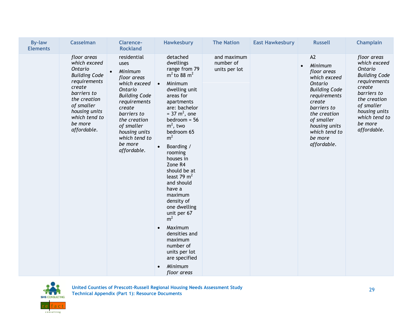| <b>By-law</b><br><b>Elements</b> | <b>Casselman</b>                                                                                                                                                                                  | <b>Clarence-</b><br><b>Rockland</b>                                                                                                                                                                                                              | <b>Hawkesbury</b>                                                                                                                                                                                                                                                                                                                                                                                                                                                                                                                                                      | <b>The Nation</b>                         | <b>East Hawkesbury</b> | <b>Russell</b>                                                                                                                                                                                                                         | <b>Champlain</b>                                                                                                                                                                                  |
|----------------------------------|---------------------------------------------------------------------------------------------------------------------------------------------------------------------------------------------------|--------------------------------------------------------------------------------------------------------------------------------------------------------------------------------------------------------------------------------------------------|------------------------------------------------------------------------------------------------------------------------------------------------------------------------------------------------------------------------------------------------------------------------------------------------------------------------------------------------------------------------------------------------------------------------------------------------------------------------------------------------------------------------------------------------------------------------|-------------------------------------------|------------------------|----------------------------------------------------------------------------------------------------------------------------------------------------------------------------------------------------------------------------------------|---------------------------------------------------------------------------------------------------------------------------------------------------------------------------------------------------|
|                                  | floor areas<br>which exceed<br>Ontario<br><b>Building Code</b><br>requirements<br>create<br>barriers to<br>the creation<br>of smaller<br>housing units<br>which tend to<br>be more<br>affordable. | residential<br>uses<br>Minimum<br>$\bullet$<br>floor areas<br>which exceed<br>Ontario<br><b>Building Code</b><br>requirements<br>create<br>barriers to<br>the creation<br>of smaller<br>housing units<br>which tend to<br>be more<br>affordable. | detached<br>dwellings<br>range from 79<br>$m2$ to 88 m <sup>2</sup><br>Minimum<br>$\bullet$<br>dwelling unit<br>areas for<br>apartments<br>are: bachelor<br>$= 37 \text{ m}^2$ , one<br>$bedroom = 56$<br>$m^2$ , two<br>bedroom 65<br>m <sup>2</sup><br>Boarding /<br>rooming<br>houses in<br>Zone R4<br>should be at<br>least 79 $m2$<br>and should<br>have a<br>maximum<br>density of<br>one dwelling<br>unit per 67<br>m <sup>2</sup><br>Maximum<br>$\bullet$<br>densities and<br>maximum<br>number of<br>units per lot<br>are specified<br>Minimum<br>floor areas | and maximum<br>number of<br>units per lot |                        | A2<br>Minimum<br>$\bullet$<br>floor areas<br>which exceed<br><b>Ontario</b><br><b>Building Code</b><br>requirements<br>create<br>barriers to<br>the creation<br>of smaller<br>housing units<br>which tend to<br>be more<br>affordable. | floor areas<br>which exceed<br>Ontario<br><b>Building Code</b><br>requirements<br>create<br>barriers to<br>the creation<br>of smaller<br>housing units<br>which tend to<br>be more<br>affordable. |

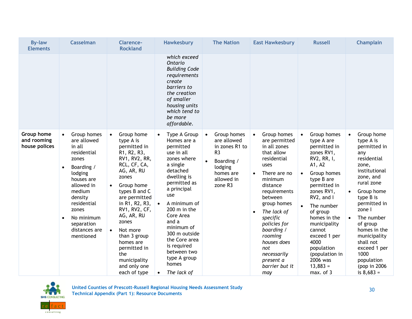| <b>By-law</b><br><b>Elements</b>           | <b>Casselman</b>                                                                                                                                                                                                                                                | <b>Clarence-</b><br><b>Rockland</b>                                                                                                                                                                                                                                                                                                                                             | Hawkesbury                                                                                                                                                                                                                                                                                                                                               | <b>The Nation</b>                                                                                                                                       | <b>East Hawkesbury</b>                                                                                                                                                                                                                                                                                                                      | <b>Russell</b>                                                                                                                                                                                                                                                                                                                                         | <b>Champlain</b>                                                                                                                                                                                                                                                                                                                                              |
|--------------------------------------------|-----------------------------------------------------------------------------------------------------------------------------------------------------------------------------------------------------------------------------------------------------------------|---------------------------------------------------------------------------------------------------------------------------------------------------------------------------------------------------------------------------------------------------------------------------------------------------------------------------------------------------------------------------------|----------------------------------------------------------------------------------------------------------------------------------------------------------------------------------------------------------------------------------------------------------------------------------------------------------------------------------------------------------|---------------------------------------------------------------------------------------------------------------------------------------------------------|---------------------------------------------------------------------------------------------------------------------------------------------------------------------------------------------------------------------------------------------------------------------------------------------------------------------------------------------|--------------------------------------------------------------------------------------------------------------------------------------------------------------------------------------------------------------------------------------------------------------------------------------------------------------------------------------------------------|---------------------------------------------------------------------------------------------------------------------------------------------------------------------------------------------------------------------------------------------------------------------------------------------------------------------------------------------------------------|
|                                            |                                                                                                                                                                                                                                                                 |                                                                                                                                                                                                                                                                                                                                                                                 | which exceed<br>Ontario<br><b>Building Code</b><br>requirements<br>create<br>barriers to<br>the creation<br>of smaller<br>housing units<br>which tend to<br>be more<br>affordable.                                                                                                                                                                       |                                                                                                                                                         |                                                                                                                                                                                                                                                                                                                                             |                                                                                                                                                                                                                                                                                                                                                        |                                                                                                                                                                                                                                                                                                                                                               |
| Group home<br>and rooming<br>house polices | Group homes<br>$\bullet$<br>are allowed<br>in all<br>residential<br>zones<br>Boarding /<br>$\bullet$<br>lodging<br>houses are<br>allowed in<br>medium<br>density<br>residential<br>zones<br>No minimum<br>$\bullet$<br>separation<br>distances are<br>mentioned | Group home<br>$\bullet$<br>type A is<br>permitted in<br>R1, R2, R3,<br>RV1, RV2, RR,<br>RCL, CF, CA,<br>AG, AR, RU<br>zones<br>Group home<br>$\bullet$<br>types B and C<br>are permitted<br>in R1, R2, R3,<br>RV1, RV2, CF,<br>AG, AR, RU<br>zones<br>Not more<br>$\bullet$<br>than 3 group<br>homes are<br>permitted in<br>the<br>municipality<br>and only one<br>each of type | Type A Group<br>$\bullet$<br>Homes are a<br>permitted<br>use in all<br>zones where<br>a single<br>detached<br>dwelling is<br>permitted as<br>a principal<br>use<br>A minimum of<br>$\bullet$<br>200 m in the<br>Core Area<br>and a<br>minimum of<br>300 m outside<br>the Core area<br>is required<br>between two<br>type A group<br>homes<br>The lack of | Group homes<br>$\bullet$<br>are allowed<br>in zones R1 to<br>R <sub>3</sub><br>Boarding /<br>$\bullet$<br>lodging<br>homes are<br>allowed in<br>zone R3 | Group homes<br>$\bullet$<br>are permitted<br>in all zones<br>that allow<br>residential<br>uses<br>There are no<br>$\bullet$<br>minimum<br>distance<br>requirements<br>between<br>group homes<br>The lack of<br>specific<br>policies for<br>boarding /<br>rooming<br>houses does<br>not<br>necessarily<br>present a<br>barrier but it<br>may | Group homes<br>$\bullet$<br>type A are<br>permitted in<br>zones RV1,<br>RV2, RR, I,<br>A1, A2<br>Group homes<br>$\bullet$<br>type B are<br>permitted in<br>zones RV1,<br>RV2, and I<br>The number<br>of group<br>homes in the<br>municipality<br>cannot<br>exceed 1 per<br>4000<br>population<br>(population in<br>2006 was<br>$13,883 =$<br>max. of 3 | Group home<br>$\bullet$<br>type A is<br>permitted in<br>any<br>residential<br>zone,<br>institutional<br>zone, and<br>rural zone<br>Group home<br>$\bullet$<br>type B is<br>permitted in<br>zone l<br>The number<br>$\bullet$<br>of group<br>homes in the<br>municipality<br>shall not<br>exceed 1 per<br>1000<br>population<br>(pop in $2006$<br>is $8,683 =$ |

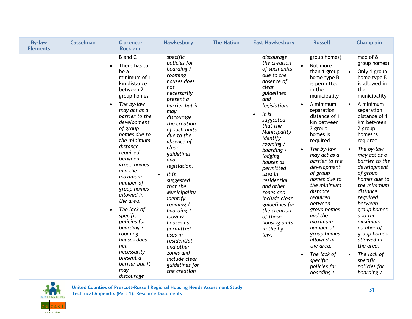| <b>By-law</b><br><b>Elements</b> | <b>Casselman</b> | <b>Clarence-</b><br><b>Rockland</b>                                                                                                                                                                                                                                                                                                                                                                                                                                                                                                            | <b>Hawkesbury</b>                                                                                                                                                                                                                                                                                                                                                                                                                                                                                       | <b>The Nation</b> | <b>East Hawkesbury</b>                                                                                                                                                                                                                                                                                                                                                                                                     | <b>Russell</b>                                                                                                                                                                                                                                                                                                                                                                                                                                                                                                | <b>Champlain</b>                                                                                                                                                                                                                                                                                                                                                                                                                                                                                                                                   |
|----------------------------------|------------------|------------------------------------------------------------------------------------------------------------------------------------------------------------------------------------------------------------------------------------------------------------------------------------------------------------------------------------------------------------------------------------------------------------------------------------------------------------------------------------------------------------------------------------------------|---------------------------------------------------------------------------------------------------------------------------------------------------------------------------------------------------------------------------------------------------------------------------------------------------------------------------------------------------------------------------------------------------------------------------------------------------------------------------------------------------------|-------------------|----------------------------------------------------------------------------------------------------------------------------------------------------------------------------------------------------------------------------------------------------------------------------------------------------------------------------------------------------------------------------------------------------------------------------|---------------------------------------------------------------------------------------------------------------------------------------------------------------------------------------------------------------------------------------------------------------------------------------------------------------------------------------------------------------------------------------------------------------------------------------------------------------------------------------------------------------|----------------------------------------------------------------------------------------------------------------------------------------------------------------------------------------------------------------------------------------------------------------------------------------------------------------------------------------------------------------------------------------------------------------------------------------------------------------------------------------------------------------------------------------------------|
|                                  |                  | <b>B</b> and C<br>There has to<br>$\bullet$<br>be a<br>minimum of 1<br>km distance<br>between 2<br>group homes<br>The by-law<br>$\bullet$<br>may act as a<br>barrier to the<br>development<br>of group<br>homes due to<br>the minimum<br>distance<br>required<br>between<br>group homes<br>and the<br>maximum<br>number of<br>group homes<br>allowed in<br>the area.<br>The lack of<br>$\bullet$<br>specific<br>policies for<br>boarding /<br>rooming<br>houses does<br>not<br>necessarily<br>present a<br>barrier but it<br>may<br>discourage | specific<br>policies for<br>boarding /<br>rooming<br>houses does<br>not<br>necessarily<br>present a<br>barrier but it<br>may<br>discourage<br>the creation<br>of such units<br>due to the<br>absence of<br>clear<br>guidelines<br>and<br>legislation.<br>It is<br>$\bullet$<br>suggested<br>that the<br>Municipality<br>identify<br>rooming /<br>boarding /<br>lodging<br>houses as<br>permitted<br>uses in<br>residential<br>and other<br>zones and<br>include clear<br>guidelines for<br>the creation |                   | discourage<br>the creation<br>of such units<br>due to the<br>absence of<br>clear<br>guidelines<br>and<br>legislation.<br>It is<br>$\bullet$<br>suggested<br>that the<br>Municipality<br>identify<br>rooming /<br>boarding /<br>lodging<br>houses as<br>permitted<br>uses in<br>residential<br>and other<br>zones and<br>include clear<br>guidelines for<br>the creation<br>of these<br>housing units<br>in the by-<br>law. | group homes)<br>Not more<br>than 1 group<br>home type B<br>is permitted<br>in the<br>municipality<br>A minimum<br>$\bullet$<br>separation<br>distance of 1<br>km between<br>2 group<br>homes is<br>required<br>The by-law<br>may act as a<br>barrier to the<br>development<br>of group<br>homes due to<br>the minimum<br>distance<br>required<br>between<br>group homes<br>and the<br>maximum<br>number of<br>group homes<br>allowed in<br>the area.<br>The lack of<br>specific<br>policies for<br>boarding / | max of 8<br>group homes)<br>Only 1 group<br>$\bullet$<br>home type B<br>is allowed in<br>the<br>municipality<br>A minimum<br>$\bullet$<br>separation<br>distance of 1<br>km between<br>2 group<br>homes is<br>required<br>The by-law<br>$\bullet$<br>may act as a<br>barrier to the<br>development<br>of group<br>homes due to<br>the minimum<br>distance<br>required<br>between<br>group homes<br>and the<br>maximum<br>number of<br>group homes<br>allowed in<br>the area.<br>The lack of<br>$\bullet$<br>specific<br>policies for<br>boarding / |

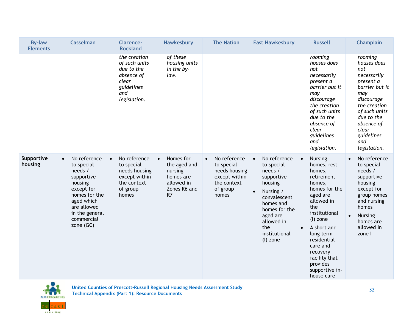| <b>By-law</b><br><b>Elements</b> | <b>Casselman</b>                                                                                                                                                                       | <b>Clarence-</b><br><b>Rockland</b>                                                                           | <b>Hawkesbury</b>                                                                                  | <b>The Nation</b>                                                                                             | <b>East Hawkesbury</b>                                                                                                                                                                                            | <b>Russell</b>                                                                                                                                                                                                                                                                              | <b>Champlain</b>                                                                                                                                                                                            |
|----------------------------------|----------------------------------------------------------------------------------------------------------------------------------------------------------------------------------------|---------------------------------------------------------------------------------------------------------------|----------------------------------------------------------------------------------------------------|---------------------------------------------------------------------------------------------------------------|-------------------------------------------------------------------------------------------------------------------------------------------------------------------------------------------------------------------|---------------------------------------------------------------------------------------------------------------------------------------------------------------------------------------------------------------------------------------------------------------------------------------------|-------------------------------------------------------------------------------------------------------------------------------------------------------------------------------------------------------------|
|                                  |                                                                                                                                                                                        | the creation<br>of such units<br>due to the<br>absence of<br>clear<br>guidelines<br>and<br>legislation.       | of these<br>housing units<br>in the by-<br>law.                                                    |                                                                                                               |                                                                                                                                                                                                                   | rooming<br>houses does<br>not<br>necessarily<br>present a<br>barrier but it<br>may<br>discourage<br>the creation<br>of such units<br>due to the<br>absence of<br>clear<br>guidelines<br>and<br>legislation.                                                                                 | rooming<br>houses does<br>not<br>necessarily<br>present a<br>barrier but it<br>may<br>discourage<br>the creation<br>of such units<br>due to the<br>absence of<br>clear<br>guidelines<br>and<br>legislation. |
| Supportive<br>housing            | No reference<br>$\bullet$<br>to special<br>needs /<br>supportive<br>housing<br>except for<br>homes for the<br>aged which<br>are allowed<br>in the general<br>commercial<br>zone $(GC)$ | No reference<br>$\bullet$<br>to special<br>needs housing<br>except within<br>the context<br>of group<br>homes | Homes for<br>$\bullet$<br>the aged and<br>nursing<br>homes are<br>allowed in<br>Zones R6 and<br>R7 | No reference<br>$\bullet$<br>to special<br>needs housing<br>except within<br>the context<br>of group<br>homes | No reference<br>$\bullet$<br>to special<br>needs /<br>supportive<br>housing<br>Nursing /<br>$\bullet$<br>convalescent<br>homes and<br>homes for the<br>aged are<br>allowed in<br>the<br>institutional<br>(l) zone | <b>Nursing</b><br>$\bullet$<br>homes, rest<br>homes,<br>retirement<br>homes,<br>homes for the<br>aged are<br>allowed in<br>the<br>institutional<br>(l) zone<br>A short and<br>long term<br>residential<br>care and<br>recovery<br>facility that<br>provides<br>supportive in-<br>house care | No reference<br>$\bullet$<br>to special<br>needs /<br>supportive<br>housing<br>except for<br>group homes<br>and nursing<br>homes<br><b>Nursing</b><br>$\bullet$<br>homes are<br>allowed in<br>zone I        |

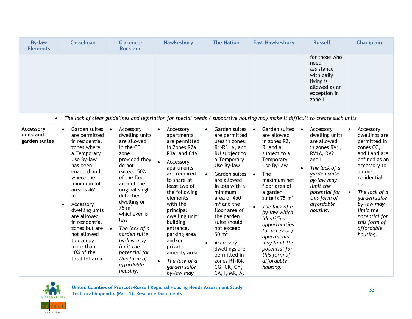| <b>By-law</b><br><b>Elements</b>        | <b>Casselman</b>                                                                                                                                                                                                                                                                                                                                            | <b>Clarence-</b><br><b>Rockland</b>                                                                                                                                                                                                                                                                                                                                                | Hawkesbury                                                                                                                                                                                                                                                                                                                                                                                                   | <b>The Nation</b>                                                                                                                                                                                                                                                                                                                                                                                                        | <b>East Hawkesbury</b>                                                                                                                                                                                                                                                                                                                                                          | <b>Russell</b>                                                                                                                                                                                                         | <b>Champlain</b>                                                                                                                                                                                                                                                                           |
|-----------------------------------------|-------------------------------------------------------------------------------------------------------------------------------------------------------------------------------------------------------------------------------------------------------------------------------------------------------------------------------------------------------------|------------------------------------------------------------------------------------------------------------------------------------------------------------------------------------------------------------------------------------------------------------------------------------------------------------------------------------------------------------------------------------|--------------------------------------------------------------------------------------------------------------------------------------------------------------------------------------------------------------------------------------------------------------------------------------------------------------------------------------------------------------------------------------------------------------|--------------------------------------------------------------------------------------------------------------------------------------------------------------------------------------------------------------------------------------------------------------------------------------------------------------------------------------------------------------------------------------------------------------------------|---------------------------------------------------------------------------------------------------------------------------------------------------------------------------------------------------------------------------------------------------------------------------------------------------------------------------------------------------------------------------------|------------------------------------------------------------------------------------------------------------------------------------------------------------------------------------------------------------------------|--------------------------------------------------------------------------------------------------------------------------------------------------------------------------------------------------------------------------------------------------------------------------------------------|
|                                         |                                                                                                                                                                                                                                                                                                                                                             |                                                                                                                                                                                                                                                                                                                                                                                    |                                                                                                                                                                                                                                                                                                                                                                                                              |                                                                                                                                                                                                                                                                                                                                                                                                                          |                                                                                                                                                                                                                                                                                                                                                                                 | for those who<br>need<br>assistance<br>with daily<br>living is<br>allowed as an<br>exception in<br>zone I                                                                                                              |                                                                                                                                                                                                                                                                                            |
| $\bullet$                               |                                                                                                                                                                                                                                                                                                                                                             |                                                                                                                                                                                                                                                                                                                                                                                    | The lack of clear guidelines and legislation for special needs / supportive housing may make it difficult to create such units                                                                                                                                                                                                                                                                               |                                                                                                                                                                                                                                                                                                                                                                                                                          |                                                                                                                                                                                                                                                                                                                                                                                 |                                                                                                                                                                                                                        |                                                                                                                                                                                                                                                                                            |
| Accessory<br>units and<br>garden suites | Garden suites<br>are permitted<br>in residential<br>zones where<br>a Temporary<br>Use By-law<br>has been<br>enacted and<br>where the<br>minimum lot<br>area is 465<br>m <sup>2</sup><br>Accessory<br>$\bullet$<br>dwelling units<br>are allowed<br>in residential<br>zones but are<br>not allowed<br>to occupy<br>more than<br>10% of the<br>total lot area | Accessory<br>$\bullet$<br>dwelling units<br>are allowed<br>in the CF<br>zone<br>provided they<br>do not<br>exceed 50%<br>of the floor<br>area of the<br>original single<br>detached<br>dwelling or<br>$75 \text{ m}^2$<br>whichever is<br>less<br>The lack of a<br>$\bullet$<br>garden suite<br>by-law may<br>limit the<br>potential for<br>this form of<br>affordable<br>housing. | Accessory<br>$\bullet$<br>apartments<br>are permitted<br>in Zones R2a,<br>R <sub>3</sub> a, and C <sub>1</sub> V<br>$\bullet$<br>Accessory<br>apartments<br>are required<br>to share at<br>least two of<br>the following<br>elements<br>with the<br>principal<br>dwelling unit:<br>building<br>entrance,<br>parking area<br>and/or<br>private<br>amenity area<br>The lack of a<br>garden suite<br>by-law may | Garden suites<br>$\bullet$<br>are permitted<br>uses in zones:<br>R1-R3, A, and<br>RU subject to<br>a Temporary<br>Use By-law<br>Garden suites<br>$\bullet$<br>are allowed<br>in lots with a<br>minimum<br>area of 450<br>$m2$ and the<br>floor area of<br>the garden<br>suite should<br>not exceed<br>50 $m2$<br>Accessory<br>$\bullet$<br>dwellings are<br>permitted in<br>zones R1-R4,<br>CG, CR, CH,<br>CA, I, MR, A, | Garden suites<br>$\bullet$<br>are allowed<br>in zones R2,<br>R, and a<br>subject to a<br>Temporary<br>Use By-law<br>The<br>$\bullet$<br>maximum net<br>floor area of<br>a garden<br>suite is 75 $m2$<br>The lack of a<br>by-law which<br>identifies<br>opportunities<br>for accessory<br>apartments<br>may limit the<br>potential for<br>this form of<br>affordable<br>housing. | Accessory<br>$\bullet$<br>dwelling units<br>are allowed<br>in zones RV1,<br>RV1A, RV2,<br>and I<br>The lack of a<br>garden suite<br>by-law may<br>limit the<br>potential for<br>this form of<br>affordable<br>housing. | Accessory<br>$\bullet$<br>dwellings are<br>permitted in<br>zones CC,<br>and I and are<br>defined as an<br>accessory to<br>a non-<br>residential<br>use<br>The lack of a<br>$\bullet$<br>garden suite<br>by-law may<br>limit the<br>potential for<br>this form of<br>affordable<br>housing. |



33 **United Counties of Prescott-Russell Regional Housing Needs Assessment Study Technical Appendix (Part 1): Resource Documents**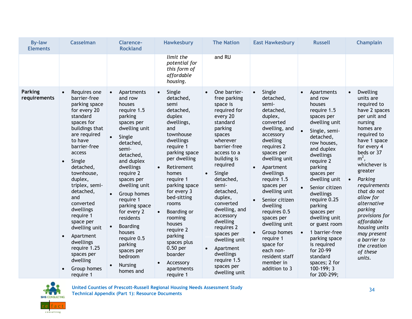| <b>By-law</b><br><b>Elements</b> | <b>Casselman</b>                                                                                                                                                                                                                                                                                                                                                                                                                                                 | <b>Clarence-</b><br><b>Rockland</b>                                                                                                                                                                                                                                                                                                                                                                               | <b>Hawkesbury</b>                                                                                                                                                                                                                                                                                                                                                                                               | <b>The Nation</b>                                                                                                                                                                                                                                                                                                                                                                                                                         | <b>East Hawkesbury</b>                                                                                                                                                                                                                                                                                                                                                                                                                        | <b>Russell</b>                                                                                                                                                                                                                                                                                                                                                                                                                                                             | <b>Champlain</b>                                                                                                                                                                                                                                                                                                                                                                                                                |
|----------------------------------|------------------------------------------------------------------------------------------------------------------------------------------------------------------------------------------------------------------------------------------------------------------------------------------------------------------------------------------------------------------------------------------------------------------------------------------------------------------|-------------------------------------------------------------------------------------------------------------------------------------------------------------------------------------------------------------------------------------------------------------------------------------------------------------------------------------------------------------------------------------------------------------------|-----------------------------------------------------------------------------------------------------------------------------------------------------------------------------------------------------------------------------------------------------------------------------------------------------------------------------------------------------------------------------------------------------------------|-------------------------------------------------------------------------------------------------------------------------------------------------------------------------------------------------------------------------------------------------------------------------------------------------------------------------------------------------------------------------------------------------------------------------------------------|-----------------------------------------------------------------------------------------------------------------------------------------------------------------------------------------------------------------------------------------------------------------------------------------------------------------------------------------------------------------------------------------------------------------------------------------------|----------------------------------------------------------------------------------------------------------------------------------------------------------------------------------------------------------------------------------------------------------------------------------------------------------------------------------------------------------------------------------------------------------------------------------------------------------------------------|---------------------------------------------------------------------------------------------------------------------------------------------------------------------------------------------------------------------------------------------------------------------------------------------------------------------------------------------------------------------------------------------------------------------------------|
|                                  |                                                                                                                                                                                                                                                                                                                                                                                                                                                                  |                                                                                                                                                                                                                                                                                                                                                                                                                   | limit the<br>potential for<br>this form of<br>affordable<br>housing.                                                                                                                                                                                                                                                                                                                                            | and RU                                                                                                                                                                                                                                                                                                                                                                                                                                    |                                                                                                                                                                                                                                                                                                                                                                                                                                               |                                                                                                                                                                                                                                                                                                                                                                                                                                                                            |                                                                                                                                                                                                                                                                                                                                                                                                                                 |
| <b>Parking</b><br>requirements   | Requires one<br>$\bullet$<br>barrier-free<br>parking space<br>for every 20<br>standard<br>spaces for<br>buildings that<br>are required<br>to have<br>barrier-free<br>access<br>Single<br>$\bullet$<br>detached,<br>townhouse,<br>duplex,<br>triplex, semi-<br>detached,<br>and<br>converted<br>dwellings<br>require 1<br>space per<br>dwelling unit<br>Apartment<br>$\bullet$<br>dwellings<br>require 1.25<br>spaces per<br>dwelling<br>Group homes<br>require 1 | Apartments<br>$\bullet$<br>and row<br>houses<br>require 1.5<br>parking<br>spaces per<br>dwelling unit<br>Single<br>detached,<br>semi-<br>detached,<br>and duplex<br>dwellings<br>require 2<br>spaces per<br>dwelling unit<br>Group homes<br>require 1<br>parking space<br>for every 2<br>residents<br><b>Boarding</b><br>houses<br>require 0.5<br>parking<br>spaces per<br>bedroom<br><b>Nursing</b><br>homes and | Single<br>$\bullet$<br>detached,<br>semi<br>detached,<br>duplex<br>dwellings,<br>and<br>townhouse<br>dwellings<br>require 1<br>parking space<br>per dwelling<br>Retirement<br>$\bullet$<br>homes<br>require 1<br>parking space<br>for every 3<br>bed-sitting<br>rooms<br>Boarding or<br>rooming<br>houses<br>require 2<br>parking<br>spaces plus<br>0.50 per<br>boarder<br>Accessory<br>apartments<br>require 1 | One barrier-<br>free parking<br>space is<br>required for<br>every 20<br>standard<br>parking<br>spaces<br>wherever<br>barrier-free<br>access to a<br>building is<br>required<br>Single<br>$\bullet$<br>detached,<br>semi-<br>detached,<br>duplex,<br>converted<br>dwelling, and<br>accessory<br>dwelling<br>requires 2<br>spaces per<br>dwelling unit<br>Apartment<br>$\bullet$<br>dwellings<br>require 1.5<br>spaces per<br>dwelling unit | Single<br>$\bullet$<br>detached,<br>semi-<br>detached,<br>duplex,<br>converted<br>dwelling, and<br>accessory<br>dwelling<br>requires 2<br>spaces per<br>dwelling unit<br>Apartment<br>dwellings<br>require 1.5<br>spaces per<br>dwelling unit<br>Senior citizen<br>dwelling<br>requires 0.5<br>spaces per<br>dwelling unit<br>Group homes<br>$\bullet$<br>require 1<br>space for<br>each non-<br>resident staff<br>member in<br>addition to 3 | Apartments<br>$\bullet$<br>and row<br>houses<br>require 1.5<br>spaces per<br>dwelling unit<br>Single, semi-<br>detached,<br>row houses,<br>and duplex<br>dwellings<br>require 2<br>parking<br>spaces per<br>dwelling unit<br>Senior citizen<br>dwellings<br>require 0.25<br>parking<br>spaces per<br>dwelling unit<br>or guest room<br>1 barrier-free<br>$\bullet$<br>parking space<br>is required<br>for 20-99<br>standard<br>spaces; 2 for<br>100-199; 3<br>for 200-299; | Dwelling<br>$\bullet$<br>units are<br>required to<br>have 2 spaces<br>per unit and<br>nursing<br>homes are<br>required to<br>have 1 space<br>for every 4<br>beds or 37<br>$m2$ ,<br>whichever is<br>greater<br>Parking<br>$\bullet$<br>requirements<br>that do not<br>allow for<br>alternative<br>parking<br>provisions for<br>affordable<br>housing units<br>may present<br>a barrier to<br>the creation<br>of these<br>units. |



34 **United Counties of Prescott-Russell Regional Housing Needs Assessment Study Technical Appendix (Part 1): Resource Documents**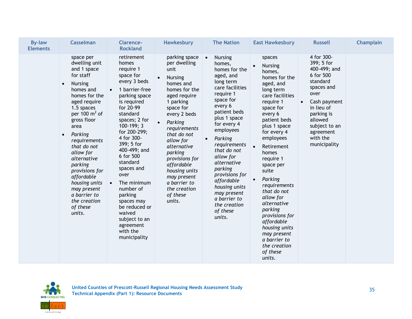| <b>By-law</b><br><b>Elements</b> | <b>Casselman</b>                                                                                                                                                                                                                                                                                                                                                                                   | <b>Clarence-</b><br><b>Rockland</b>                                                                                                                                                                                                                                                                                                                                                                                                                      | <b>Hawkesbury</b>                                                                                                                                                                                                                                                                                                                                      | <b>The Nation</b>                                                                                                                                                                                                                                                                                                                                                                                           | <b>East Hawkesbury</b>                                                                                                                                                                                                                                                                                                                                                                                                                                                          | <b>Russell</b>                                                                                                                                                                                                        | <b>Champlain</b> |
|----------------------------------|----------------------------------------------------------------------------------------------------------------------------------------------------------------------------------------------------------------------------------------------------------------------------------------------------------------------------------------------------------------------------------------------------|----------------------------------------------------------------------------------------------------------------------------------------------------------------------------------------------------------------------------------------------------------------------------------------------------------------------------------------------------------------------------------------------------------------------------------------------------------|--------------------------------------------------------------------------------------------------------------------------------------------------------------------------------------------------------------------------------------------------------------------------------------------------------------------------------------------------------|-------------------------------------------------------------------------------------------------------------------------------------------------------------------------------------------------------------------------------------------------------------------------------------------------------------------------------------------------------------------------------------------------------------|---------------------------------------------------------------------------------------------------------------------------------------------------------------------------------------------------------------------------------------------------------------------------------------------------------------------------------------------------------------------------------------------------------------------------------------------------------------------------------|-----------------------------------------------------------------------------------------------------------------------------------------------------------------------------------------------------------------------|------------------|
|                                  | space per<br>dwelling unit<br>and 1 space<br>for staff<br><b>Nursing</b><br>$\bullet$<br>homes and<br>homes for the<br>aged require<br>1.5 spaces<br>per 100 $m2$ of<br>gross floor<br>area<br>Parking<br>requirements<br>that do not<br>allow for<br>alternative<br>parking<br>provisions for<br>affordable<br>housing units<br>may present<br>a barrier to<br>the creation<br>of these<br>units. | retirement<br>homes<br>require 1<br>space for<br>every 3 beds<br>1 barrier-free<br>$\bullet$<br>parking space<br>is required<br>for 20-99<br>standard<br>spaces; 2 for<br>$100-199; 3$<br>for 200-299;<br>4 for 300-<br>399; 5 for<br>400-499; and<br>6 for 500<br>standard<br>spaces and<br>over<br>The minimum<br>$\bullet$<br>number of<br>parking<br>spaces may<br>be reduced or<br>waived<br>subject to an<br>agreement<br>with the<br>municipality | parking space<br>per dwelling<br>unit<br><b>Nursing</b><br>homes and<br>homes for the<br>aged require<br>1 parking<br>space for<br>every 2 beds<br>Parking<br>requirements<br>that do not<br>allow for<br>alternative<br>parking<br>provisions for<br>affordable<br>housing units<br>may present<br>a barrier to<br>the creation<br>of these<br>units. | $\bullet$<br><b>Nursing</b><br>homes,<br>homes for the<br>aged, and<br>long term<br>care facilities<br>require 1<br>space for<br>every 6<br>patient beds<br>plus 1 space<br>for every 4<br>employees<br>Parking<br>requirements<br>that do not<br>allow for<br>alternative<br>parking<br>provisions for<br>affordable<br>housing units<br>may present<br>a barrier to<br>the creation<br>of these<br>units. | spaces<br><b>Nursing</b><br>homes,<br>homes for the<br>aged, and<br>long term<br>care facilities<br>require 1<br>space for<br>every 6<br>patient beds<br>plus 1 space<br>for every 4<br>employees<br>Retirement<br>$\bullet$<br>homes<br>require 1<br>space per<br>suite<br>Parking<br>requirements<br>that do not<br>allow for<br>alternative<br>parking<br>provisions for<br>affordable<br>housing units<br>may present<br>a barrier to<br>the creation<br>of these<br>units. | 4 for 300-<br>399; 5 for<br>400-499; and<br>6 for 500<br>standard<br>spaces and<br>over<br>Cash payment<br>$\bullet$<br>in lieu of<br>parking is<br>allowed<br>subject to an<br>agreement<br>with the<br>municipality |                  |

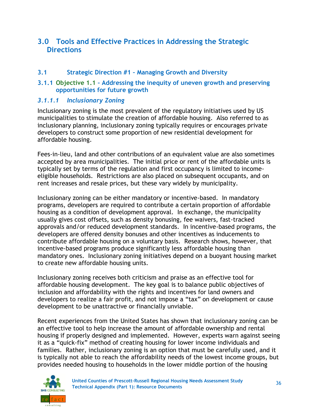### **3.0 Tools and Effective Practices in Addressing the Strategic Directions**

#### **3.1 Strategic Direction #1 – Managing Growth and Diversity**

#### **3.1.1 Objective 1.1 – Addressing the inequity of uneven growth and preserving opportunities for future growth**

#### *3.1.1.1 Inclusionary Zoning*

Inclusionary zoning is the most prevalent of the regulatory initiatives used by US municipalities to stimulate the creation of affordable housing. Also referred to as inclusionary planning, inclusionary zoning typically requires or encourages private developers to construct some proportion of new residential development for affordable housing.

Fees-in-lieu, land and other contributions of an equivalent value are also sometimes accepted by area municipalities. The initial price or rent of the affordable units is typically set by terms of the regulation and first occupancy is limited to incomeeligible households. Restrictions are also placed on subsequent occupants, and on rent increases and resale prices, but these vary widely by municipality.

Inclusionary zoning can be either mandatory or incentive-based. In mandatory programs, developers are required to contribute a certain proportion of affordable housing as a condition of development approval. In exchange, the municipality usually gives cost offsets, such as density bonusing, fee waivers, fast-tracked approvals and/or reduced development standards. In incentive-based programs, the developers are offered density bonuses and other incentives as inducements to contribute affordable housing on a voluntary basis. Research shows, however, that incentive-based programs produce significantly less affordable housing than mandatory ones. Inclusionary zoning initiatives depend on a buoyant housing market to create new affordable housing units.

Inclusionary zoning receives both criticism and praise as an effective tool for affordable housing development. The key goal is to balance public objectives of inclusion and affordability with the rights and incentives for land owners and developers to realize a fair profit, and not impose a "tax" on development or cause development to be unattractive or financially unviable.

Recent experiences from the United States has shown that inclusionary zoning can be an effective tool to help increase the amount of affordable ownership and rental housing if properly designed and implemented. However, experts warn against seeing it as a "quick-fix" method of creating housing for lower income individuals and families. Rather, inclusionary zoning is an option that must be carefully used, and it is typically not able to reach the affordability needs of the lowest income groups, but provides needed housing to households in the lower middle portion of the housing

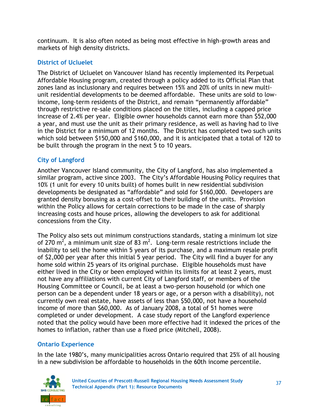continuum. It is also often noted as being most effective in high-growth areas and markets of high density districts.

### **District of Ucluelet**

The District of Ucluelet on Vancouver Island has recently implemented its Perpetual Affordable Housing program, created through a policy added to its Official Plan that zones land as inclusionary and requires between 15% and 20% of units in new multiunit residential developments to be deemed affordable. These units are sold to lowincome, long-term residents of the District, and remain "permanently affordable" through restrictive re-sale conditions placed on the titles, including a capped price increase of 2.4% per year. Eligible owner households cannot earn more than \$52,000 a year, and must use the unit as their primary residence, as well as having had to live in the District for a minimum of 12 months. The District has completed two such units which sold between \$150,000 and \$160,000, and it is anticipated that a total of 120 to be built through the program in the next 5 to 10 years.

### **City of Langford**

Another Vancouver Island community, the City of Langford, has also implemented a similar program, active since 2003. The City's Affordable Housing Policy requires that 10% (1 unit for every 10 units built) of homes built in new residential subdivision developments be designated as "affordable" and sold for \$160,000. Developers are granted density bonusing as a cost-offset to their building of the units. Provision within the Policy allows for certain corrections to be made in the case of sharply increasing costs and house prices, allowing the developers to ask for additional concessions from the City.

The Policy also sets out minimum constructions standards, stating a minimum lot size of 270 m<sup>2</sup>, a minimum unit size of 83 m<sup>2</sup>. Long-term resale restrictions include the inability to sell the home within 5 years of its purchase, and a maximum resale profit of \$2,000 per year after this initial 5 year period. The City will find a buyer for any home sold within 25 years of its original purchase. Eligible households must have either lived in the City or been employed within its limits for at least 2 years, must not have any affiliations with current City of Langford staff, or members of the Housing Committee or Council, be at least a two-person household (or which one person can be a dependent under 18 years or age, or a person with a disability), not currently own real estate, have assets of less than \$50,000, not have a household income of more than \$60,000. As of January 2008, a total of 51 homes were completed or under development. A case study report of the Langford experience noted that the policy would have been more effective had it indexed the prices of the homes to inflation, rather than use a fixed price (Mitchell, 2008).

### **Ontario Experience**

In the late 1980's, many municipalities across Ontario required that 25% of all housing in a new subdivision be affordable to households in the 60th income percentile.

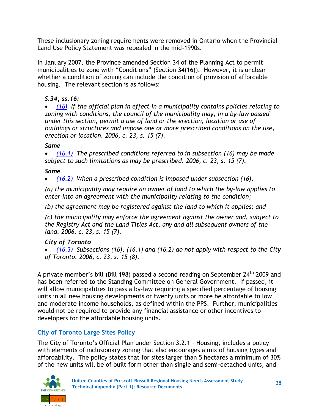These inclusionary zoning requirements were removed in Ontario when the Provincial Land Use Policy Statement was repealed in the mid-1990s.

In January 2007, the Province amended Section 34 of the Planning Act to permit municipalities to zone with "Conditions" (Section 34(16)). However, it is unclear whether a condition of zoning can include the condition of provision of affordable housing. The relevant section is as follows:

### *S.34, ss.16:*

 *[\(16\)](http://www.e-laws.gov.on.ca/html/statutes/french/elaws_statutes_90p13_f.htm#s34s16) If the official plan in effect in a municipality contains policies relating to zoning with conditions, the council of the municipality may, in a by-law passed under this section, permit a use of land or the erection, location or use of buildings or structures and impose one or more prescribed conditions on the use, erection or location. 2006, c. 23, s. 15 (7).*

#### *Same*

 *[\(16.1\)](http://www.e-laws.gov.on.ca/html/statutes/french/elaws_statutes_90p13_f.htm#s34s16p1) The prescribed conditions referred to in subsection (16) may be made subject to such limitations as may be prescribed. 2006, c. 23, s. 15 (7).*

#### *Same*

*[\(16.2\)](http://www.e-laws.gov.on.ca/html/statutes/french/elaws_statutes_90p13_f.htm#s34s16p2) When a prescribed condition is imposed under subsection (16),*

*(a) the municipality may require an owner of land to which the by-law applies to enter into an agreement with the municipality relating to the condition;*

*(b) the agreement may be registered against the land to which it applies; and*

*(c) the municipality may enforce the agreement against the owner and, subject to the Registry Act and the Land Titles Act, any and all subsequent owners of the land. 2006, c. 23, s. 15 (7).*

### *City of Toronto*

 *[\(16.3\)](http://www.e-laws.gov.on.ca/html/statutes/french/elaws_statutes_90p13_f.htm#s34s16p3) Subsections (16), (16.1) and (16.2) do not apply with respect to the City of Toronto. 2006, c. 23, s. 15 (8).*

A private member's bill (Bill 198) passed a second reading on September 24<sup>th</sup> 2009 and has been referred to the Standing Committee on General Government. If passed, it will allow municipalities to pass a by-law requiring a specified percentage of housing units in all new housing developments or twenty units or more be affordable to low and moderate income households, as defined within the PPS. Further, municipalities would not be required to provide any financial assistance or other incentives to developers for the affordable housing units.

### **City of Toronto Large Sites Policy**

The City of Toronto's Official Plan under Section 3.2.1 – Housing, includes a policy with elements of inclusionary zoning that also encourages a mix of housing types and affordability. The policy states that for sites larger than 5 hectares a minimum of 30% of the new units will be of built form other than single and semi-detached units, and

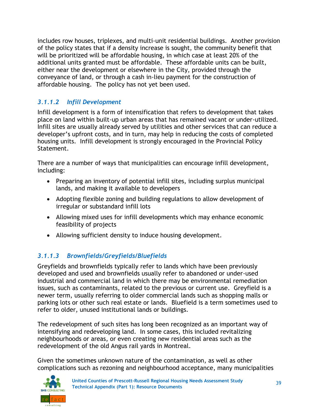includes row houses, triplexes, and multi-unit residential buildings. Another provision of the policy states that if a density increase is sought, the community benefit that will be prioritized will be affordable housing, in which case at least 20% of the additional units granted must be affordable. These affordable units can be built, either near the development or elsewhere in the City, provided through the conveyance of land, or through a cash in-lieu payment for the construction of affordable housing. The policy has not yet been used.

### *3.1.1.2 Infill Development*

Infill development is a form of intensification that refers to development that takes place on land within built-up urban areas that has remained vacant or under-utilized. Infill sites are usually already served by utilities and other services that can reduce a developer's upfront costs, and in turn, may help in reducing the costs of completed housing units. Infill development is strongly encouraged in the Provincial Policy Statement.

There are a number of ways that municipalities can encourage infill development, including:

- Preparing an inventory of potential infill sites, including surplus municipal lands, and making it available to developers
- Adopting flexible zoning and building regulations to allow development of irregular or substandard infill lots
- Allowing mixed uses for infill developments which may enhance economic feasibility of projects
- Allowing sufficient density to induce housing development.

### *3.1.1.3 Brownfields/Greyfields/Bluefields*

Greyfields and brownfields typically refer to lands which have been previously developed and used and brownfields usually refer to abandoned or under-used industrial and commercial land in which there may be environmental remediation issues, such as contaminants, related to the previous or current use. Greyfield is a newer term, usually referring to older commercial lands such as shopping malls or parking lots or other such real estate or lands. Bluefield is a term sometimes used to refer to older, unused institutional lands or buildings.

The redevelopment of such sites has long been recognized as an important way of intensifying and redeveloping land. In some cases, this included revitalizing neighbourhoods or areas, or even creating new residential areas such as the redevelopment of the old Angus rail yards in Montreal.

Given the sometimes unknown nature of the contamination, as well as other complications such as rezoning and neighbourhood acceptance, many municipalities

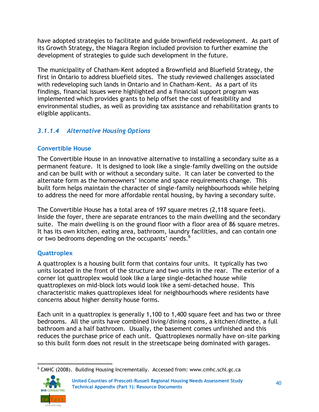have adopted strategies to facilitate and guide brownfield redevelopment. As part of its Growth Strategy, the Niagara Region included provision to further examine the development of strategies to guide such development in the future.

The municipality of Chatham-Kent adopted a Brownfield and Bluefield Strategy, the first in Ontario to address bluefield sites. The study reviewed challenges associated with redeveloping such lands in Ontario and in Chatham-Kent. As a part of its findings, financial issues were highlighted and a financial support program was implemented which provides grants to help offset the cost of feasibility and environmental studies, as well as providing tax assistance and rehabilitation grants to eligible applicants.

## *3.1.1.4 Alternative Housing Options*

### **Convertible House**

The Convertible House in an innovative alternative to installing a secondary suite as a permanent feature. It is designed to look like a single-family dwelling on the outside and can be built with or without a secondary suite. It can later be converted to the alternate form as the homeowners' income and space requirements change. This built form helps maintain the character of single-family neighbourhoods while helping to address the need for more affordable rental housing, by having a secondary suite.

The Convertible House has a total area of 197 square metres (2,118 square feet). Inside the foyer, there are separate entrances to the main dwelling and the secondary suite. The main dwelling is on the ground floor with a floor area of 86 square metres. It has its own kitchen, eating area, bathroom, laundry facilities, and can contain one or two bedrooms depending on the occupants' needs.<sup>6</sup>

### **Quattroplex**

A quattroplex is a housing built form that contains four units. It typically has two units located in the front of the structure and two units in the rear. The exterior of a corner lot quattroplex would look like a large single-detached house while quattroplexes on mid-block lots would look like a semi-detached house. This characteristic makes quattroplexes ideal for neighbourhoods where residents have concerns about higher density house forms.

Each unit in a quattroplex is generally 1,100 to 1,400 square feet and has two or three bedrooms. All the units have combined living/dining rooms, a kitchen/dinette, a full bathroom and a half bathroom. Usually, the basement comes unfinished and this reduces the purchase price of each unit. Quattroplexes normally have on-site parking so this built form does not result in the streetscape being dominated with garages.

 <sup>6</sup> CMHC (2008). Building Housing Incrementally. Accessed from: www.cmhc.schl.gc.ca

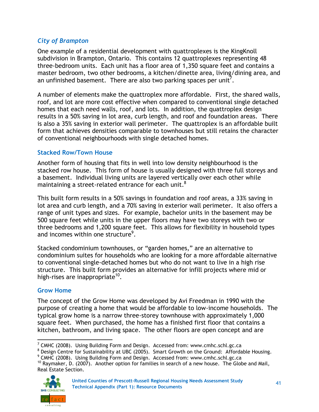#### *City of Brampton*

One example of a residential development with quattroplexes is the KingKnoll subdivision in Brampton, Ontario. This contains 12 quattroplexes representing 48 three-bedroom units. Each unit has a floor area of 1,350 square feet and contains a master bedroom, two other bedrooms, a kitchen/dinette area, living/dining area, and an unfinished basement. There are also two parking spaces per unit<sup>7</sup>.

A number of elements make the quattroplex more affordable. First, the shared walls, roof, and lot are more cost effective when compared to conventional single detached homes that each need walls, roof, and lots. In addition, the quattroplex design results in a 50% saving in lot area, curb length, and roof and foundation areas. There is also a 35% saving in exterior wall perimeter. The quattroplex is an affordable built form that achieves densities comparable to townhouses but still retains the character of conventional neighbourhoods with single detached homes.

#### **Stacked Row/Town House**

Another form of housing that fits in well into low density neighbourhood is the stacked row house. This form of house is usually designed with three full storeys and a basement. Individual living units are layered vertically over each other while maintaining a street-related entrance for each unit.<sup>8</sup>

This built form results in a 50% savings in foundation and roof areas, a 33% saving in lot area and curb length, and a 70% saving in exterior wall perimeter. It also offers a range of unit types and sizes. For example, bachelor units in the basement may be 500 square feet while units in the upper floors may have two storeys with two or three bedrooms and 1,200 square feet. This allows for flexibility in household types and incomes within one structure $^9$ .

Stacked condominium townhouses, or "garden homes," are an alternative to condominium suites for households who are looking for a more affordable alternative to conventional single-detached homes but who do not want to live in a high rise structure. This built form provides an alternative for infill projects where mid or high-rises are inappropriate<sup>10</sup>.

#### **Grow Home**

The concept of the Grow Home was developed by Avi Freedman in 1990 with the purpose of creating a home that would be affordable to low-income households. The typical grow home is a narrow three-storey townhouse with approximately 1,000 square feet. When purchased, the home has a finished first floor that contains a kitchen, bathroom, and living space. The other floors are open concept and are

<sup>8</sup> Design Centre for Sustainability at UBC (2005). Smart Growth on the Ground: Affordable Housing.

 $10$  Raymaker, D. (2007). Another option for families in search of a new house. The Globe and Mail, Real Estate Section.



<sup>7</sup> CMHC (2008). Using Building Form and Design. Accessed from: www.cmhc.schl.gc.ca

<sup>&</sup>lt;sup>9</sup> CMHC (2008). Using Building Form and Design. Accessed from: www.cmhc.schl.gc.ca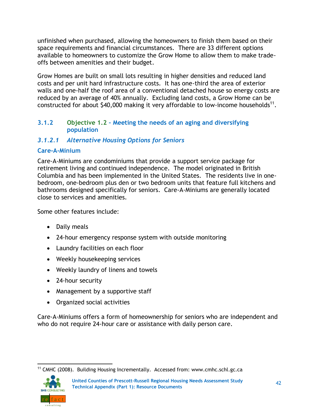unfinished when purchased, allowing the homeowners to finish them based on their space requirements and financial circumstances. There are 33 different options available to homeowners to customize the Grow Home to allow them to make tradeoffs between amenities and their budget.

Grow Homes are built on small lots resulting in higher densities and reduced land costs and per unit hard infrastructure costs. It has one-third the area of exterior walls and one-half the roof area of a conventional detached house so energy costs are reduced by an average of 40% annually. Excluding land costs, a Grow Home can be constructed for about \$40,000 making it very affordable to low-income households<sup>11</sup>.

#### **3.1.2 Objective 1.2 – Meeting the needs of an aging and diversifying population**

### *3.1.2.1 Alternative Housing Options for Seniors*

#### **Care-A-Minium**

Care-A-Miniums are condominiums that provide a support service package for retirement living and continued independence. The model originated in British Columbia and has been implemented in the United States. The residents live in onebedroom, one-bedroom plus den or two bedroom units that feature full kitchens and bathrooms designed specifically for seniors. Care-A-Miniums are generally located close to services and amenities.

Some other features include:

- Daily meals
- 24-hour emergency response system with outside monitoring
- Laundry facilities on each floor
- Weekly housekeeping services
- Weekly laundry of linens and towels
- 24-hour security
- Management by a supportive staff
- Organized social activities

Care-A-Miniums offers a form of homeownership for seniors who are independent and who do not require 24-hour care or assistance with daily person care.

 <sup>11</sup> CMHC (2008). Building Housing Incrementally. Accessed from: www.cmhc.schl.gc.ca

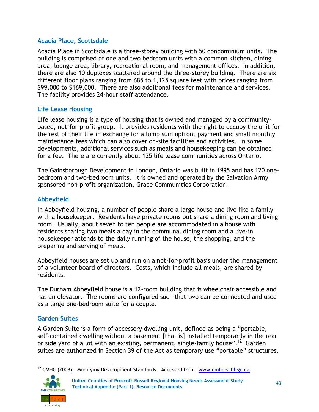#### **Acacia Place, Scottsdale**

Acacia Place in Scottsdale is a three-storey building with 50 condominium units. The building is comprised of one and two bedroom units with a common kitchen, dining area, lounge area, library, recreational room, and management offices. In addition, there are also 10 duplexes scattered around the three-storey building. There are six different floor plans ranging from 685 to 1,125 square feet with prices ranging from \$99,000 to \$169,000. There are also additional fees for maintenance and services. The facility provides 24-hour staff attendance.

#### **Life Lease Housing**

Life lease housing is a type of housing that is owned and managed by a communitybased, not-for-profit group. It provides residents with the right to occupy the unit for the rest of their life in exchange for a lump sum upfront payment and small monthly maintenance fees which can also cover on-site facilities and activities. In some developments, additional services such as meals and housekeeping can be obtained for a fee. There are currently about 125 life lease communities across Ontario.

The Gainsborough Development in London, Ontario was built in 1995 and has 120 onebedroom and two-bedroom units. It is owned and operated by the Salvation Army sponsored non-profit organization, Grace Communities Corporation.

### **Abbeyfield**

In Abbeyfield housing, a number of people share a large house and live like a family with a housekeeper. Residents have private rooms but share a dining room and living room. Usually, about seven to ten people are accommodated in a house with residents sharing two meals a day in the communal dining room and a live-in housekeeper attends to the daily running of the house, the shopping, and the preparing and serving of meals.

Abbeyfield houses are set up and run on a not-for-profit basis under the management of a volunteer board of directors. Costs, which include all meals, are shared by residents.

The Durham Abbeyfield house is a 12-room building that is wheelchair accessible and has an elevator. The rooms are configured such that two can be connected and used as a large one-bedroom suite for a couple.

### **Garden Suites**

A Garden Suite is a form of accessory dwelling unit, defined as being a "portable, self-contained dwelling without a basement [that is] installed temporarily in the rear or side yard of a lot with an existing, permanent, single-family house".<sup>12</sup> Garden suites are authorized in Section 39 of the Act as temporary use "portable" structures.

 <sup>12</sup> CMHC (2008). Modifying Development Standards. Accessed from: [www.cmhc-schl.gc.ca](http://www.cmhc-schl.gc.ca/)

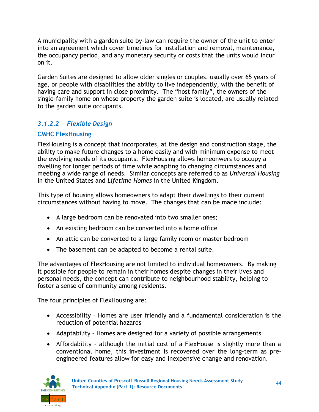A municipality with a garden suite by-law can require the owner of the unit to enter into an agreement which cover timelines for installation and removal, maintenance, the occupancy period, and any monetary security or costs that the units would incur on it.

Garden Suites are designed to allow older singles or couples, usually over 65 years of age, or people with disabilities the ability to live independently, with the benefit of having care and support in close proximity. The "host family", the owners of the single-family home on whose property the garden suite is located, are usually related to the garden suite occupants.

### *3.1.2.2 Flexible Design*

### **CMHC FlexHousing**

FlexHousing is a concept that incorporates, at the design and construction stage, the ability to make future changes to a home easily and with minimum expense to meet the evolving needs of its occupants. FlexHousing allows homeonwers to occupy a dwelling for longer periods of time while adapting to changing circumstances and meeting a wide range of needs. Similar concepts are referred to as *Universal Housing* in the United States and *Lifetime Homes* in the United Kingdom.

This type of housing allows homeowners to adapt their dwellings to their current circumstances without having to move. The changes that can be made include:

- A large bedroom can be renovated into two smaller ones;
- An existing bedroom can be converted into a home office
- An attic can be converted to a large family room or master bedroom
- The basement can be adapted to become a rental suite.

The advantages of FlexHousing are not limited to individual homeowners. By making it possible for people to remain in their homes despite changes in their lives and personal needs, the concept can contribute to neighbourhood stability, helping to foster a sense of community among residents.

The four principles of FlexHousing are:

- Accessibility Homes are user friendly and a fundamental consideration is the reduction of potential hazards
- Adaptability Homes are designed for a variety of possible arrangements
- Affordability although the initial cost of a FlexHouse is slightly more than a conventional home, this investment is recovered over the long-term as preengineered features allow for easy and inexpensive change and renovation.

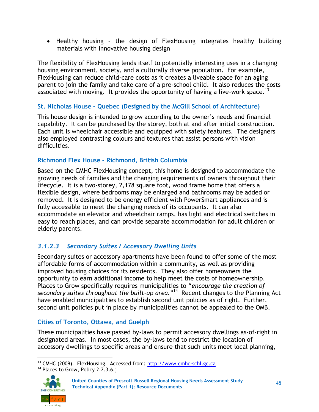Healthy housing – the design of FlexHousing integrates healthy building materials with innovative housing design

The flexibility of FlexHousing lends itself to potentially interesting uses in a changing housing environment, society, and a culturally diverse population. For example, FlexHousing can reduce child-care costs as it creates a liveable space for an aging parent to join the family and take care of a pre-school child. It also reduces the costs associated with moving. It provides the opportunity of having a live-work space.<sup>13</sup>

### **St. Nicholas House – Quebec (Designed by the McGill School of Architecture)**

This house design is intended to grow according to the owner's needs and financial capability. It can be purchased by the storey, both at and after initial construction. Each unit is wheelchair accessible and equipped with safety features. The designers also employed contrasting colours and textures that assist persons with vision difficulties.

### **Richmond Flex House – Richmond, British Columbia**

Based on the CMHC FlexHousing concept, this home is designed to accommodate the growing needs of families and the changing requirements of owners throughout their lifecycle. It is a two-storey, 2,178 square foot, wood frame home that offers a flexible design, where bedrooms may be enlarged and bathrooms may be added or removed. It is designed to be energy efficient with PowerSmart appliances and is fully accessible to meet the changing needs of its occupants. It can also accommodate an elevator and wheelchair ramps, has light and electrical switches in easy to reach places, and can provide separate accommodation for adult children or elderly parents.

# *3.1.2.3 Secondary Suites / Accessory Dwelling Units*

Secondary suites or accessory apartments have been found to offer some of the most affordable forms of accommodation within a community, as well as providing improved housing choices for its residents. They also offer homeowners the opportunity to earn additional income to help meet the costs of homeownership. Places to Grow specifically requires municipalities to "encourage the creation of secondary suites throughout the built-up area."<sup>14</sup> Recent changes to the Planning Act have enabled municipalities to establish second unit policies as of right. Further, second unit policies put in place by municipalities cannot be appealed to the OMB.

### **Cities of Toronto, Ottawa, and Guelph**

These municipalities have passed by-laws to permit accessory dwellings as-of-right in designated areas. In most cases, the by-laws tend to restrict the location of accessory dwellings to specific areas and ensure that such units meet local planning,

 <sup>13</sup> CMHC (2009). FlexHousing. Accessed from: [http://www.cmhc-schl.gc.ca](http://www.cmhc-schl.gc.ca/) <sup>14</sup> Places to Grow, Policy 2.2.3.6.j



<sup>45</sup> **United Counties of Prescott-Russell Regional Housing Needs Assessment Study Technical Appendix (Part 1): Resource Documents**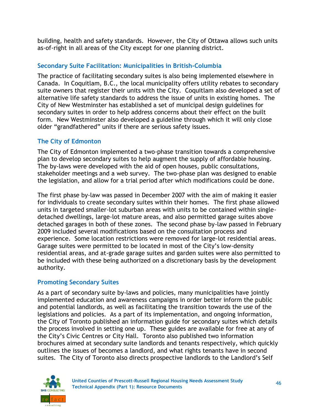building, health and safety standards. However, the City of Ottawa allows such units as-of-right in all areas of the City except for one planning district.

### **Secondary Suite Facilitation: Municipalities in British-Columbia**

The practice of facilitating secondary suites is also being implemented elsewhere in Canada. In Coquitlam, B.C., the local municipality offers utility rebates to secondary suite owners that register their units with the City. Coquitlam also developed a set of alternative life safety standards to address the issue of units in existing homes. The City of New Westminster has established a set of municipal design guidelines for secondary suites in order to help address concerns about their effect on the built form. New Westminster also developed a guideline through which it will only close older "grandfathered" units if there are serious safety issues.

#### **The City of Edmonton**

The City of Edmonton implemented a two-phase transition towards a comprehensive plan to develop secondary suites to help augment the supply of affordable housing. The by-laws were developed with the aid of open houses, public consultations, stakeholder meetings and a web survey. The two-phase plan was designed to enable the legislation, and allow for a trial period after which modifications could be done.

The first phase by-law was passed in December 2007 with the aim of making it easier for individuals to create secondary suites within their homes. The first phase allowed units in targeted smaller-lot suburban areas with units to be contained within singledetached dwellings, large-lot mature areas, and also permitted garage suites above detached garages in both of these zones. The second phase by-law passed in February 2009 included several modifications based on the consultation process and experience. Some location restrictions were removed for large-lot residential areas. Garage suites were permitted to be located in most of the City's low-density residential areas, and at-grade garage suites and garden suites were also permitted to be included with these being authorized on a discretionary basis by the development authority.

#### **Promoting Secondary Suites**

As a part of secondary suite by-laws and policies, many municipalities have jointly implemented education and awareness campaigns in order better inform the public and potential landlords, as well as facilitating the transition towards the use of the legislations and policies. As a part of its implementation, and ongoing information, the City of Toronto published an information guide for secondary suites which details the process involved in setting one up. These guides are available for free at any of the City's Civic Centres or City Hall. Toronto also published two information brochures aimed at secondary suite landlords and tenants respectively, which quickly outlines the issues of becomes a landlord, and what rights tenants have in second suites. The City of Toronto also directs prospective landlords to the Landlord's Self

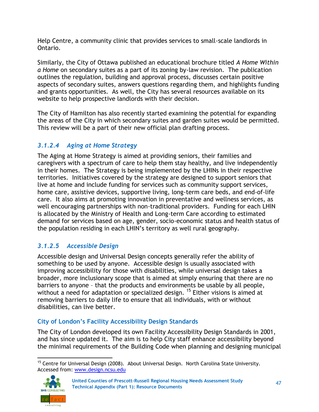Help Centre, a community clinic that provides services to small-scale landlords in Ontario.

Similarly, the City of Ottawa published an educational brochure titled *A Home Within a Home* on secondary suites as a part of its zoning by-law revision. The publication outlines the regulation, building and approval process, discusses certain positive aspects of secondary suites, answers questions regarding them, and highlights funding and grants opportunities. As well, the City has several resources available on its website to help prospective landlords with their decision.

The City of Hamilton has also recently started examining the potential for expanding the areas of the City in which secondary suites and garden suites would be permitted. This review will be a part of their new official plan drafting process.

### *3.1.2.4 Aging at Home Strategy*

The Aging at Home Strategy is aimed at providing seniors, their families and caregivers with a spectrum of care to help them stay healthy, and live independently in their homes. The Strategy is being implemented by the LHINs in their respective territories. Initiatives covered by the strategy are designed to support seniors that live at home and include funding for services such as community support services, home care, assistive devices, supportive living, long-term care beds, and end-of-life care. It also aims at promoting innovation in preventative and wellness services, as well encouraging partnerships with non-traditional providers. Funding for each LHIN is allocated by the Ministry of Health and Long-term Care according to estimated demand for services based on age, gender, socio-economic status and health status of the population residing in each LHIN's territory as well rural geography.

### *3.1.2.5 Accessible Design*

Accessible design and Universal Design concepts generally refer the ability of something to be used by anyone. Accessible design is usually associated with improving accessibility for those with disabilities, while universal design takes a broader, more inclusionary scope that is aimed at simply ensuring that there are no barriers to anyone – that the products and environments be usable by all people, without a need for adaptation or specialized design. <sup>15</sup> Either visions is aimed at removing barriers to daily life to ensure that all individuals, with or without disabilities, can live better.

### **City of London's Facility Accessibility Design Standards**

The City of London developed its own Facility Accessibility Design Standards in 2001, and has since updated it. The aim is to help City staff enhance accessibility beyond the minimal requirements of the Building Code when planning and designing municipal

 <sup>15</sup> Centre for Universal Design (2008). About Universal Design. North Carolina State University. Accessed from: [www.design.ncsu.edu](http://www.design.ncsu.edu/)

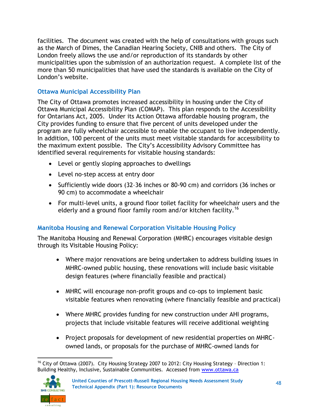facilities. The document was created with the help of consultations with groups such as the March of Dimes, the Canadian Hearing Society, CNIB and others. The City of London freely allows the use and/or reproduction of its standards by other municipalities upon the submission of an authorization request. A complete list of the more than 50 municipalities that have used the standards is available on the City of London's website.

### **Ottawa Municipal Accessibility Plan**

The City of Ottawa promotes increased accessibility in housing under the City of Ottawa Municipal Accessibility Plan (COMAP). This plan responds to the Accessibility for Ontarians Act, 2005. Under its Action Ottawa affordable housing program, the City provides funding to ensure that five percent of units developed under the program are fully wheelchair accessible to enable the occupant to live independently. In addition, 100 percent of the units must meet visitable standards for accessibility to the maximum extent possible. The City's Accessibility Advisory Committee has identified several requirements for visitable housing standards:

- Level or gently sloping approaches to dwellings
- Level no-step access at entry door
- Sufficiently wide doors (32–36 inches or 80-90 cm) and corridors (36 inches or 90 cm) to accommodate a wheelchair
- For multi-level units, a ground floor toilet facility for wheelchair users and the elderly and a ground floor family room and/or kitchen facility.<sup>16</sup>

### **Manitoba Housing and Renewal Corporation Visitable Housing Policy**

The Manitoba Housing and Renewal Corporation (MHRC) encourages visitable design through its Visitable Housing Policy:

- Where major renovations are being undertaken to address building issues in MHRC-owned public housing, these renovations will include basic visitable design features (where financially feasible and practical)
- MHRC will encourage non-profit groups and co-ops to implement basic visitable features when renovating (where financially feasible and practical)
- Where MHRC provides funding for new construction under AHI programs, projects that include visitable features will receive additional weighting
- Project proposals for development of new residential properties on MHRCowned lands, or proposals for the purchase of MHRC-owned lands for

 <sup>16</sup> City of Ottawa (2007). City Housing Strategy 2007 to 2012: City Housing Strategy - Direction 1: Building Healthy, Inclusive, Sustainable Communities. Accessed from [www.ottawa.ca](http://www.ottawa.ca/)

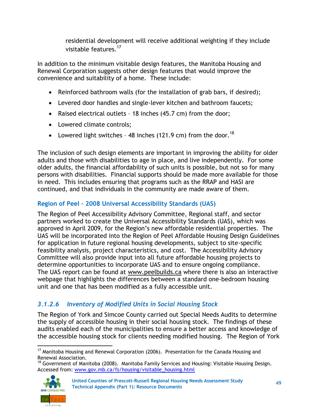residential development will receive additional weighting if they include visitable features.<sup>17</sup>

In addition to the minimum visitable design features, the Manitoba Housing and Renewal Corporation suggests other design features that would improve the convenience and suitability of a home. These include:

- Reinforced bathroom walls (for the installation of grab bars, if desired);
- Levered door handles and single-lever kitchen and bathroom faucets;
- Raised electrical outlets 18 inches (45.7 cm) from the door;
- Lowered climate controls;
- Lowered light switches 48 inches (121.9 cm) from the door.<sup>18</sup>

The inclusion of such design elements are important in improving the ability for older adults and those with disabilities to age in place, and live independently. For some older adults, the financial affordability of such units is possible, but not so for many persons with disabilities. Financial supports should be made more available for those in need. This includes ensuring that programs such as the RRAP and HASI are continued, and that individuals in the community are made aware of them.

## **Region of Peel – 2008 Universal Accessibility Standards (UAS)**

The Region of Peel Accessibility Advisory Committee, Regional staff, and sector partners worked to create the Universal Accessibility Standards (UAS), which was approved in April 2009, for the Region's new affordable residential properties. The UAS will be incorporated into the Region of Peel Affordable Housing Design Guidelines for application in future regional housing developments, subject to site-specific feasibility analysis, project characteristics, and cost. The Accessibility Advisory Committee will also provide input into all future affordable housing projects to determine opportunities to incorporate UAS and to ensure ongoing compliance. The UAS report can be found at [www.peelbuilds.ca](http://www.peelbuilds.ca/) where there is also an interactive webpage that highlights the differences between a standard one-bedroom housing unit and one that has been modified as a fully accessible unit.

# *3.1.2.6 Inventory of Modified Units in Social Housing Stock*

The Region of York and Simcoe County carried out Special Needs Audits to determine the supply of accessible housing in their social housing stock. The findings of these audits enabled each of the municipalities to ensure a better access and knowledge of the accessible housing stock for clients needing modified housing. The Region of York

<sup>&</sup>lt;sup>18</sup> Government of Manitoba (2008). Manitoba Family Services and Housing: Visitable Housing Design. Accessed from: [www.gov.mb.ca/fs/housing/visitable\\_housing.html](http://www.gov.mb.ca/fs/housing/visitable_housing.html) 



<sup>49</sup> **United Counties of Prescott-Russell Regional Housing Needs Assessment Study Technical Appendix (Part 1): Resource Documents**

 <sup>17</sup> Manitoba Housing and Renewal Corporation (2006). Presentation for the Canada Housing and Renewal Association.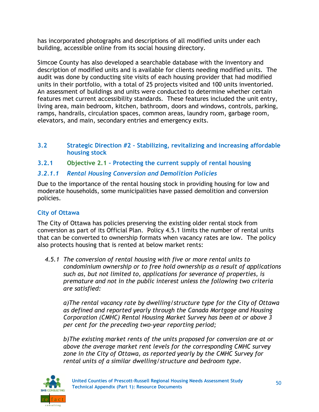has incorporated photographs and descriptions of all modified units under each building, accessible online from its social housing directory.

Simcoe County has also developed a searchable database with the inventory and description of modified units and is available for clients needing modified units. The audit was done by conducting site visits of each housing provider that had modified units in their portfolio, with a total of 25 projects visited and 100 units inventoried. An assessment of buildings and units were conducted to determine whether certain features met current accessibility standards. These features included the unit entry, living area, main bedroom, kitchen, bathroom, doors and windows, controls, parking, ramps, handrails, circulation spaces, common areas, laundry room, garbage room, elevators, and main, secondary entries and emergency exits.

- **3.2 Strategic Direction #2 – Stabilizing, revitalizing and increasing affordable housing stock**
- **3.2.1 Objective 2.1 – Protecting the current supply of rental housing**

### *3.2.1.1 Rental Housing Conversion and Demolition Policies*

Due to the importance of the rental housing stock in providing housing for low and moderate households, some municipalities have passed demolition and conversion policies.

### **City of Ottawa**

The City of Ottawa has policies preserving the existing older rental stock from conversion as part of its Official Plan. Policy 4.5.1 limits the number of rental units that can be converted to ownership formats when vacancy rates are low. The policy also protects housing that is rented at below market rents:

*4.5.1 The conversion of rental housing with five or more rental units to condominium ownership or to free hold ownership as a result of applications such as, but not limited to, applications for severance of properties, is premature and not in the public interest unless the following two criteria are satisfied:* 

*a)The rental vacancy rate by dwelling/structure type for the City of Ottawa as defined and reported yearly through the Canada Mortgage and Housing Corporation (CMHC) Rental Housing Market Survey has been at or above 3 per cent for the preceding two-year reporting period;* 

*b)The existing market rents of the units proposed for conversion are at or above the average market rent levels for the corresponding CMHC survey zone in the City of Ottawa, as reported yearly by the CMHC Survey for rental units of a similar dwelling/structure and bedroom type.*

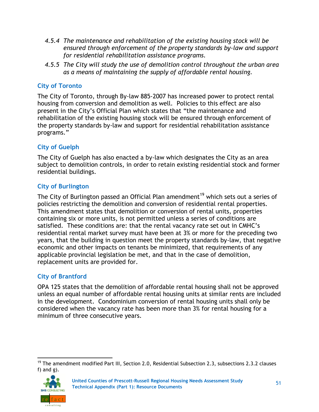- *4.5.4 The maintenance and rehabilitation of the existing housing stock will be ensured through enforcement of the property standards by-law and support for residential rehabilitation assistance programs.*
- *4.5.5 The City will study the use of demolition control throughout the urban area as a means of maintaining the supply of affordable rental housing.*

### **City of Toronto**

The City of Toronto, through By-law 885-2007 has increased power to protect rental housing from conversion and demolition as well. Policies to this effect are also present in the City's Official Plan which states that "the maintenance and rehabilitation of the existing housing stock will be ensured through enforcement of the property standards by-law and support for residential rehabilitation assistance programs."

#### **City of Guelph**

The City of Guelph has also enacted a by-law which designates the City as an area subject to demolition controls, in order to retain existing residential stock and former residential buildings.

#### **City of Burlington**

The City of Burlington passed an Official Plan amendment<sup>19</sup> which sets out a series of policies restricting the demolition and conversion of residential rental properties. This amendment states that demolition or conversion of rental units, properties containing six or more units, is not permitted unless a series of conditions are satisfied. These conditions are: that the rental vacancy rate set out in CMHC's residential rental market survey must have been at 3% or more for the preceding two years, that the building in question meet the property standards by-law, that negative economic and other impacts on tenants be minimized, that requirements of any applicable provincial legislation be met, and that in the case of demolition, replacement units are provided for.

### **City of Brantford**

OPA 125 states that the demolition of affordable rental housing shall not be approved unless an equal number of affordable rental housing units at similar rents are included in the development. Condominium conversion of rental housing units shall only be considered when the vacancy rate has been more than 3% for rental housing for a minimum of three consecutive years.

 $19$  The amendment modified Part III, Section 2.0, Residential Subsection 2.3, subsections 2.3.2 clauses f) and g).

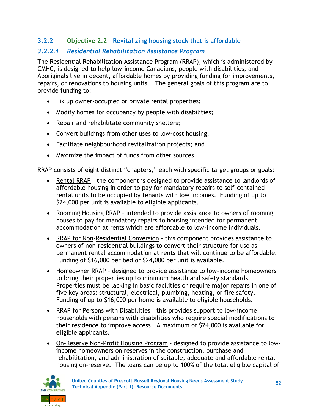### **3.2.2 Objective 2.2 – Revitalizing housing stock that is affordable**

### *3.2.2.1 Residential Rehabilitation Assistance Program*

The Residential Rehabilitation Assistance Program (RRAP), which is administered by CMHC, is designed to help low-income Canadians, people with disabilities, and Aboriginals live in decent, affordable homes by providing funding for improvements, repairs, or renovations to housing units. The general goals of this program are to provide funding to:

- Fix up owner-occupied or private rental properties;
- Modify homes for occupancy by people with disabilities;
- Repair and rehabilitate community shelters;
- Convert buildings from other uses to low-cost housing;
- Facilitate neighbourhood revitalization projects; and,
- Maximize the impact of funds from other sources.

RRAP consists of eight distinct "chapters," each with specific target groups or goals:

- Rental RRAP the component is designed to provide assistance to landlords of affordable housing in order to pay for mandatory repairs to self-contained rental units to be occupied by tenants with low incomes. Funding of up to \$24,000 per unit is available to eligible applicants.
- Rooming Housing RRAP intended to provide assistance to owners of rooming houses to pay for mandatory repairs to housing intended for permanent accommodation at rents which are affordable to low-income individuals.
- RRAP for Non-Residential Conversion this component provides assistance to owners of non-residential buildings to convert their structure for use as permanent rental accommodation at rents that will continue to be affordable. Funding of \$16,000 per bed or \$24,000 per unit is available.
- Homeowner RRAP designed to provide assistance to low-income homeowners to bring their properties up to minimum health and safety standards. Properties must be lacking in basic facilities or require major repairs in one of five key areas: structural, electrical, plumbing, heating, or fire safety. Funding of up to \$16,000 per home is available to eligible households.
- RRAP for Persons with Disabilities this provides support to low-income households with persons with disabilities who require special modifications to their residence to improve access. A maximum of \$24,000 is available for eligible applicants.
- On-Reserve Non-Profit Housing Program designed to provide assistance to lowincome homeowners on reserves in the construction, purchase and rehabilitation, and administration of suitable, adequate and affordable rental housing on-reserve. The loans can be up to 100% of the total eligible capital of

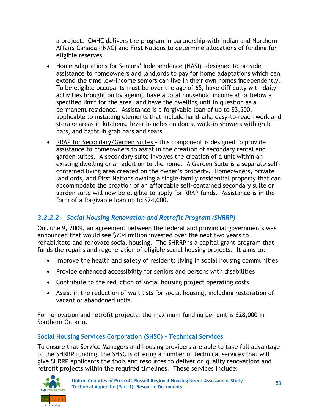a project. CMHC delivers the program in partnership with Indian and Northern Affairs Canada (INAC) and First Nations to determine allocations of funding for eligible reserves.

- Home Adaptations for Seniors' Independence (HASI)-designed to provide assistance to homeowners and landlords to pay for home adaptations which can extend the time low-income seniors can live in their own homes independently. To be eligible occupants must be over the age of 65, have difficulty with daily activities brought on by ageing, have a total household income at or below a specified limit for the area, and have the dwelling unit in question as a permanent residence. Assistance is a forgivable loan of up to \$3,500, applicable to installing elements that include handrails, easy-to-reach work and storage areas in kitchens, lever handles on doors, walk-in showers with grab bars, and bathtub grab bars and seats.
- RRAP for Secondary/Garden Suites this component is designed to provide assistance to homeowners to assist in the creation of secondary rental and garden suites. A secondary suite involves the creation of a unit within an existing dwelling or an addition to the home. A Garden Suite is a separate selfcontained living area created on the owner's property. Homeowners, private landlords, and First Nations owning a single-family residential property that can accommodate the creation of an affordable self-contained secondary suite or garden suite will now be eligible to apply for RRAP funds. Assistance is in the form of a forgivable loan up to \$24,000.

### *3.2.2.2 Social Housing Renovation and Retrofit Program (SHRRP)*

On June 9, 2009, an agreement between the federal and provincial governments was announced that would see \$704 million invested over the next two years to rehabilitate and renovate social housing. The SHRRP is a capital grant program that funds the repairs and regeneration of eligible social housing projects. It aims to:

- Improve the health and safety of residents living in social housing communities
- Provide enhanced accessibility for seniors and persons with disabilities
- Contribute to the reduction of social housing project operating costs
- Assist in the reduction of wait lists for social housing, including restoration of vacant or abandoned units.

For renovation and retrofit projects, the maximum funding per unit is \$28,000 in Southern Ontario.

### **Social Housing Services Corporation (SHSC) – Technical Services**

To ensure that Service Managers and housing providers are able to take full advantage of the SHRRP funding, the SHSC is offering a number of technical services that will give SHRRP applicants the tools and resources to deliver on quality renovations and retrofit projects within the required timelines. These services include:

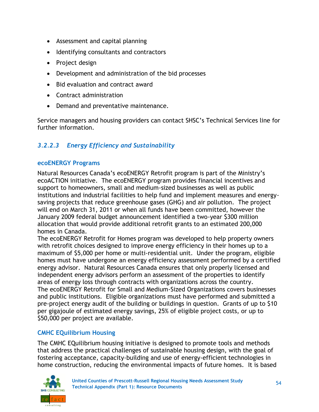- Assessment and capital planning
- Identifying consultants and contractors
- Project design
- Development and administration of the bid processes
- Bid evaluation and contract award
- Contract administration
- Demand and preventative maintenance.

Service managers and housing providers can contact SHSC's Technical Services line for further information.

## *3.2.2.3 Energy Efficiency and Sustainability*

#### **ecoENERGY Programs**

Natural Resources Canada's ecoENERGY Retrofit program is part of the Ministry's ecoACTION initiative. The ecoENERGY program provides financial incentives and support to homeowners, small and medium-sized businesses as well as public institutions and industrial facilities to help fund and implement measures and energysaving projects that reduce greenhouse gases (GHG) and air pollution. The project will end on March 31, 2011 or when all funds have been committed, however the January 2009 federal budget announcement identified a two-year \$300 million allocation that would provide additional retrofit grants to an estimated 200,000 homes in Canada.

The ecoENERGY Retrofit for Homes program was developed to help property owners with retrofit choices designed to improve energy efficiency in their homes up to a maximum of \$5,000 per home or multi-residential unit. Under the program, eligible homes must have undergone an energy efficiency assessment performed by a certified energy advisor. Natural Resources Canada ensures that only properly licensed and independent energy advisors perform an assessment of the properties to identify areas of energy loss through contracts with organizations across the country. The ecoENERGY Retrofit for Small and Medium-Sized Organizations covers businesses and public institutions. Eligible organizations must have performed and submitted a pre-project energy audit of the building or buildings in question. Grants of up to \$10 per gigajoule of estimated energy savings, 25% of eligible project costs, or up to \$50,000 per project are available.

#### **CMHC EQuilibrium Housing**

The CMHC EQuilibrium housing initiative is designed to promote tools and methods that address the practical challenges of sustainable housing design, with the goal of fostering acceptance, capacity-building and use of energy-efficient technologies in home construction, reducing the environmental impacts of future homes. It is based

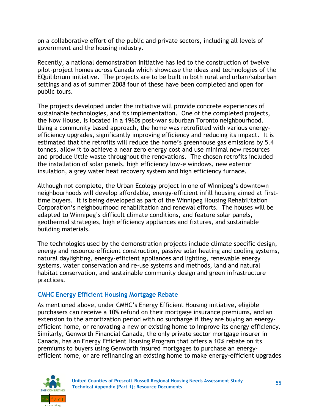on a collaborative effort of the public and private sectors, including all levels of government and the housing industry.

Recently, a national demonstration initiative has led to the construction of twelve pilot-project homes across Canada which showcase the ideas and technologies of the EQuilibrium initiative. The projects are to be built in both rural and urban/suburban settings and as of summer 2008 four of these have been completed and open for public tours.

The projects developed under the initiative will provide concrete experiences of sustainable technologies, and its implementation. One of the completed projects, the Now House, is located in a 1960s post-war suburban Toronto neighbourhood. Using a community based approach, the home was retrofitted with various energyefficiency upgrades, significantly improving efficiency and reducing its impact. It is estimated that the retrofits will reduce the home's greenhouse gas emissions by 5.4 tonnes, allow it to achieve a near zero energy cost and use minimal new resources and produce little waste throughout the renovations. The chosen retrofits included the installation of solar panels, high efficiency low-e windows, new exterior insulation, a grey water heat recovery system and high efficiency furnace.

Although not complete, the Urban Ecology project in one of Winnipeg's downtown neighbourhoods will develop affordable, energy-efficient infill housing aimed at firsttime buyers. It is being developed as part of the Winnipeg Housing Rehabilitation Corporation's neighbourhood rehabilitation and renewal efforts. The houses will be adapted to Winnipeg's difficult climate conditions, and feature solar panels, geothermal strategies, high efficiency appliances and fixtures, and sustainable building materials.

The technologies used by the demonstration projects include climate specific design, energy and resource-efficient construction, passive solar heating and cooling systems, natural daylighting, energy-efficient appliances and lighting, renewable energy systems, water conservation and re-use systems and methods, land and natural habitat conservation, and sustainable community design and green infrastructure practices.

### **CMHC Energy Efficient Housing Mortgage Rebate**

As mentioned above, under CMHC's Energy Efficient Housing initiative, eligible purchasers can receive a 10% refund on their mortgage insurance premiums, and an extension to the amortization period with no surcharge if they are buying an energyefficient home, or renovating a new or existing home to improve its energy efficiency. Similarly, Genworth Financial Canada, the only private sector mortgage insurer in Canada, has an Energy Efficient Housing Program that offers a 10% rebate on its premiums to buyers using Genworth insured mortgages to purchase an energyefficient home, or are refinancing an existing home to make energy-efficient upgrades

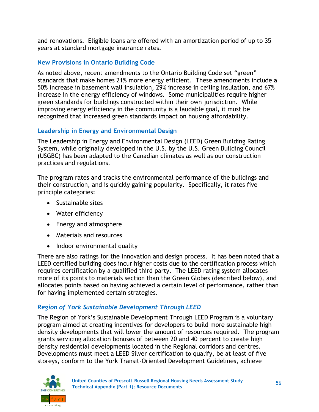and renovations. Eligible loans are offered with an amortization period of up to 35 years at standard mortgage insurance rates.

#### **New Provisions in Ontario Building Code**

As noted above, recent amendments to the Ontario Building Code set "green" standards that make homes 21% more energy efficient. These amendments include a 50% increase in basement wall insulation, 29% increase in ceiling insulation, and 67% increase in the energy efficiency of windows. Some municipalities require higher green standards for buildings constructed within their own jurisdiction. While improving energy efficiency in the community is a laudable goal, it must be recognized that increased green standards impact on housing affordability.

### **Leadership in Energy and Environmental Design**

The Leadership in Energy and Environmental Design (LEED) Green Building Rating System, while originally developed in the U.S. by the U.S. Green Building Council (USGBC) has been adapted to the Canadian climates as well as our construction practices and regulations.

The program rates and tracks the environmental performance of the buildings and their construction, and is quickly gaining popularity. Specifically, it rates five principle categories:

- Sustainable sites
- Water efficiency
- Energy and atmosphere
- Materials and resources
- Indoor environmental quality

There are also ratings for the innovation and design process. It has been noted that a LEED certified building does incur higher costs due to the certification process which requires certification by a qualified third party. The LEED rating system allocates more of its points to materials section than the Green Globes (described below), and allocates points based on having achieved a certain level of performance, rather than for having implemented certain strategies.

### *Region of York Sustainable Development Through LEED*

The Region of York's Sustainable Development Through LEED Program is a voluntary program aimed at creating incentives for developers to build more sustainable high density developments that will lower the amount of resources required. The program grants servicing allocation bonuses of between 20 and 40 percent to create high density residential developments located in the Regional corridors and centres. Developments must meet a LEED Silver certification to qualify, be at least of five storeys, conform to the York Transit-Oriented Development Guidelines, achieve

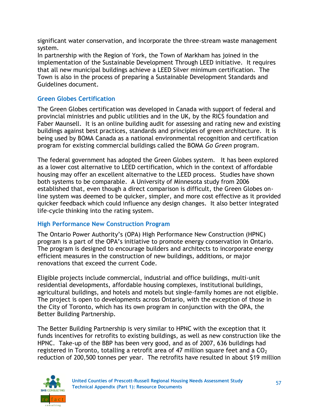significant water conservation, and incorporate the three-stream waste management system.

In partnership with the Region of York, the Town of Markham has joined in the implementation of the Sustainable Development Through LEED initiative. It requires that all new municipal buildings achieve a LEED Silver minimum certification. The Town is also in the process of preparing a Sustainable Development Standards and Guidelines document.

### **Green Globes Certification**

The Green Globes certification was developed in Canada with support of federal and provincial ministries and public utilities and in the UK, by the RICS foundation and Faber Maunsell. It is an online building audit for assessing and rating new and existing buildings against best practices, standards and principles of green architecture. It is being used by BOMA Canada as a national environmental recognition and certification program for existing commercial buildings called the BOMA *Go Green* program.

The federal government has adopted the Green Globes system. It has been explored as a lower cost alternative to LEED certification, which in the context of affordable housing may offer an excellent alternative to the LEED process. Studies have shown both systems to be comparable. A University of Minnesota study from 2006 established that, even though a direct comparison is difficult, the Green Globes online system was deemed to be quicker, simpler, and more cost effective as it provided quicker feedback which could influence any design changes. It also better integrated life-cycle thinking into the rating system.

### **High Performance New Construction Program**

The Ontario Power Authority's (OPA) High Performance New Construction (HPNC) program is a part of the OPA's initiative to promote energy conservation in Ontario. The program is designed to encourage builders and architects to incorporate energy efficient measures in the construction of new buildings, additions, or major renovations that exceed the current Code.

Eligible projects include commercial, industrial and office buildings, multi-unit residential developments, affordable housing complexes, institutional buildings, agricultural buildings, and hotels and motels but single-family homes are not eligible. The project is open to developments across Ontario, with the exception of those in the City of Toronto, which has its own program in conjunction with the OPA, the Better Building Partnership.

The Better Building Partnership is very similar to HPNC with the exception that it funds incentives for retrofits to existing buildings, as well as new construction like the HPNC. Take-up of the BBP has been very good, and as of 2007, 636 buildings had registered in Toronto, totalling a retrofit area of 47 million square feet and a  $CO<sub>2</sub>$ reduction of 200,500 tonnes per year. The retrofits have resulted in about \$19 million

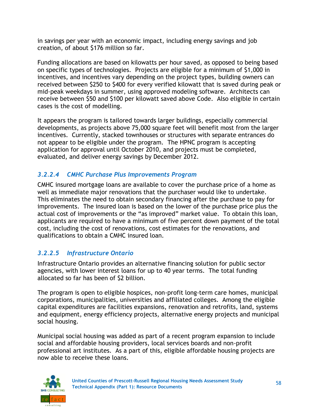in savings per year with an economic impact, including energy savings and job creation, of about \$176 million so far.

Funding allocations are based on kilowatts per hour saved, as opposed to being based on specific types of technologies. Projects are eligible for a minimum of \$1,000 in incentives, and incentives vary depending on the project types, building owners can received between \$250 to \$400 for every verified kilowatt that is saved during peak or mid-peak weekdays in summer, using approved modeling software. Architects can receive between \$50 and \$100 per kilowatt saved above Code. Also eligible in certain cases is the cost of modelling.

It appears the program is tailored towards larger buildings, especially commercial developments, as projects above 75,000 square feet will benefit most from the larger incentives. Currently, stacked townhouses or structures with separate entrances do not appear to be eligible under the program. The HPNC program is accepting application for approval until October 2010, and projects must be completed, evaluated, and deliver energy savings by December 2012.

### *3.2.2.4 CMHC Purchase Plus Improvements Program*

CMHC insured mortgage loans are available to cover the purchase price of a home as well as immediate major renovations that the purchaser would like to undertake. This eliminates the need to obtain secondary financing after the purchase to pay for improvements. The insured loan is based on the lower of the purchase price plus the actual cost of improvements or the "as improved" market value. To obtain this loan, applicants are required to have a minimum of five percent down payment of the total cost, including the cost of renovations, cost estimates for the renovations, and qualifications to obtain a CMHC insured loan.

### *3.2.2.5 Infrastructure Ontario*

Infrastructure Ontario provides an alternative financing solution for public sector agencies, with lower interest loans for up to 40 year terms. The total funding allocated so far has been of \$2 billion.

The program is open to eligible hospices, non-profit long-term care homes, municipal corporations, municipalities, universities and affiliated colleges. Among the eligible capital expenditures are facilities expansions, renovation and retrofits, land, systems and equipment, energy efficiency projects, alternative energy projects and municipal social housing.

Municipal social housing was added as part of a recent program expansion to include social and affordable housing providers, local services boards and non-profit professional art institutes. As a part of this, eligible affordable housing projects are now able to receive these loans.

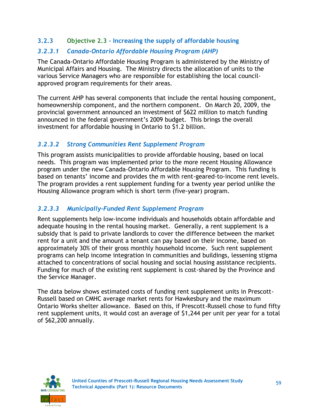#### **3.2.3 Objective 2.3 – Increasing the supply of affordable housing**

#### *3.2.3.1 Canada-Ontario Affordable Housing Program (AHP)*

The Canada-Ontario Affordable Housing Program is administered by the Ministry of Municipal Affairs and Housing. The Ministry directs the allocation of units to the various Service Managers who are responsible for establishing the local councilapproved program requirements for their areas.

The current AHP has several components that include the rental housing component, homeownership component, and the northern component. On March 20, 2009, the provincial government announced an investment of \$622 million to match funding announced in the federal government's 2009 budget. This brings the overall investment for affordable housing in Ontario to \$1.2 billion.

### *3.2.3.2 Strong Communities Rent Supplement Program*

This program assists municipalities to provide affordable housing, based on local needs. This program was implemented prior to the more recent Housing Allowance program under the new Canada-Ontario Affordable Housing Program. This funding is based on tenants' income and provides the m with rent-geared-to-income rent levels. The program provides a rent supplement funding for a twenty year period unlike the Housing Allowance program which is short term (five-year) program.

#### *3.2.3.3 Municipally-Funded Rent Supplement Program*

Rent supplements help low-income individuals and households obtain affordable and adequate housing in the rental housing market. Generally, a rent supplement is a subsidy that is paid to private landlords to cover the difference between the market rent for a unit and the amount a tenant can pay based on their income, based on approximately 30% of their gross monthly household income. Such rent supplement programs can help income integration in communities and buildings, lessening stigma attached to concentrations of social housing and social housing assistance recipients. Funding for much of the existing rent supplement is cost-shared by the Province and the Service Manager.

The data below shows estimated costs of funding rent supplement units in Prescott-Russell based on CMHC average market rents for Hawkesbury and the maximum Ontario Works shelter allowance. Based on this, if Prescott-Russell chose to fund fifty rent supplement units, it would cost an average of \$1,244 per unit per year for a total of \$62,200 annually.

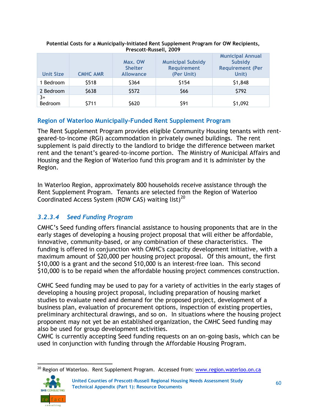| <b>Unit Size</b> | <b>CMHC AMR</b> | Max. OW<br><b>Shelter</b><br><b>Allowance</b> | <b>Municipal Subsidy</b><br><b>Requirement</b><br>(Per Unit) | <b>Municipal Annual</b><br>Subsidy<br><b>Requirement (Per</b><br>Unit) |  |  |  |  |
|------------------|-----------------|-----------------------------------------------|--------------------------------------------------------------|------------------------------------------------------------------------|--|--|--|--|
| 1 Bedroom        | \$518           | \$364                                         | \$154                                                        | \$1,848                                                                |  |  |  |  |
| 2 Bedroom        | \$638           | \$572                                         | \$66                                                         | \$792                                                                  |  |  |  |  |
| $3+$<br>Bedroom  | \$711           | \$620                                         | \$91                                                         | \$1,092                                                                |  |  |  |  |

#### **Potential Costs for a Municipally-Initiated Rent Supplement Program for OW Recipients, Prescott-Russell, 2009**

### **Region of Waterloo Municipally-Funded Rent Supplement Program**

The Rent Supplement Program provides eligible Community Housing tenants with rentgeared-to-income (RGI) accommodation in privately owned buildings. The rent supplement is paid directly to the landlord to bridge the difference between market rent and the tenant's geared-to-income portion. The Ministry of Municipal Affairs and Housing and the Region of Waterloo fund this program and it is administer by the Region.

In Waterloo Region, approximately 800 households receive assistance through the Rent Supplement Program. Tenants are selected from the Region of Waterloo Coordinated Access System (ROW CAS) waiting list)<sup>20</sup>

### *3.2.3.4 Seed Funding Program*

CMHC's Seed funding offers financial assistance to housing proponents that are in the early stages of developing a housing project proposal that will either be affordable, innovative, community-based, or any combination of these characteristics. The funding is offered in conjunction with CMHC's capacity development initiative, with a maximum amount of \$20,000 per housing project proposal. Of this amount, the first \$10,000 is a grant and the second \$10,000 is an interest-free loan. This second \$10,000 is to be repaid when the affordable housing project commences construction.

CMHC Seed funding may be used to pay for a variety of activities in the early stages of developing a housing project proposal, including preparation of housing market studies to evaluate need and demand for the proposed project, development of a business plan, evaluation of procurement options, inspection of existing properties, preliminary architectural drawings, and so on. In situations where the housing project proponent may not yet be an established organization, the CMHC Seed funding may also be used for group development activities.

CMHC is currently accepting Seed funding requests on an on-going basis, which can be used in conjunction with funding through the Affordable Housing Program.

 <sup>20</sup> Region of Waterloo. Rent Supplement Program. Accessed from: [www.region.waterloo.on.ca](http://www.region.waterloo.on.ca/)

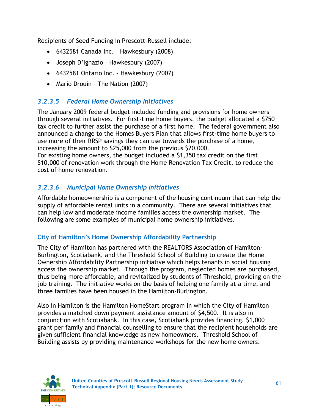Recipients of Seed Funding in Prescott-Russell include:

- 6432581 Canada Inc. Hawkesbury (2008)
- Joseph D'Ignazio Hawkesbury (2007)
- 6432581 Ontario Inc. Hawkesbury (2007)
- Mario Drouin The Nation (2007)

### *3.2.3.5 Federal Home Ownership Initiatives*

The January 2009 federal budget included funding and provisions for home owners through several initiatives. For first-time home buyers, the budget allocated a \$750 tax credit to further assist the purchase of a first home. The federal government also announced a change to the Homes Buyers Plan that allows first-time home buyers to use more of their RRSP savings they can use towards the purchase of a home, increasing the amount to \$25,000 from the previous \$20,000.

For existing home owners, the budget included a \$1,350 tax credit on the first \$10,000 of renovation work through the Home Renovation Tax Credit, to reduce the cost of home renovation.

### *3.2.3.6 Municipal Home Ownership Initiatives*

Affordable homeownership is a component of the housing continuum that can help the supply of affordable rental units in a community. There are several initiatives that can help low and moderate income families access the ownership market. The following are some examples of municipal home ownership initiatives.

### **City of Hamilton's Home Ownership Affordability Partnership**

The City of Hamilton has partnered with the REALTORS Association of Hamilton-Burlington, Scotiabank, and the Threshold School of Building to create the Home Ownership Affordability Partnership initiative which helps tenants in social housing access the ownership market. Through the program, neglected homes are purchased, thus being more affordable, and revitalized by students of Threshold, providing on the job training. The initiative works on the basis of helping one family at a time, and three families have been housed in the Hamilton-Burlington.

Also in Hamilton is the Hamilton HomeStart program in which the City of Hamilton provides a matched down payment assistance amount of \$4,500. It is also in conjunction with Scotiabank. In this case, Scotiabank provides financing, \$1,000 grant per family and financial counselling to ensure that the recipient households are given sufficient financial knowledge as new homeowners. Threshold School of Building assists by providing maintenance workshops for the new home owners.

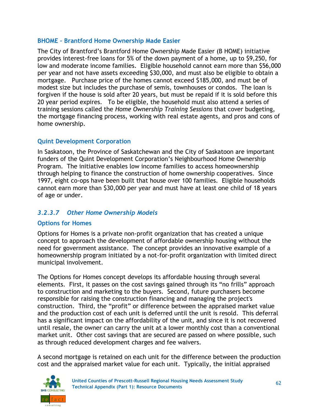#### **BHOME – Brantford Home Ownership Made Easier**

The City of Brantford's Brantford Home Ownership Made Easier (B HOME) initiative provides interest-free loans for 5% of the down payment of a home, up to \$9,250, for low and moderate income families. Eligible household cannot earn more than \$56,000 per year and not have assets exceeding \$30,000, and must also be eligible to obtain a mortgage. Purchase price of the homes cannot exceed \$185,000, and must be of modest size but includes the purchase of semis, townhouses or condos. The loan is forgiven if the house is sold after 20 years, but must be repaid if it is sold before this 20 year period expires. To be eligible, the household must also attend a series of training sessions called the *Home Ownership Training Sessions* that cover budgeting, the mortgage financing process, working with real estate agents, and pros and cons of home ownership.

### **Quint Development Corporation**

In Saskatoon, the Province of Saskatchewan and the City of Saskatoon are important funders of the Quint Development Corporation's Neighbourhood Home Ownership Program. The initiative enables low income families to access homeownership through helping to finance the construction of home ownership cooperatives. Since 1997, eight co-ops have been built that house over 100 families. Eligible households cannot earn more than \$30,000 per year and must have at least one child of 18 years of age or under.

### *3.2.3.7 Other Home Ownership Models*

### **Options for Homes**

Options for Homes is a private non-profit organization that has created a unique concept to approach the development of affordable ownership housing without the need for government assistance. The concept provides an innovative example of a homeownership program initiated by a not-for-profit organization with limited direct municipal involvement.

The Options for Homes concept develops its affordable housing through several elements. First, it passes on the cost savings gained through its "no frills" approach to construction and marketing to the buyers. Second, future purchasers become responsible for raising the construction financing and managing the project's construction. Third, the "profit" or difference between the appraised market value and the production cost of each unit is deferred until the unit is resold. This deferral has a significant impact on the affordability of the unit, and since it is not recovered until resale, the owner can carry the unit at a lower monthly cost than a conventional market unit. Other cost savings that are secured are passed on where possible, such as through reduced development charges and fee waivers.

A second mortgage is retained on each unit for the difference between the production cost and the appraised market value for each unit. Typically, the initial appraised

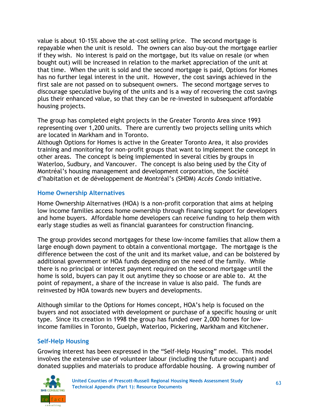value is about 10-15% above the at-cost selling price. The second mortgage is repayable when the unit is resold. The owners can also buy-out the mortgage earlier if they wish. No interest is paid on the mortgage, but its value on resale (or when bought out) will be increased in relation to the market appreciation of the unit at that time. When the unit is sold and the second mortgage is paid, Options for Homes has no further legal interest in the unit. However, the cost savings achieved in the first sale are not passed on to subsequent owners. The second mortgage serves to discourage speculative buying of the units and is a way of recovering the cost savings plus their enhanced value, so that they can be re-invested in subsequent affordable housing projects.

The group has completed eight projects in the Greater Toronto Area since 1993 representing over 1,200 units. There are currently two projects selling units which are located in Markham and in Toronto.

Although Options for Homes is active in the Greater Toronto Area, it also provides training and monitoring for non-profit groups that want to implement the concept in other areas. The concept is being implemented in several cities by groups in Waterloo, Sudbury, and Vancouver. The concept is also being used by the City of Montréal's housing management and development corporation, the Société d'habitation et de développement de Montréal's (SHDM) *Accès Condo* initiative.

#### **Home Ownership Alternatives**

Home Ownership Alternatives (HOA) is a non-profit corporation that aims at helping low income families access home ownership through financing support for developers and home buyers. Affordable home developers can receive funding to help them with early stage studies as well as financial guarantees for construction financing.

The group provides second mortgages for these low-income families that allow them a large enough down payment to obtain a conventional mortgage. The mortgage is the difference between the cost of the unit and its market value, and can be bolstered by additional government or HOA funds depending on the need of the family. While there is no principal or interest payment required on the second mortgage until the home is sold, buyers can pay it out anytime they so choose or are able to. At the point of repayment, a share of the increase in value is also paid. The funds are reinvested by HOA towards new buyers and developments.

Although similar to the Options for Homes concept, HOA's help is focused on the buyers and not associated with development or purchase of a specific housing or unit type. Since its creation in 1998 the group has funded over 2,000 homes for lowincome families in Toronto, Guelph, Waterloo, Pickering, Markham and Kitchener.

#### **Self-Help Housing**

Growing interest has been expressed in the "Self-Help Housing" model. This model involves the extensive use of volunteer labour (including the future occupant) and donated supplies and materials to produce affordable housing. A growing number of

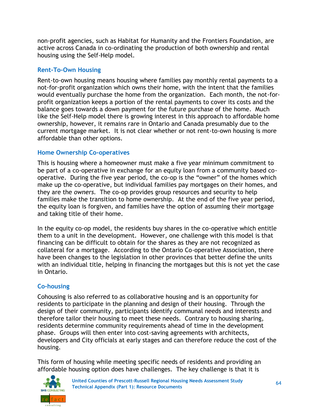non-profit agencies, such as Habitat for Humanity and the Frontiers Foundation, are active across Canada in co-ordinating the production of both ownership and rental housing using the Self-Help model.

#### **Rent-To-Own Housing**

Rent-to-own housing means housing where families pay monthly rental payments to a not-for-profit organization which owns their home, with the intent that the families would eventually purchase the home from the organization. Each month, the not-forprofit organization keeps a portion of the rental payments to cover its costs and the balance goes towards a down payment for the future purchase of the home. Much like the Self-Help model there is growing interest in this approach to affordable home ownership, however, it remains rare in Ontario and Canada presumably due to the current mortgage market. It is not clear whether or not rent-to-own housing is more affordable than other options.

### **Home Ownership Co-operatives**

This is housing where a homeowner must make a five year minimum commitment to be part of a co-operative in exchange for an equity loan from a community based cooperative. During the five year period, the co-op is the "owner" of the homes which make up the co-operative, but individual families pay mortgages on their homes, and they are the *owners.* The co-op provides group resources and security to help families make the transition to home ownership. At the end of the five year period, the equity loan is forgiven, and families have the option of assuming their mortgage and taking title of their home.

In the equity co-op model, the residents buy shares in the co-operative which entitle them to a unit in the development. However, one challenge with this model is that financing can be difficult to obtain for the shares as they are not recognized as collateral for a mortgage. According to the Ontario Co-operative Association, there have been changes to the legislation in other provinces that better define the units with an individual title, helping in financing the mortgages but this is not yet the case in Ontario.

### **Co-housing**

Cohousing is also referred to as collaborative housing and is an opportunity for residents to participate in the planning and design of their housing. Through the design of their community, participants identify communal needs and interests and therefore tailor their housing to meet these needs. Contrary to housing sharing, residents determine community requirements ahead of time in the development phase. Groups will then enter into cost-saving agreements with architects, developers and City officials at early stages and can therefore reduce the cost of the housing.

This form of housing while meeting specific needs of residents and providing an affordable housing option does have challenges. The key challenge is that it is

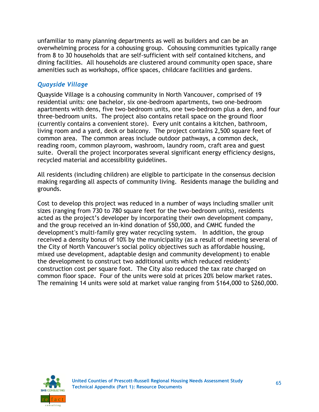unfamiliar to many planning departments as well as builders and can be an overwhelming process for a cohousing group. Cohousing communities typically range from 8 to 30 households that are self-sufficient with self contained kitchens, and dining facilities. All households are clustered around community open space, share amenities such as workshops, office spaces, childcare facilities and gardens.

### *Quayside Village*

Quayside Village is a cohousing community in North Vancouver, comprised of 19 residential units: one bachelor, six one-bedroom apartments, two one-bedroom apartments with dens, five two-bedroom units, one two-bedroom plus a den, and four three-bedroom units. The project also contains retail space on the ground floor (currently contains a convenient store). Every unit contains a kitchen, bathroom, living room and a yard, deck or balcony. The project contains 2,500 square feet of common area. The common areas include outdoor pathways, a common deck, reading room, common playroom, washroom, laundry room, craft area and guest suite. Overall the project incorporates several significant energy efficiency designs, recycled material and accessibility guidelines.

All residents (including children) are eligible to participate in the consensus decision making regarding all aspects of community living. Residents manage the building and grounds.

Cost to develop this project was reduced in a number of ways including smaller unit sizes (ranging from 730 to 780 square feet for the two-bedroom units), residents acted as the project's developer by incorporating their own development company, and the group received an in-kind donation of \$50,000, and CMHC funded the development's multi-family grey water recycling system. In addition, the group received a density bonus of 10% by the municipality (as a result of meeting several of the City of North Vancouver's social policy objectives such as affordable housing, mixed use development, adaptable design and community development) to enable the development to construct two additional units which reduced residents' construction cost per square foot. The City also reduced the tax rate charged on common floor space. Four of the units were sold at prices 20% below market rates. The remaining 14 units were sold at market value ranging from \$164,000 to \$260,000.

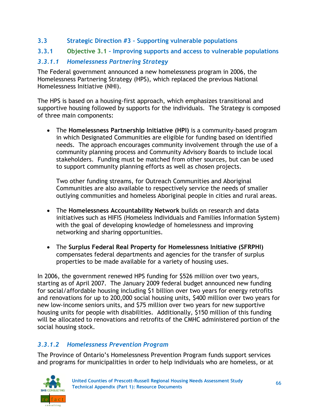**3.3 Strategic Direction #3 – Supporting vulnerable populations**

#### **3.3.1 Objective 3.1 – Improving supports and access to vulnerable populations**

### *3.3.1.1 Homelessness Partnering Strategy*

The Federal government announced a new homelessness program in 2006, the Homelessness Partnering Strategy (HPS), which replaced the previous National Homelessness Initiative (NHI).

The HPS is based on a housing-first approach, which emphasizes transitional and supportive housing followed by supports for the individuals. The Strategy is composed of three main components:

 The **Homelessness Partnership Initiative (HPI)** is a community-based program in which Designated Communities are eligible for funding based on identified needs. The approach encourages community involvement through the use of a community planning process and Community Advisory Boards to include local stakeholders. Funding must be matched from other sources, but can be used to support community planning efforts as well as chosen projects.

Two other funding streams, for Outreach Communities and Aboriginal Communities are also available to respectively service the needs of smaller outlying communities and homeless Aboriginal people in cities and rural areas.

- The **Homelessness Accountability Network** builds on research and data initiatives such as HIFIS (Homeless Individuals and Families Information System) with the goal of developing knowledge of homelessness and improving networking and sharing opportunities.
- The **Surplus Federal Real Property for Homelessness Initiative (SFRPHI)** compensates federal departments and agencies for the transfer of surplus properties to be made available for a variety of housing uses.

In 2006, the government renewed HPS funding for \$526 million over two years, starting as of April 2007. The January 2009 federal budget announced new funding for social/affordable housing including \$1 billion over two years for energy retrofits and renovations for up to 200,000 social housing units, \$400 million over two years for new low-income seniors units, and \$75 million over two years for new supportive housing units for people with disabilities. Additionally, \$150 million of this funding will be allocated to renovations and retrofits of the CMHC administered portion of the social housing stock.

### *3.3.1.2 Homelessness Prevention Program*

The Province of Ontario's Homelessness Prevention Program funds support services and programs for municipalities in order to help individuals who are homeless, or at

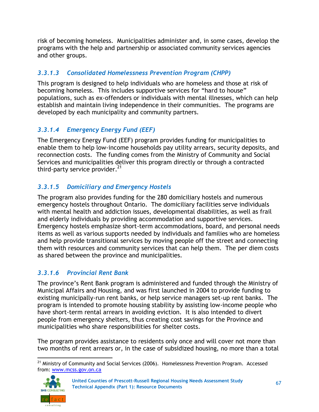risk of becoming homeless. Municipalities administer and, in some cases, develop the programs with the help and partnership or associated community services agencies and other groups.

# *3.3.1.3 Consolidated Homelessness Prevention Program (CHPP)*

This program is designed to help individuals who are homeless and those at risk of becoming homeless. This includes supportive services for "hard to house" populations, such as ex-offenders or individuals with mental illnesses, which can help establish and maintain living independence in their communities. The programs are developed by each municipality and community partners.

# *3.3.1.4 Emergency Energy Fund (EEF)*

The Emergency Energy Fund (EEF) program provides funding for municipalities to enable them to help low-income households pay utility arrears, security deposits, and reconnection costs. The funding comes from the Ministry of Community and Social Services and municipalities deliver this program directly or through a contracted third-party service provider. $^{21}$ 

## *3.3.1.5 Domiciliary and Emergency Hostels*

The program also provides funding for the 280 domiciliary hostels and numerous emergency hostels throughout Ontario. The domiciliary facilities serve individuals with mental health and addiction issues, developmental disabilities, as well as frail and elderly individuals by providing accommodation and supportive services. Emergency hostels emphasize short-term accommodations, board, and personal needs items as well as various supports needed by individuals and families who are homeless and help provide transitional services by moving people off the street and connecting them with resources and community services that can help them. The per diem costs as shared between the province and municipalities.

# *3.3.1.6 Provincial Rent Bank*

The province's Rent Bank program is administered and funded through the Ministry of Municipal Affairs and Housing, and was first launched in 2004 to provide funding to existing municipally-run rent banks, or help service managers set-up rent banks. The program is intended to promote housing stability by assisting low-income people who have short-term rental arrears in avoiding eviction. It is also intended to divert people from emergency shelters, thus creating cost savings for the Province and municipalities who share responsibilities for shelter costs.

The program provides assistance to residents only once and will cover not more than two months of rent arrears or, in the case of subsidized housing, no more than a total

 <sup>21</sup> Ministry of Community and Social Services (2006). Homelessness Prevention Program. Accessed from: [www.mcss.gov.on.ca](http://www.mcss.gov.on.ca/)

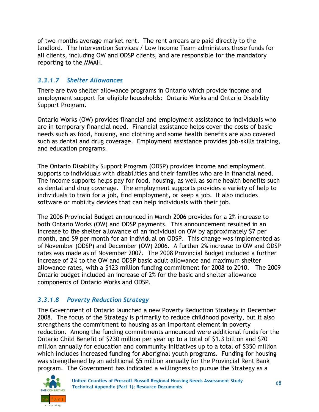of two months average market rent. The rent arrears are paid directly to the landlord. The Intervention Services / Low Income Team administers these funds for all clients, including OW and ODSP clients, and are responsible for the mandatory reporting to the MMAH.

### *3.3.1.7 Shelter Allowances*

There are two shelter allowance programs in Ontario which provide income and employment support for eligible households: Ontario Works and Ontario Disability Support Program.

Ontario Works (OW) provides financial and employment assistance to individuals who are in temporary financial need. Financial assistance helps cover the costs of basic needs such as food, housing, and clothing and some health benefits are also covered such as dental and drug coverage. Employment assistance provides job-skills training, and education programs.

The Ontario Disability Support Program (ODSP) provides income and employment supports to individuals with disabilities and their families who are in financial need. The income supports helps pay for food, housing, as well as some health benefits such as dental and drug coverage. The employment supports provides a variety of help to individuals to train for a job, find employment, or keep a job. It also includes software or mobility devices that can help individuals with their job.

The 2006 Provincial Budget announced in March 2006 provides for a 2% increase to both Ontario Works (OW) and ODSP payments. This announcement resulted in an increase to the shelter allowance of an individual on OW by approximately \$7 per month, and \$9 per month for an individual on ODSP. This change was implemented as of November (ODSP) and December (OW) 2006. A further 2% increase to OW and ODSP rates was made as of November 2007. The 2008 Provincial Budget included a further increase of 2% to the OW and ODSP basic adult allowance and maximum shelter allowance rates, with a \$123 million funding commitment for 2008 to 2010. The 2009 Ontario budget included an increase of 2% for the basic and shelter allowance components of Ontario Works and ODSP.

# *3.3.1.8 Poverty Reduction Strategy*

The Government of Ontario launched a new Poverty Reduction Strategy in December 2008. The focus of the Strategy is primarily to reduce childhood poverty, but it also strengthens the commitment to housing as an important element in poverty reduction. Among the funding commitments announced were additional funds for the Ontario Child Benefit of \$230 million per year up to a total of \$1.3 billion and \$70 million annually for education and community initiatives up to a total of \$350 million which includes increased funding for Aboriginal youth programs. Funding for housing was strengthened by an additional \$5 million annually for the Provincial Rent Bank program. The Government has indicated a willingness to pursue the Strategy as a

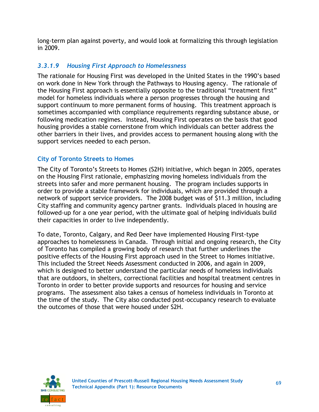long-term plan against poverty, and would look at formalizing this through legislation in 2009.

## *3.3.1.9 Housing First Approach to Homelessness*

The rationale for Housing First was developed in the United States in the 1990's based on work done in New York through the Pathways to Housing agency. The rationale of the Housing First approach is essentially opposite to the traditional "treatment first" model for homeless individuals where a person progresses through the housing and support continuum to more permanent forms of housing. This treatment approach is sometimes accompanied with compliance requirements regarding substance abuse, or following medication regimes. Instead, Housing First operates on the basis that good housing provides a stable cornerstone from which individuals can better address the other barriers in their lives, and provides access to permanent housing along with the support services needed to each person.

### **City of Toronto Streets to Homes**

The City of Toronto's Streets to Homes (S2H) initiative, which began in 2005, operates on the Housing First rationale, emphasizing moving homeless individuals from the streets into safer and more permanent housing. The program includes supports in order to provide a stable framework for individuals, which are provided through a network of support service providers. The 2008 budget was of \$11.3 million, including City staffing and community agency partner grants. Individuals placed in housing are followed-up for a one year period, with the ultimate goal of helping individuals build their capacities in order to live independently.

To date, Toronto, Calgary, and Red Deer have implemented Housing First-type approaches to homelessness in Canada. Through initial and ongoing research, the City of Toronto has compiled a growing body of research that further underlines the positive effects of the Housing First approach used in the Street to Homes initiative. This included the Street Needs Assessment conducted in 2006, and again in 2009, which is designed to better understand the particular needs of homeless individuals that are outdoors, in shelters, correctional facilities and hospital treatment centres in Toronto in order to better provide supports and resources for housing and service programs. The assessment also takes a census of homeless individuals in Toronto at the time of the study. The City also conducted post-occupancy research to evaluate the outcomes of those that were housed under S2H.

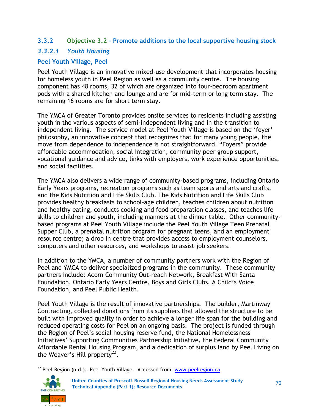### **3.3.2 Objective 3.2 – Promote additions to the local supportive housing stock**

### *3.3.2.1 Youth Housing*

### **Peel Youth Village, Peel**

Peel Youth Village is an innovative mixed-use development that incorporates housing for homeless youth in Peel Region as well as a community centre. The housing component has 48 rooms, 32 of which are organized into four-bedroom apartment pods with a shared kitchen and lounge and are for mid-term or long term stay. The remaining 16 rooms are for short term stay.

The YMCA of Greater Toronto provides onsite services to residents including assisting youth in the various aspects of semi-independent living and in the transition to independent living. The service model at Peel Youth Village is based on the 'foyer' philosophy, an innovative concept that recognizes that for many young people, the move from dependence to independence is not straightforward. "Foyers" provide affordable accommodation, social integration, community peer group support, vocational guidance and advice, links with employers, work experience opportunities, and social facilities.

The YMCA also delivers a wide range of community-based programs, including Ontario Early Years programs, recreation programs such as team sports and arts and crafts, and the Kids Nutrition and Life Skills Club. The Kids Nutrition and Life Skills Club provides healthy breakfasts to school-age children, teaches children about nutrition and healthy eating, conducts cooking and food preparation classes, and teaches life skills to children and youth, including manners at the dinner table. Other communitybased programs at Peel Youth Village include the Peel Youth Village Teen Prenatal Supper Club, a prenatal nutrition program for pregnant teens, and an employment resource centre; a drop in centre that provides access to employment counselors, computers and other resources, and workshops to assist job seekers.

In addition to the YMCA, a number of community partners work with the Region of Peel and YMCA to deliver specialized programs in the community. These community partners include: Acorn Community Out-reach Network, Breakfast With Santa Foundation, Ontario Early Years Centre, Boys and Girls Clubs, A Child's Voice Foundation, and Peel Public Health.

Peel Youth Village is the result of innovative partnerships. The builder, Martinway Contracting, collected donations from its suppliers that allowed the structure to be built with improved quality in order to achieve a longer life span for the building and reduced operating costs for Peel on an ongoing basis. The project is funded through the Region of Peel's social housing reserve fund, the National Homelessness Initiatives' Supporting Communities Partnership Initiative, the Federal Community Affordable Rental Housing Program, and a dedication of surplus land by Peel Living on the Weaver's Hill property<sup>22</sup>.

 <sup>22</sup> Peel Region (n.d.). Peel Youth Village. Accessed from: www.peelregion.ca



<sup>70</sup> **United Counties of Prescott-Russell Regional Housing Needs Assessment Study Technical Appendix (Part 1): Resource Documents**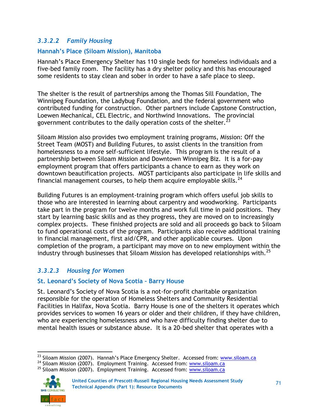### *3.3.2.2 Family Housing*

#### **Hannah's Place (Siloam Mission), Manitoba**

Hannah's Place Emergency Shelter has 110 single beds for homeless individuals and a five-bed family room. The facility has a dry shelter policy and this has encouraged some residents to stay clean and sober in order to have a safe place to sleep.

The shelter is the result of partnerships among the Thomas Sill Foundation, The Winnipeg Foundation, the Ladybug Foundation, and the federal government who contributed funding for construction. Other partners include Capstone Construction, Loewen Mechanical, CEL Electric, and Northwind Innovations. The provincial government contributes to the daily operation costs of the shelter.  $^{23}$ 

Siloam Mission also provides two employment training programs, Mission: Off the Street Team (MOST) and Building Futures, to assist clients in the transition from homelessness to a more self-sufficient lifestyle. This program is the result of a partnership between Siloam Mission and Downtown Winnipeg Biz. It is a for-pay employment program that offers participants a chance to earn as they work on downtown beautification projects. MOST participants also participate in life skills and financial management courses, to help them acquire employable skills. $^{24}$ 

Building Futures is an employment-training program which offers useful job skills to those who are interested in learning about carpentry and woodworking. Participants take part in the program for twelve months and work full time in paid positions. They start by learning basic skills and as they progress, they are moved on to increasingly complex projects. These finished projects are sold and all proceeds go back to Siloam to fund operational costs of the program. Participants also receive additional training in financial management, first aid/CPR, and other applicable courses. Upon completion of the program, a participant may move on to new employment within the industry through businesses that Siloam Mission has developed relationships with.<sup>25</sup>

### *3.3.2.3 Housing for Women*

#### **St. Leonard's Society of Nova Scotia – Barry House**

St. Leonard's Society of Nova Scotia is a not-for-profit charitable organization responsible for the operation of Homeless Shelters and Community Residential Facilities in Halifax, Nova Scotia. Barry House is one of the shelters it operates which provides services to women 16 years or older and their children, if they have children, who are experiencing homelessness and who have difficulty finding shelter due to mental health issues or substance abuse. It is a 20-bed shelter that operates with a

 $25$  Siloam Mission (2007). Employment Training. Accessed from: [www.siloam.ca](http://www.siloam.ca/)



<sup>&</sup>lt;sup>23</sup> Siloam Mission (2007). Hannah's Place Emergency Shelter. Accessed from: **[www.siloam.ca](http://www.siloam.ca/)** 

 $24$  Siloam Mission (2007). Employment Training. Accessed from: [www.siloam.ca](http://www.siloam.ca/)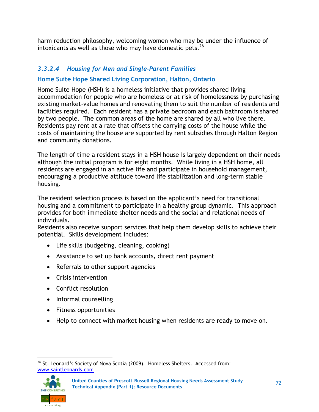harm reduction philosophy, welcoming women who may be under the influence of intoxicants as well as those who may have domestic pets.<sup>26</sup>

### *3.3.2.4 Housing for Men and Single-Parent Families*

### **Home Suite Hope Shared Living Corporation, Halton, Ontario**

Home Suite Hope (HSH) is a homeless initiative that provides shared living accommodation for people who are homeless or at risk of homelessness by purchasing existing market-value homes and renovating them to suit the number of residents and facilities required. Each resident has a private bedroom and each bathroom is shared by two people. The common areas of the home are shared by all who live there. Residents pay rent at a rate that offsets the carrying costs of the house while the costs of maintaining the house are supported by rent subsidies through Halton Region and community donations.

The length of time a resident stays in a HSH house is largely dependent on their needs although the initial program is for eight months. While living in a HSH home, all residents are engaged in an active life and participate in household management, encouraging a productive attitude toward life stabilization and long-term stable housing.

The resident selection process is based on the applicant's need for transitional housing and a commitment to participate in a healthy group dynamic. This approach provides for both immediate shelter needs and the social and relational needs of individuals.

Residents also receive support services that help them develop skills to achieve their potential. Skills development includes:

- Life skills (budgeting, cleaning, cooking)
- Assistance to set up bank accounts, direct rent payment
- Referrals to other support agencies
- Crisis intervention
- Conflict resolution
- Informal counselling
- Fitness opportunities
- Help to connect with market housing when residents are ready to move on.

  $^{26}$  St. Leonard's Society of Nova Scotia (2009). Homeless Shelters. Accessed from: [www.saintleonards.com](http://www.saintleonards.com/)

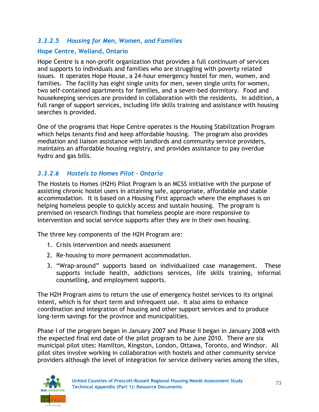### *3.3.2.5 Housing for Men, Women, and Families*

### **Hope Centre, Welland, Ontario**

Hope Centre is a non-profit organization that provides a full continuum of services and supports to individuals and families who are struggling with poverty related issues. It operates Hope House, a 24-hour emergency hostel for men, women, and families. The facility has eight single units for men, seven single units for women, two self-contained apartments for families, and a seven-bed dormitory. Food and housekeeping services are provided in collaboration with the residents. In addition, a full range of support services, including life skills training and assistance with housing searches is provided.

One of the programs that Hope Centre operates is the Housing Stabilization Program which helps tenants find and keep affordable housing. The program also provides mediation and liaison assistance with landlords and community service providers, maintains an affordable housing registry, and provides assistance to pay overdue hydro and gas bills.

### *3.3.2.6 Hostels to Homes Pilot – Ontario*

The Hostels to Homes (H2H) Pilot Program is an MCSS initiative with the purpose of assisting chronic hostel users in attaining safe, appropriate, affordable and stable accommodation. It is based on a Housing First approach where the emphases is on helping homeless people to quickly access and sustain housing. The program is premised on research findings that homeless people are more responsive to intervention and social service supports after they are in their own housing.

The three key components of the H2H Program are:

- 1. Crisis intervention and needs assessment
- 2. Re-housing to more permanent accommodation.
- 3. "Wrap-around" supports based on individualized case management. These supports include health, addictions services, life skills training, informal counselling, and employment supports.

The H2H Program aims to return the use of emergency hostel services to its original intent, which is for short term and infrequent use. It also aims to enhance coordination and integration of housing and other support services and to produce long-term savings for the province and municipalities.

Phase I of the program began in January 2007 and Phase II began in January 2008 with the expected final end date of the pilot program to be June 2010. There are six municipal pilot sites: Hamilton, Kingston, London, Ottawa, Toronto, and Windsor. All pilot sites involve working in collaboration with hostels and other community service providers although the level of integration for service delivery varies among the sites,

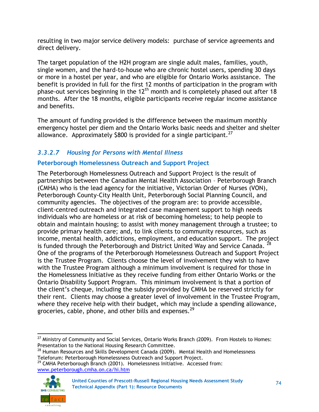resulting in two major service delivery models: purchase of service agreements and direct delivery.

The target population of the H2H program are single adult males, families, youth, single women, and the hard-to-house who are chronic hostel users, spending 30 days or more in a hostel per year, and who are eligible for Ontario Works assistance. The benefit is provided in full for the first 12 months of participation in the program with phase-out services beginning in the 12<sup>th</sup> month and is completely phased out after 18 months. After the 18 months, eligible participants receive regular income assistance and benefits.

The amount of funding provided is the difference between the maximum monthly emergency hostel per diem and the Ontario Works basic needs and shelter and shelter allowance. Approximately \$800 is provided for a single participant.<sup>27</sup>

# *3.3.2.7 Housing for Persons with Mental Illness*

### **Peterborough Homelessness Outreach and Support Project**

The Peterborough Homelessness Outreach and Support Project is the result of partnerships between the Canadian Mental Health Association – Peterborough Branch (CMHA) who is the lead agency for the initiative, Victorian Order of Nurses (VON), Peterborough County-City Health Unit, Peterborough Social Planning Council, and community agencies. The objectives of the program are: to provide accessible, client-centred outreach and integrated case management support to high needs individuals who are homeless or at risk of becoming homeless; to help people to obtain and maintain housing; to assist with money management through a trustee; to provide primary health care; and, to link clients to community resources, such as income, mental health, addictions, employment, and education support. The project is funded through the Peterborough and District United Way and Service Canada. <sup>28</sup> One of the programs of the Peterborough Homelessness Outreach and Support Project is the Trustee Program. Clients choose the level of involvement they wish to have with the Trustee Program although a minimum involvement is required for those in the Homelessness Initiative as they receive funding from either Ontario Works or the Ontario Disability Support Program. This minimum involvement is that a portion of the client's cheque, including the subsidy provided by CMHA be reserved strictly for their rent. Clients may choose a greater level of involvement in the Trustee Program, where they receive help with their budget, which may include a spending allowance, groceries, cable, phone, and other bills and expenses. $^{29}$ 

<sup>&</sup>lt;sup>29</sup> CMHA Peterborough Branch (2001). Homelessness Initiative. Accessed from: [www.peterborough.cmha.on.ca/hi.htm](http://www.peterborough.cmha.on.ca/hi.htm)



74 **United Counties of Prescott-Russell Regional Housing Needs Assessment Study Technical Appendix (Part 1): Resource Documents**

  $27$  Ministry of Community and Social Services, Ontario Works Branch (2009). From Hostels to Homes: Presentation to the National Housing Research Committee.

<sup>&</sup>lt;sup>28</sup> Human Resources and Skills Development Canada (2009). Mental Health and Homelessness Teleforum: Peterborough Homelessness Outreach and Support Project.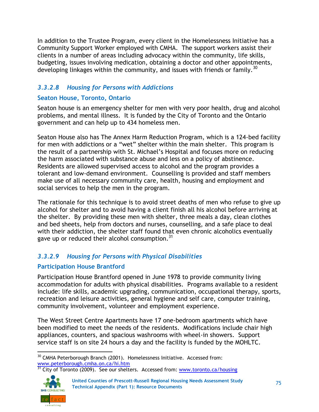In addition to the Trustee Program, every client in the Homelessness Initiative has a Community Support Worker employed with CMHA. The support workers assist their clients in a number of areas including advocacy within the community, life skills, budgeting, issues involving medication, obtaining a doctor and other appointments, developing linkages within the community, and issues with friends or family.<sup>30</sup>

### *3.3.2.8 Housing for Persons with Addictions*

### **Seaton House, Toronto, Ontario**

Seaton house is an emergency shelter for men with very poor health, drug and alcohol problems, and mental illness. It is funded by the City of Toronto and the Ontario government and can help up to 434 homeless men.

Seaton House also has The Annex Harm Reduction Program, which is a 124-bed facility for men with addictions or a "wet" shelter within the main shelter. This program is the result of a partnership with St. Michael's Hospital and focuses more on reducing the harm associated with substance abuse and less on a policy of abstinence. Residents are allowed supervised access to alcohol and the program provides a tolerant and low-demand environment. Counselling is provided and staff members make use of all necessary community care, health, housing and employment and social services to help the men in the program.

The rationale for this technique is to avoid street deaths of men who refuse to give up alcohol for shelter and to avoid having a client finish all his alcohol before arriving at the shelter. By providing these men with shelter, three meals a day, clean clothes and bed sheets, help from doctors and nurses, counselling, and a safe place to deal with their addiction, the shelter staff found that even chronic alcoholics eventually gave up or reduced their alcohol consumption. $31$ 

# *3.3.2.9 Housing for Persons with Physical Disabilities*

### **Participation House Brantford**

Participation House Brantford opened in June 1978 to provide community living accommodation for adults with physical disabilities. Programs available to a resident include: life skills, academic upgrading, communication, occupational therapy, sports, recreation and leisure activities, general hygiene and self care, computer training, community involvement, volunteer and employment experience.

The West Street Centre Apartments have 17 one-bedroom apartments which have been modified to meet the needs of the residents. Modifications include chair high appliances, counters, and spacious washrooms with wheel-in showers. Support service staff is on site 24 hours a day and the facility is funded by the MOHLTC.

<sup>31</sup> City of Toronto (2009). See our shelters. Accessed from: [www.toronto.ca/housing](http://www.toronto.ca/housing)



 <sup>30</sup> CMHA Peterborough Branch (2001). Homelessness Initiative. Accessed from: [www.peterborough.cmha.on.ca/hi.htm](http://www.peterborough.cmha.on.ca/hi.htm)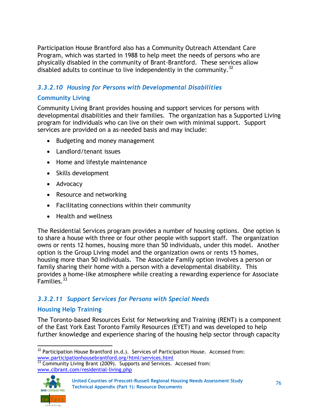Participation House Brantford also has a Community Outreach Attendant Care Program, which was started in 1988 to help meet the needs of persons who are physically disabled in the community of Brant-Brantford. These services allow disabled adults to continue to live independently in the community.<sup>32</sup>

### *3.3.2.10 Housing for Persons with Developmental Disabilities*

### **Community Living**

Community Living Brant provides housing and support services for persons with developmental disabilities and their families. The organization has a Supported Living program for individuals who can live on their own with minimal support. Support services are provided on a as-needed basis and may include:

- Budgeting and money management
- Landlord/tenant issues
- Home and lifestyle maintenance
- Skills development
- Advocacy
- Resource and networking
- Facilitating connections within their community
- Health and wellness

The Residential Services program provides a number of housing options. One option is to share a house with three or four other people with support staff. The organization owns or rents 12 homes, housing more than 50 individuals, under this model. Another option is the Group Living model and the organization owns or rents 15 homes, housing more than 50 individuals. The Associate Family option involves a person or family sharing their home with a person with a developmental disability. This provides a home-like atmosphere while creating a rewarding experience for Associate  $F$ amilies. $33$ 

### *3.3.2.11 Support Services for Persons with Special Needs*

#### **Housing Help Training**

The Toronto-based Resources Exist for Networking and Training (RENT) is a component of the East York East Toronto Family Resources (EYET) and was developed to help further knowledge and experience sharing of the housing help sector through capacity

 $33$  Community Living Brant (2009). Supports and Services. Accessed from: [www.clbrant.com/residential-living.php](http://www.clbrant.com/residential-living.php)



 $32$  Participation House Brantford (n.d.). Services of Participation House. Accessed from: [www.participationhousebrantford.org/html/services.html](http://www.participationhousebrantford.org/html/services.html)

<sup>76</sup> **United Counties of Prescott-Russell Regional Housing Needs Assessment Study Technical Appendix (Part 1): Resource Documents**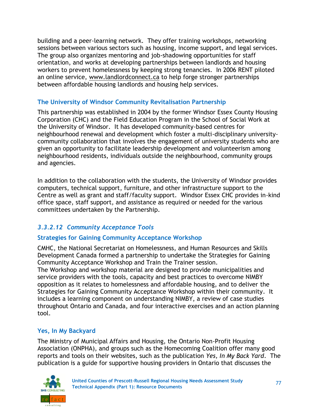building and a peer-learning network. They offer training workshops, networking sessions between various sectors such as housing, income support, and legal services. The group also organizes mentoring and job-shadowing opportunities for staff orientation, and works at developing partnerships between landlords and housing workers to prevent homelessness by keeping strong tenancies. In 2006 RENT piloted an online service, [www.landlordconnect.ca](http://www.landlordconnect.ca/) to help forge stronger partnerships between affordable housing landlords and housing help services.

### **The University of Windsor Community Revitalisation Partnership**

This partnership was established in 2004 by the former Windsor Essex County Housing Corporation (CHC) and the Field Education Program in the School of Social Work at the University of Windsor. It has developed community-based centres for neighbourhood renewal and development which foster a multi-disciplinary universitycommunity collaboration that involves the engagement of university students who are given an opportunity to facilitate leadership development and volunteerism among neighbourhood residents, individuals outside the neighbourhood, community groups and agencies.

In addition to the collaboration with the students, the University of Windsor provides computers, technical support, furniture, and other infrastructure support to the Centre as well as grant and staff/faculty support. Windsor Essex CHC provides in-kind office space, staff support, and assistance as required or needed for the various committees undertaken by the Partnership.

# *3.3.2.12 Community Acceptance Tools*

### **Strategies for Gaining Community Acceptance Workshop**

CMHC, the National Secretariat on Homelessness, and Human Resources and Skills Development Canada formed a partnership to undertake the Strategies for Gaining Community Acceptance Workshop and Train the Trainer session.

The Workshop and workshop material are designed to provide municipalities and service providers with the tools, capacity and best practices to overcome NIMBY opposition as it relates to homelessness and affordable housing, and to deliver the Strategies for Gaining Community Acceptance Workshop within their community. It includes a learning component on understanding NIMBY, a review of case studies throughout Ontario and Canada, and four interactive exercises and an action planning tool.

### **Yes, In My Backyard**

The Ministry of Municipal Affairs and Housing, the Ontario Non-Profit Housing Association (ONPHA), and groups such as the Homecoming Coalition offer many good reports and tools on their websites, such as the publication *Yes, In My Back Yard*. The publication is a guide for supportive housing providers in Ontario that discusses the

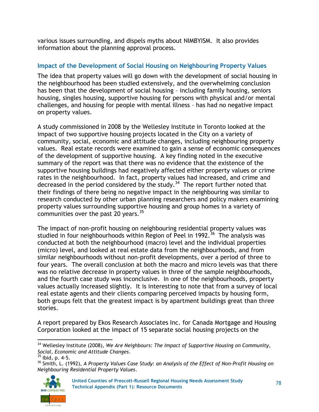various issues surrounding, and dispels myths about NIMBYISM. It also provides information about the planning approval process.

### **Impact of the Development of Social Housing on Neighbouring Property Values**

The idea that property values will go down with the development of social housing in the neighbourhood has been studied extensively, and the overwhelming conclusion has been that the development of social housing – including family housing, seniors housing, singles housing, supportive housing for persons with physical and/or mental challenges, and housing for people with mental illness – has had no negative impact on property values.

A study commissioned in 2008 by the Wellesley Institute in Toronto looked at the impact of two supportive housing projects located in the City on a variety of community, social, economic and attitude changes, including neighbouring property values. Real estate records were examined to gain a sense of economic consequences of the development of supportive housing. A key finding noted in the executive summary of the report was that there was no evidence that the existence of the supportive housing buildings had negatively affected either property values or crime rates in the neighbourhood. In fact, property values had increased, and crime and decreased in the period considered by the study.<sup>34</sup> The report further noted that their findings of there being no negative impact in the neighbouring was similar to research conducted by other urban planning researchers and policy makers examining property values surrounding supportive housing and group homes in a variety of communities over the past 20 years. $35$ 

The impact of non-profit housing on neighbouring residential property values was studied in four neighbourhoods within Region of Peel in 1992.<sup>36</sup> The analysis was conducted at both the neighbourhood (macro) level and the individual properties (micro) level, and looked at real estate data from the neighbourhoods, and from similar neighbourhoods without non-profit developments, over a period of three to four years. The overall conclusion at both the macro and micro levels was that there was no relative decrease in property values in three of the sample neighbourhoods, and the fourth case study was inconclusive. In one of the neighbourhoods, property values actually increased slightly. It is interesting to note that from a survey of local real estate agents and their clients comparing perceived impacts by housing form, both groups felt that the greatest impact is by apartment buildings great than three stories.

A report prepared by Ekos Research Associates Inc. for Canada Mortgage and Housing Corporation looked at the impact of 15 separate social housing projects on the

<sup>36</sup> Smith, L. (1992), *A Property Values Case Study: an Analysis of the Effect of Non-Profit Housing on Neighbouring Residential Property Values*.



<sup>78</sup> **United Counties of Prescott-Russell Regional Housing Needs Assessment Study Technical Appendix (Part 1): Resource Documents**

<sup>&</sup>lt;sup>34</sup> Wellesley Institute (2008), We Are Neighbours: The Impact of Supportive Housing on Community, *Social, Economic and Attitude Changes*.

 $35$  lbid, p. 4-5.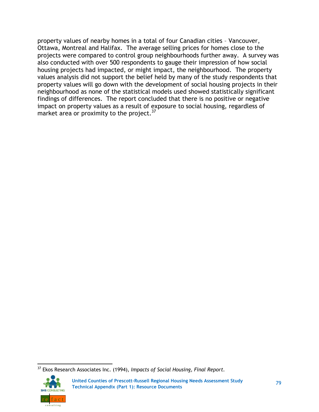property values of nearby homes in a total of four Canadian cities – Vancouver, Ottawa, Montreal and Halifax. The average selling prices for homes close to the projects were compared to control group neighbourhoods further away. A survey was also conducted with over 500 respondents to gauge their impression of how social housing projects had impacted, or might impact, the neighbourhood. The property values analysis did not support the belief held by many of the study respondents that property values will go down with the development of social housing projects in their neighbourhood as none of the statistical models used showed statistically significant findings of differences. The report concluded that there is no positive or negative impact on property values as a result of exposure to social housing, regardless of market area or proximity to the project.<sup>37</sup>

 <sup>37</sup> Ekos Research Associates Inc. (1994), *Impacts of Social Housing, Final Report.*

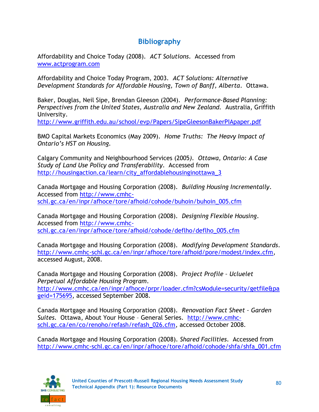# **Bibliography**

Affordability and Choice Today (2008). *ACT Solutions*. Accessed from [www.actprogram.com](http://www.actprogram.com/)

Affordability and Choice Today Program, 2003. *ACT Solutions: Alternative Development Standards for Affordable Housing, Town of Banff, Alberta*. Ottawa.

Baker, Douglas, Neil Sipe, Brendan Gleeson (2004). *Performance-Based Planning: Perspectives from the United States, Australia and New Zealand.* Australia, Griffith University.

<http://www.griffith.edu.au/school/evp/Papers/SipeGleesonBakerPIApaper.pdf>

BMO Capital Markets Economics (May 2009). *Home Truths: The Heavy Impact of Ontario's HST on Housing.*

Calgary Community and Neighbourhood Services (2005*). Ottawa, Ontario: A Case Study of Land Use Policy and Transferability*. Accessed from [http://housingaction.ca/learn/city\\_affordablehousinginottawa\\_3](http://housingaction.ca/learn/city_affordablehousinginottawa_3)

Canada Mortgage and Housing Corporation (2008). *Building Housing Incrementally*. Accessed from [http://www.cmhc](http://www.cmhc-schl.gc.ca/en/inpr/afhoce/tore/afhoid/cohode/buhoin/buhoin_005.cfm)[schl.gc.ca/en/inpr/afhoce/tore/afhoid/cohode/buhoin/buhoin\\_005.cfm](http://www.cmhc-schl.gc.ca/en/inpr/afhoce/tore/afhoid/cohode/buhoin/buhoin_005.cfm)

Canada Mortgage and Housing Corporation (2008). *Designing Flexible Housing*. Accessed from [http://www.cmhc](http://www.cmhc-schl.gc.ca/en/inpr/afhoce/tore/afhoid/cohode/deflho/deflho_005.cfm)[schl.gc.ca/en/inpr/afhoce/tore/afhoid/cohode/deflho/deflho\\_005.cfm](http://www.cmhc-schl.gc.ca/en/inpr/afhoce/tore/afhoid/cohode/deflho/deflho_005.cfm)

Canada Mortgage and Housing Corporation (2008). *Modifying Development Standards*. [http://www.cmhc-schl.gc.ca/en/inpr/afhoce/tore/afhoid/pore/modest/index.cfm,](http://www.cmhc-schl.gc.ca/en/inpr/afhoce/tore/afhoid/pore/modest/index.cfm) accessed August, 2008.

Canada Mortgage and Housing Corporation (2008). *Project Profile – Ucluelet Perpetual Affordable Housing Program*. [http://www.cmhc.ca/en/inpr/afhoce/prpr/loader.cfm?csModule=security/getfile&pa](http://www.cmhc.ca/en/inpr/afhoce/prpr/loader.cfm?csModule=security/getfile&pageid=175695) [geid=175695,](http://www.cmhc.ca/en/inpr/afhoce/prpr/loader.cfm?csModule=security/getfile&pageid=175695) accessed September 2008.

Canada Mortgage and Housing Corporation (2008). *Renovation Fact Sheet – Garden Suites*. Ottawa, About Your House – General Series. [http://www.cmhc](http://www.cmhc-schl.gc.ca/en/co/renoho/refash/refash_026.cfm)[schl.gc.ca/en/co/renoho/refash/refash\\_026.cfm,](http://www.cmhc-schl.gc.ca/en/co/renoho/refash/refash_026.cfm) accessed October 2008.

Canada Mortgage and Housing Corporation (2008). *Shared Facilities*. Accessed from [http://www.cmhc-schl.gc.ca/en/inpr/afhoce/tore/afhoid/cohode/shfa/shfa\\_001.cfm](http://www.cmhc-schl.gc.ca/en/inpr/afhoce/tore/afhoid/cohode/shfa/shfa_001.cfm)

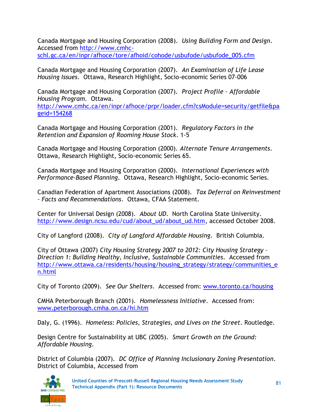Canada Mortgage and Housing Corporation (2008). *Using Building Form and Design*. Accessed from [http://www.cmhc](http://www.cmhc-schl.gc.ca/en/inpr/afhoce/tore/afhoid/cohode/usbufode/usbufode_005.cfm)[schl.gc.ca/en/inpr/afhoce/tore/afhoid/cohode/usbufode/usbufode\\_005.cfm](http://www.cmhc-schl.gc.ca/en/inpr/afhoce/tore/afhoid/cohode/usbufode/usbufode_005.cfm)

Canada Mortgage and Housing Corporation (2007). *An Examination of Life Lease Housing Issues*. Ottawa, Research Highlight, Socio-economic Series 07-006

Canada Mortgage and Housing Corporation (2007). *Project Profile – Affordable Housing Program*. Ottawa. [http://www.cmhc.ca/en/inpr/afhoce/prpr/loader.cfm?csModule=security/getfile&pa](http://www.cmhc.ca/en/inpr/afhoce/prpr/loader.cfm?csModule=security/getfile&pageid=154268) [geid=154268](http://www.cmhc.ca/en/inpr/afhoce/prpr/loader.cfm?csModule=security/getfile&pageid=154268)

Canada Mortgage and Housing Corporation (2001). *Regulatory Factors in the Retention and Expansion of Rooming House Stock*. 1-5

Canada Mortgage and Housing Corporation (2000). *Alternate Tenure Arrangements*. Ottawa, Research Highlight, Socio-economic Series 65.

Canada Mortgage and Housing Corporation (2000). *International Experiences with Performance-Based Planning*. Ottawa, Research Highlight, Socio-economic Series.

Canadian Federation of Apartment Associations (2008). *Tax Deferral on Reinvestment – Facts and Recommendations*. Ottawa, CFAA Statement.

Center for Universal Design (2008). *About UD*. North Carolina State University. [http://www.design.ncsu.edu/cud/about\\_ud/about\\_ud.htm,](http://www.design.ncsu.edu/cud/about_ud/about_ud.htm) accessed October 2008.

City of Langford (2008). *City of Langford Affordable Housing*. British Columbia.

City of Ottawa (2007) *City Housing Strategy 2007 to 2012: City Housing Strategy – Direction 1: Building Healthy, Inclusive, Sustainable Communities*. Accessed from [http://www.ottawa.ca/residents/housing/housing\\_strategy/strategy/communities\\_e](http://www.ottawa.ca/residents/housing/housing_strategy/strategy/communities_en.html) [n.html](http://www.ottawa.ca/residents/housing/housing_strategy/strategy/communities_en.html)

City of Toronto (2009). *See Our Shelters*. Accessed from: [www.toronto.ca/housing](http://www.toronto.ca/housing)

CMHA Peterborough Branch (2001). *Homelessness Initiative*. Accessed from: [www.peterborough.cmha.on.ca/hi.htm](http://www.peterborough.cmha.on.ca/hi.htm)

Daly, G. (1996). *Homeless: Policies, Strategies, and Lives on the Street*. Routledge.

Design Centre for Sustainability at UBC (2005). *Smart Growth on the Ground: Affordable Housing*.

District of Columbia (2007). *DC Office of Planning Inclusionary Zoning Presentation*. District of Columbia, Accessed from

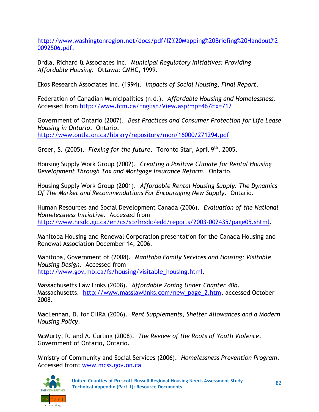[http://www.washingtonregion.net/docs/pdf/IZ%20Mapping%20Briefing%20Handout%2](http://www.washingtonregion.net/docs/pdf/IZ%20Mapping%20Briefing%20Handout%20092506.pdf) [0092506.pdf.](http://www.washingtonregion.net/docs/pdf/IZ%20Mapping%20Briefing%20Handout%20092506.pdf)

Drdla, Richard & Associates Inc. *Municipal Regulatory Initiatives: Providing Affordable Housing.* Ottawa: CMHC, 1999.

Ekos Research Associates Inc. (1994). *Impacts of Social Housing, Final Report*.

Federation of Canadian Municipalities (n.d.). *Affordable Housing and Homelessness*. Accessed from<http://www.fcm.ca/English/View.asp?mp=467&x=712>

Government of Ontario (2007). *Best Practices and Consumer Protection for Life Lease Housing in Ontario*. Ontario. <http://www.ontla.on.ca/library/repository/mon/16000/271294.pdf>

Greer, S. (2005). *Flexing for the future*. Toronto Star, April 9th, 2005.

Housing Supply Work Group (2002). *Creating a Positive Climate for Rental Housing Development Through Tax and Mortgage Insurance Reform*. Ontario.

Housing Supply Work Group (2001). *Affordable Rental Housing Supply: The Dynamics Of The Market and Recommendations For Encouraging New Supply*. Ontario.

Human Resources and Social Development Canada (2006). *Evaluation of the National Homelessness Initiative*. Accessed from [http://www.hrsdc.gc.ca/en/cs/sp/hrsdc/edd/reports/2003-002435/page05.shtml.](http://www.hrsdc.gc.ca/en/cs/sp/hrsdc/edd/reports/2003-002435/page05.shtml)

Manitoba Housing and Renewal Corporation presentation for the Canada Housing and Renewal Association December 14, 2006.

Manitoba, Government of (2008). *Manitoba Family Services and Housing: Visitable Housing Design*. Accessed from [http://www.gov.mb.ca/fs/housing/visitable\\_housing.html.](http://www.gov.mb.ca/fs/housing/visitable_housing.html)

Massachusetts Law Links (2008). *Affordable Zoning Under Chapter 40b*. Massachusetts. [http://www.masslawlinks.com/new\\_page\\_2.htm,](http://www.masslawlinks.com/new_page_2.htm) accessed October 2008.

MacLennan, D. for CHRA (2006). *Rent Supplements, Shelter Allowances and a Modern Housing Policy*.

McMurty, R. and A. Curling (2008). *The Review of the Roots of Youth Violence*. Government of Ontario, Ontario.

Ministry of Community and Social Services (2006). *Homelessness Prevention Program*. Accessed from: [www.mcss.gov.on.ca](http://www.mcss.gov.on.ca/)

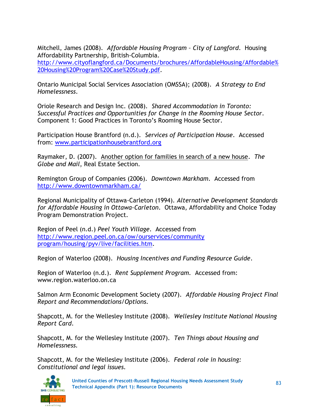Mitchell, James (2008). *Affordable Housing Program – City of Langford*. Housing Affordability Partnership, British-Columbia.

[http://www.cityoflangford.ca/Documents/brochures/AffordableHousing/Affordable%](http://www.cityoflangford.ca/Documents/brochures/AffordableHousing/Affordable%20Housing%20Program%20Case%20Study.pdf) [20Housing%20Program%20Case%20Study.pdf.](http://www.cityoflangford.ca/Documents/brochures/AffordableHousing/Affordable%20Housing%20Program%20Case%20Study.pdf)

Ontario Municipal Social Services Association (OMSSA); (2008). *A Strategy to End Homelessness*.

Oriole Research and Design Inc. (2008). *Shared Accommodation in Toronto: Successful Practices and Opportunities for Change in the Rooming House Sector*. Component 1: Good Practices in Toronto's Rooming House Sector.

Participation House Brantford (n.d.). *Services of Participation House*. Accessed from: [www.participationhousebrantford.org](http://www.participationhousebrantford.org/)

Raymaker, D. (2007). Another option for families in search of a new house. *The Globe and Mail*, Real Estate Section.

Remington Group of Companies (2006). *Downtown Markham*. Accessed from <http://www.downtownmarkham.ca/>

Regional Municipality of Ottawa-Carleton (1994). *Alternative Development Standards for Affordable Housing in Ottawa-Carleton*. Ottawa, Affordability and Choice Today Program Demonstration Project.

Region of Peel (n.d.) *Peel Youth Village*. Accessed from [http://www.region.peel.on.ca/ow/ourservices/community](http://www.region.peel.on.ca/ow/ourservices/community%20program/housing/pyv/live/facilities.htm)  [program/housing/pyv/live/facilities.htm.](http://www.region.peel.on.ca/ow/ourservices/community%20program/housing/pyv/live/facilities.htm)

Region of Waterloo (2008). *Housing Incentives and Funding Resource Guide*.

Region of Waterloo (n.d.). *Rent Supplement Program.* Accessed from: www.region.waterloo.on.ca

Salmon Arm Economic Development Society (2007). *Affordable Housing Project Final Report and Recommendations/Options.*

Shapcott, M. for the Wellesley Institute (2008). *Wellesley Institute National Housing Report Card*.

Shapcott, M. for the Wellesley Institute (2007). *Ten Things about Housing and Homelessness.*

Shapcott, M. for the Wellesley Institute (2006). *Federal role in housing: Constitutional and legal issues.*